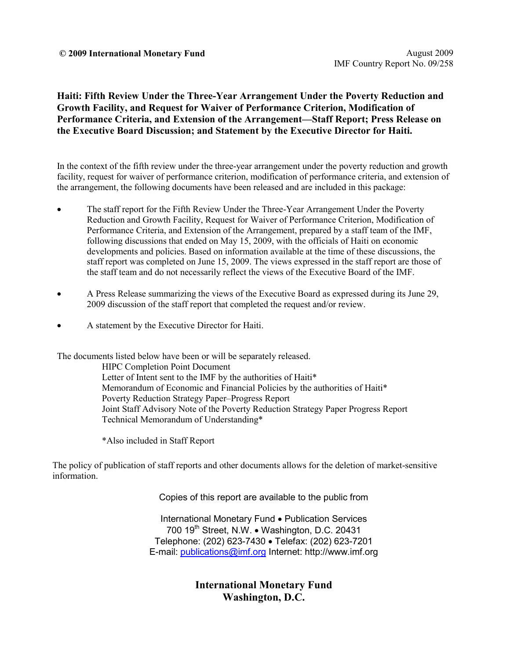#### **© 2009 International Monetary Fund** August 2009

**Haiti: Fifth Review Under the Three-Year Arrangement Under the Poverty Reduction and Growth Facility, and Request for Waiver of Performance Criterion, Modification of Performance Criteria, and Extension of the Arrangement—Staff Report; Press Release on the Executive Board Discussion; and Statement by the Executive Director for Haiti.** 

In the context of the fifth review under the three-year arrangement under the poverty reduction and growth facility, request for waiver of performance criterion, modification of performance criteria, and extension of the arrangement, the following documents have been released and are included in this package:

- The staff report for the Fifth Review Under the Three-Year Arrangement Under the Poverty Reduction and Growth Facility, Request for Waiver of Performance Criterion, Modification of Performance Criteria, and Extension of the Arrangement, prepared by a staff team of the IMF, following discussions that ended on May 15, 2009, with the officials of Haiti on economic developments and policies. Based on information available at the time of these discussions, the staff report was completed on June 15, 2009. The views expressed in the staff report are those of the staff team and do not necessarily reflect the views of the Executive Board of the IMF.
- A Press Release summarizing the views of the Executive Board as expressed during its June 29, 2009 discussion of the staff report that completed the request and/or review.
- A statement by the Executive Director for Haiti.

The documents listed below have been or will be separately released.

HIPC Completion Point Document Letter of Intent sent to the IMF by the authorities of Haiti\* Memorandum of Economic and Financial Policies by the authorities of Haiti\* Poverty Reduction Strategy Paper–Progress Report Joint Staff Advisory Note of the Poverty Reduction Strategy Paper Progress Report Technical Memorandum of Understanding\*

\*Also included in Staff Report

The policy of publication of staff reports and other documents allows for the deletion of market-sensitive information.

Copies of this report are available to the public from

International Monetary Fund • Publication Services 700 19<sup>th</sup> Street, N.W. • Washington, D.C. 20431 Telephone: (202) 623-7430 • Telefax: (202) 623-7201 E-mail: publications@imf.org Internet: http://www.imf.org

> **International Monetary Fund Washington, D.C.**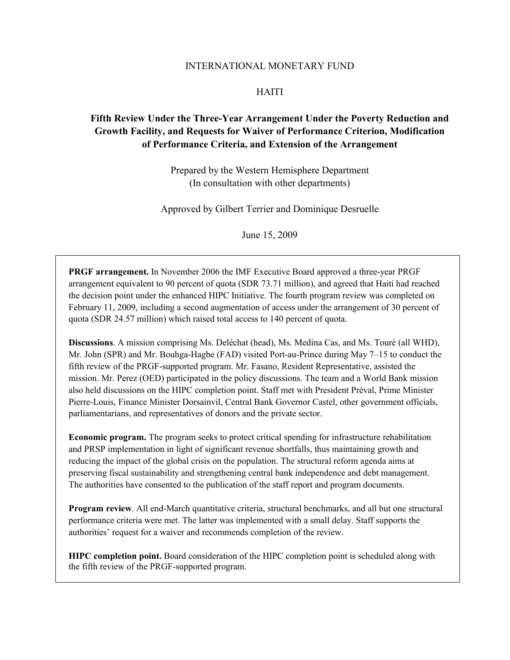#### INTERNATIONAL MONETARY FUND

#### HAITI

## **Fifth Review Under the Three-Year Arrangement Under the Poverty Reduction and Growth Facility, and Requests for Waiver of Performance Criterion, Modification of Performance Criteria, and Extension of the Arrangement**

Prepared by the Western Hemisphere Department (In consultation with other departments)

Approved by Gilbert Terrier and Dominique Desruelle

June 15, 2009

**PRGF arrangement.** In November 2006 the IMF Executive Board approved a three-year PRGF arrangement equivalent to 90 percent of quota (SDR 73.71 million), and agreed that Haiti had reached the decision point under the enhanced HIPC Initiative. The fourth program review was completed on February 11, 2009, including a second augmentation of access under the arrangement of 30 percent of quota (SDR 24.57 million) which raised total access to 140 percent of quota.

**Discussions**. A mission comprising Ms. Deléchat (head), Ms. Medina Cas, and Ms. Touré (all WHD), Mr. John (SPR) and Mr. Bouhga-Hagbe (FAD) visited Port-au-Prince during May 7–15 to conduct the fifth review of the PRGF-supported program. Mr. Fasano, Resident Representative, assisted the mission. Mr. Perez (OED) participated in the policy discussions. The team and a World Bank mission also held discussions on the HIPC completion point. Staff met with President Préval, Prime Minister Pierre-Louis, Finance Minister Dorsainvil, Central Bank Governor Castel, other government officials, parliamentarians, and representatives of donors and the private sector.

**Economic program.** The program seeks to protect critical spending for infrastructure rehabilitation and PRSP implementation in light of significant revenue shortfalls, thus maintaining growth and reducing the impact of the global crisis on the population. The structural reform agenda aims at preserving fiscal sustainability and strengthening central bank independence and debt management. The authorities have consented to the publication of the staff report and program documents.

**Program review**. All end-March quantitative criteria, structural benchmarks, and all but one structural performance criteria were met. The latter was implemented with a small delay. Staff supports the authorities' request for a waiver and recommends completion of the review.

**HIPC completion point.** Board consideration of the HIPC completion point is scheduled along with the fifth review of the PRGF-supported program.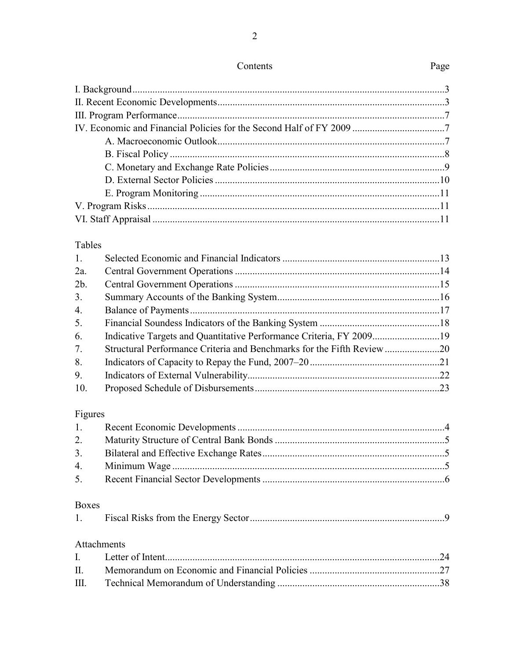$\overline{2}$ 

# Tables

| 1.  |                                                                        |  |
|-----|------------------------------------------------------------------------|--|
| 2a. |                                                                        |  |
| 2b. |                                                                        |  |
| 3.  |                                                                        |  |
| 4.  |                                                                        |  |
| 5.  |                                                                        |  |
| 6.  |                                                                        |  |
| 7.  | Structural Performance Criteria and Benchmarks for the Fifth Review 20 |  |
| 8.  |                                                                        |  |
| 9.  |                                                                        |  |
| 10. |                                                                        |  |

# Figures

| 2. |  |
|----|--|
|    |  |
|    |  |
|    |  |
|    |  |

# Boxes

|--|--|--|

# Attachments

# Page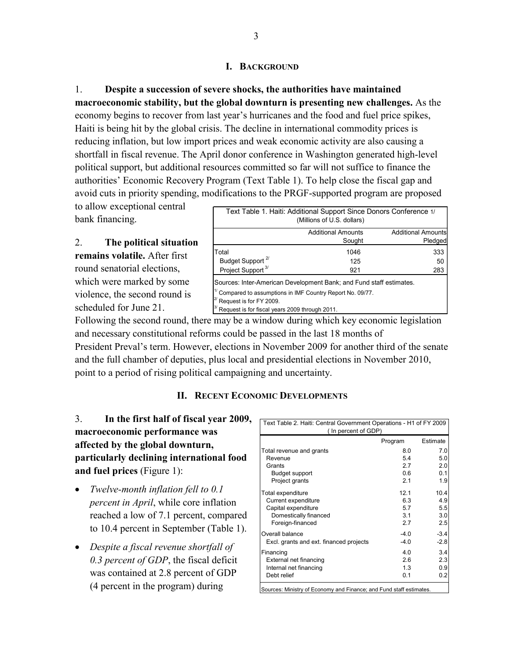## **I. BACKGROUND**

1. **Despite a succession of severe shocks, the authorities have maintained macroeconomic stability, but the global downturn is presenting new challenges.** As the economy begins to recover from last year's hurricanes and the food and fuel price spikes, Haiti is being hit by the global crisis. The decline in international commodity prices is reducing inflation, but low import prices and weak economic activity are also causing a shortfall in fiscal revenue. The April donor conference in Washington generated high-level political support, but additional resources committed so far will not suffice to finance the authorities' Economic Recovery Program (Text Table 1). To help close the fiscal gap and avoid cuts in priority spending, modifications to the PRGF-supported program are proposed

to allow exceptional central bank financing.

2. **The political situation remains volatile.** After first round senatorial elections, which were marked by some violence, the second round is scheduled for June 21.

|                                                                                                      | Text Table 1. Haiti: Additional Support Since Donors Conference 1/<br>(Millions of U.S. dollars)                                      |                                      |
|------------------------------------------------------------------------------------------------------|---------------------------------------------------------------------------------------------------------------------------------------|--------------------------------------|
|                                                                                                      | <b>Additional Amounts</b><br>Sought                                                                                                   | <b>Additional Amounts</b><br>Pledged |
| Total<br>Budget Support <sup>2/</sup><br>Project Support <sup>3/</sup>                               | 1046<br>125<br>921                                                                                                                    | 333<br>50<br>283                     |
| $2^{\prime}$ Request is for FY 2009.<br><sup>3/</sup> Request is for fiscal years 2009 through 2011. | Sources: Inter-American Development Bank; and Fund staff estimates.<br>$1/2$ Compared to assumptions in IMF Country Report No. 09/77. |                                      |

Following the second round, there may be a window during which key economic legislation and necessary constitutional reforms could be passed in the last 18 months of President Preval's term. However, elections in November 2009 for another third of the senate and the full chamber of deputies, plus local and presidential elections in November 2010, point to a period of rising political campaigning and uncertainty.

#### **II. RECENT ECONOMIC DEVELOPMENTS**

# 3. **In the first half of fiscal year 2009, macroeconomic performance was affected by the global downturn, particularly declining international food and fuel prices** (Figure 1):

- *Twelve-month inflation fell to 0.1 percent in April*, while core inflation reached a low of 7.1 percent, compared to 10.4 percent in September (Table 1).
- *Despite a fiscal revenue shortfall of 0.3 percent of GDP*, the fiscal deficit was contained at 2.8 percent of GDP (4 percent in the program) during

| Text Table 2. Haiti: Central Government Operations - H1 of FY 2009<br>(In percent of GDP) |         |          |  |  |  |
|-------------------------------------------------------------------------------------------|---------|----------|--|--|--|
|                                                                                           | Program | Estimate |  |  |  |
| Total revenue and grants                                                                  | 8.0     | 7.0      |  |  |  |
| Revenue                                                                                   | 54      | 5.0      |  |  |  |
| Grants                                                                                    | 27      | 2.0      |  |  |  |
| Budget support                                                                            | 0 6     | 0.1      |  |  |  |
| Project grants                                                                            | 21      | 1.9      |  |  |  |
| Total expenditure                                                                         | 121     | 10.4     |  |  |  |
| Current expenditure                                                                       | 63      | 4.9      |  |  |  |
| Capital expenditure                                                                       | 57      | 5.5      |  |  |  |
| Domestically financed                                                                     | 3.1     | 3.0      |  |  |  |
| Foreign-financed                                                                          | 2.7     | 2.5      |  |  |  |
| Overall balance                                                                           | $-4.0$  | $-3.4$   |  |  |  |
| Excl. grants and ext. financed projects                                                   | $-4.0$  | $-2.8$   |  |  |  |
| Financing                                                                                 | 4 O     | 3.4      |  |  |  |
| External net financing                                                                    | 26      | 2.3      |  |  |  |
| Internal net financing                                                                    | 13      | 0.9      |  |  |  |
| Debt relief                                                                               | 0.1     | 0.2      |  |  |  |
| Sources: Ministry of Economy and Finance; and Fund staff estimates.                       |         |          |  |  |  |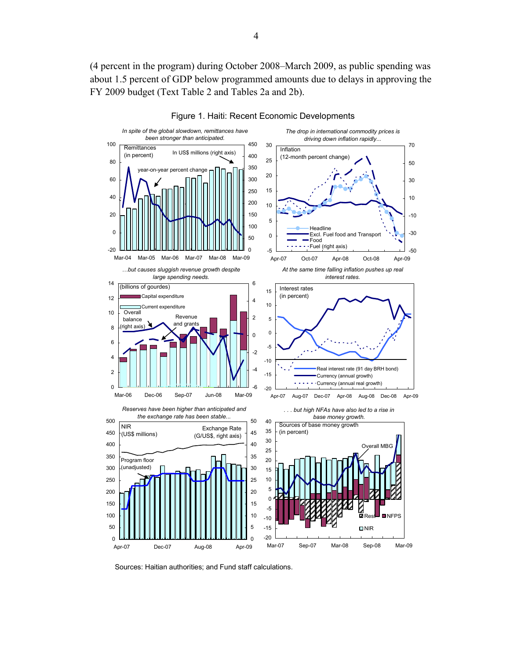(4 percent in the program) during October 2008–March 2009, as public spending was about 1.5 percent of GDP below programmed amounts due to delays in approving the FY 2009 budget (Text Table 2 and Tables 2a and 2b).





Sources: Haitian authorities; and Fund staff calculations.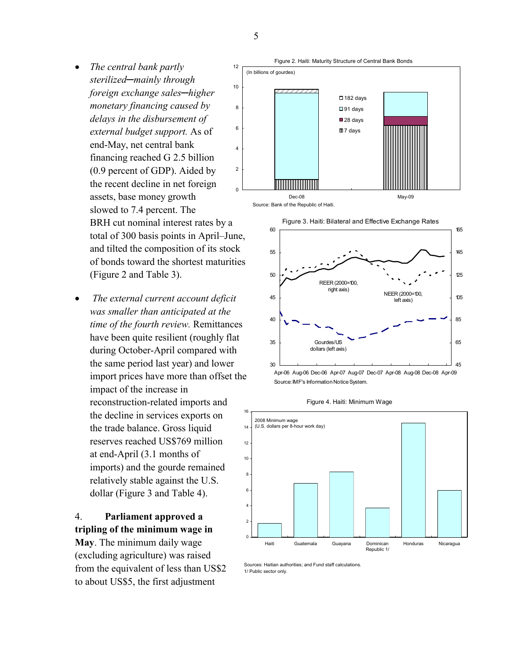- *The central bank partly sterilized─mainly through foreign exchange sales─higher monetary financing caused by delays in the disbursement of external budget support.* As of end-May, net central bank financing reached G 2.5 billion (0.9 percent of GDP). Aided by the recent decline in net foreign assets, base money growth slowed to 7.4 percent. The BRH cut nominal interest rates by a total of 300 basis points in April–June, and tilted the composition of its stock of bonds toward the shortest maturities (Figure 2 and Table 3).
- • *The external current account deficit was smaller than anticipated at the time of the fourth review.* Remittances have been quite resilient (roughly flat during October-April compared with the same period last year) and lower import prices have more than offset the impact of the increase in reconstruction-related imports and the decline in services exports on the trade balance. Gross liquid reserves reached US\$769 million at end-April (3.1 months of imports) and the gourde remained relatively stable against the U.S. dollar (Figure 3 and Table 4).

# 4. **Parliament approved a tripling of the minimum wage in**

**May**. The minimum daily wage (excluding agriculture) was raised from the equivalent of less than US\$2 to about US\$5, the first adjustment







Figure 4. Haiti: Minimum Wage



Sources: Haitian authorities; and Fund staff calculations. 1/ Public sector only.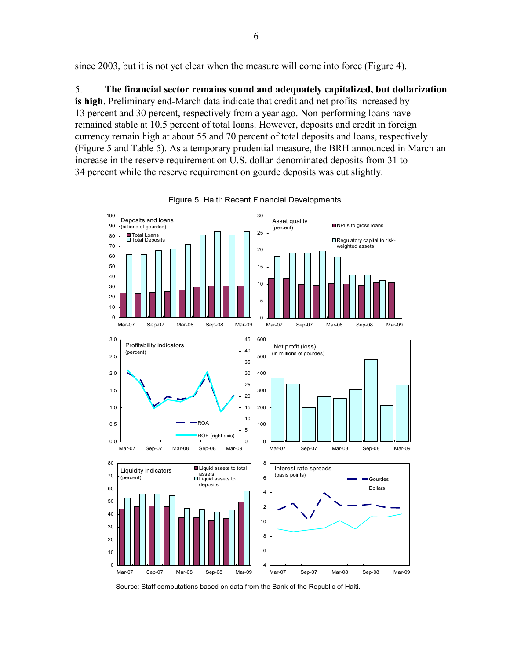since 2003, but it is not yet clear when the measure will come into force (Figure 4).

5. **The financial sector remains sound and adequately capitalized, but dollarization is high**. Preliminary end-March data indicate that credit and net profits increased by 13 percent and 30 percent, respectively from a year ago. Non-performing loans have remained stable at 10.5 percent of total loans. However, deposits and credit in foreign currency remain high at about 55 and 70 percent of total deposits and loans, respectively (Figure 5 and Table 5). As a temporary prudential measure, the BRH announced in March an increase in the reserve requirement on U.S. dollar-denominated deposits from 31 to 34 percent while the reserve requirement on gourde deposits was cut slightly.



Figure 5. Haiti: Recent Financial Developments

Source: Staff computations based on data from the Bank of the Republic of Haiti.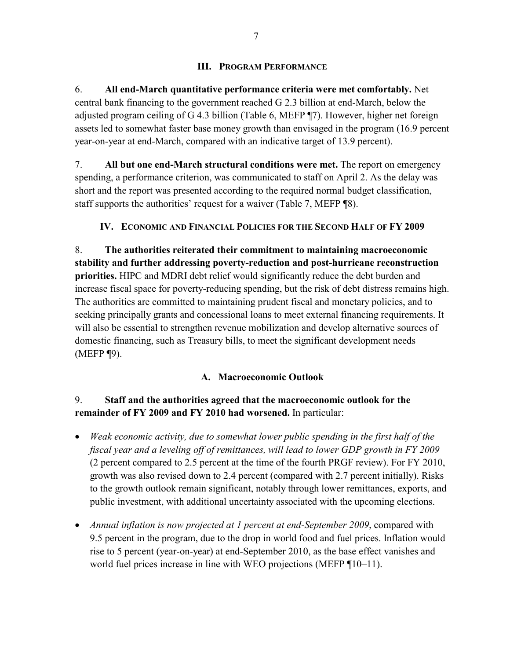## **III. PROGRAM PERFORMANCE**

6. **All end-March quantitative performance criteria were met comfortably.** Net central bank financing to the government reached G 2.3 billion at end-March, below the adjusted program ceiling of G 4.3 billion (Table 6, MEFP ¶7). However, higher net foreign assets led to somewhat faster base money growth than envisaged in the program (16.9 percent year-on-year at end-March, compared with an indicative target of 13.9 percent).

7. **All but one end-March structural conditions were met.** The report on emergency spending, a performance criterion, was communicated to staff on April 2. As the delay was short and the report was presented according to the required normal budget classification, staff supports the authorities' request for a waiver (Table 7, MEFP ¶8).

## **IV. ECONOMIC AND FINANCIAL POLICIES FOR THE SECOND HALF OF FY 2009**

8. **The authorities reiterated their commitment to maintaining macroeconomic stability and further addressing poverty-reduction and post-hurricane reconstruction priorities.** HIPC and MDRI debt relief would significantly reduce the debt burden and increase fiscal space for poverty-reducing spending, but the risk of debt distress remains high. The authorities are committed to maintaining prudent fiscal and monetary policies, and to seeking principally grants and concessional loans to meet external financing requirements. It will also be essential to strengthen revenue mobilization and develop alternative sources of domestic financing, such as Treasury bills, to meet the significant development needs (MEFP ¶9).

## **A. Macroeconomic Outlook**

## 9. **Staff and the authorities agreed that the macroeconomic outlook for the remainder of FY 2009 and FY 2010 had worsened.** In particular:

- *Weak economic activity, due to somewhat lower public spending in the first half of the fiscal year and a leveling off of remittances, will lead to lower GDP growth in FY 2009* (2 percent compared to 2.5 percent at the time of the fourth PRGF review). For FY 2010, growth was also revised down to 2.4 percent (compared with 2.7 percent initially). Risks to the growth outlook remain significant, notably through lower remittances, exports, and public investment, with additional uncertainty associated with the upcoming elections.
- *Annual inflation is now projected at 1 percent at end-September 2009*, compared with 9.5 percent in the program, due to the drop in world food and fuel prices. Inflation would rise to 5 percent (year-on-year) at end-September 2010, as the base effect vanishes and world fuel prices increase in line with WEO projections (MEFP ¶10–11).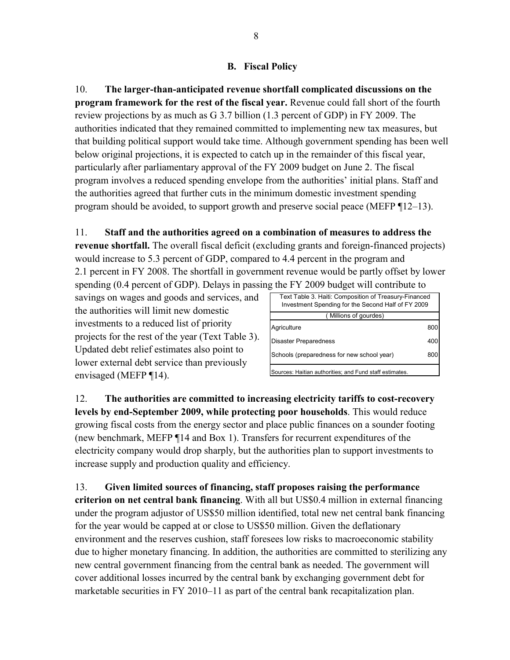## **B. Fiscal Policy**

10. **The larger-than-anticipated revenue shortfall complicated discussions on the program framework for the rest of the fiscal year.** Revenue could fall short of the fourth review projections by as much as G 3.7 billion (1.3 percent of GDP) in FY 2009. The authorities indicated that they remained committed to implementing new tax measures, but that building political support would take time. Although government spending has been well below original projections, it is expected to catch up in the remainder of this fiscal year, particularly after parliamentary approval of the FY 2009 budget on June 2. The fiscal program involves a reduced spending envelope from the authorities' initial plans. Staff and the authorities agreed that further cuts in the minimum domestic investment spending program should be avoided, to support growth and preserve social peace (MEFP ¶12–13).

## 11. **Staff and the authorities agreed on a combination of measures to address the**

**revenue shortfall.** The overall fiscal deficit (excluding grants and foreign-financed projects) would increase to 5.3 percent of GDP, compared to 4.4 percent in the program and 2.1 percent in FY 2008. The shortfall in government revenue would be partly offset by lower spending (0.4 percent of GDP). Delays in passing the FY 2009 budget will contribute to

savings on wages and goods and services, and the authorities will limit new domestic investments to a reduced list of priority projects for the rest of the year (Text Table 3). Updated debt relief estimates also point to lower external debt service than previously envisaged (MEFP ¶14).

| Text Table 3. Haiti: Composition of Treasury-Financed<br>Investment Spending for the Second Half of FY 2009 |     |
|-------------------------------------------------------------------------------------------------------------|-----|
|                                                                                                             |     |
| ( Millions of gourdes)                                                                                      |     |
| Agriculture                                                                                                 | 80C |
| <b>Disaster Preparedness</b>                                                                                | 400 |
| Schools (preparedness for new school year)                                                                  | 800 |
| Sources: Haitian authorities; and Fund staff estimates.                                                     |     |

12. **The authorities are committed to increasing electricity tariffs to cost-recovery levels by end-September 2009, while protecting poor households**. This would reduce growing fiscal costs from the energy sector and place public finances on a sounder footing (new benchmark, MEFP ¶14 and Box 1). Transfers for recurrent expenditures of the electricity company would drop sharply, but the authorities plan to support investments to increase supply and production quality and efficiency.

13. **Given limited sources of financing, staff proposes raising the performance criterion on net central bank financing**. With all but US\$0.4 million in external financing under the program adjustor of US\$50 million identified, total new net central bank financing for the year would be capped at or close to US\$50 million. Given the deflationary environment and the reserves cushion, staff foresees low risks to macroeconomic stability due to higher monetary financing. In addition, the authorities are committed to sterilizing any new central government financing from the central bank as needed. The government will cover additional losses incurred by the central bank by exchanging government debt for marketable securities in FY 2010–11 as part of the central bank recapitalization plan.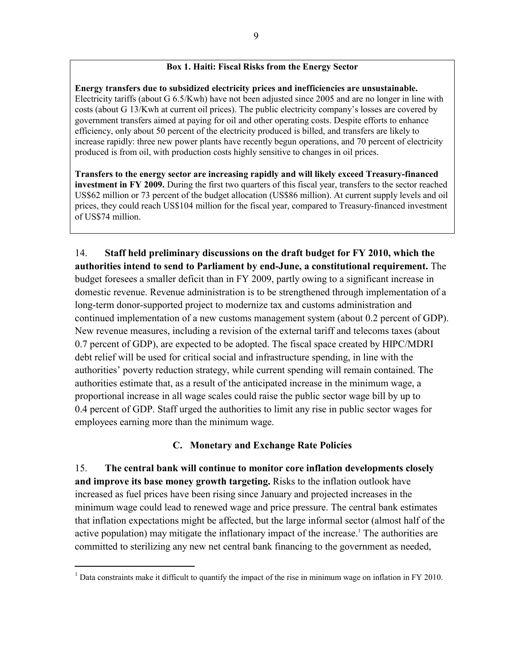#### **Box 1. Haiti: Fiscal Risks from the Energy Sector**

**Energy transfers due to subsidized electricity prices and inefficiencies are unsustainable.** Electricity tariffs (about G 6.5/Kwh) have not been adjusted since 2005 and are no longer in line with costs (about G 13/Kwh at current oil prices). The public electricity company's losses are covered by government transfers aimed at paying for oil and other operating costs. Despite efforts to enhance efficiency, only about 50 percent of the electricity produced is billed, and transfers are likely to increase rapidly: three new power plants have recently begun operations, and 70 percent of electricity produced is from oil, with production costs highly sensitive to changes in oil prices.

**Transfers to the energy sector are increasing rapidly and will likely exceed Treasury-financed investment in FY 2009.** During the first two quarters of this fiscal year, transfers to the sector reached US\$62 million or 73 percent of the budget allocation (US\$86 million). At current supply levels and oil prices, they could reach US\$104 million for the fiscal year, compared to Treasury-financed investment of US\$74 million.

14. **Staff held preliminary discussions on the draft budget for FY 2010, which the authorities intend to send to Parliament by end-June, a constitutional requirement.** The budget foresees a smaller deficit than in FY 2009, partly owing to a significant increase in domestic revenue. Revenue administration is to be strengthened through implementation of a long-term donor-supported project to modernize tax and customs administration and continued implementation of a new customs management system (about 0.2 percent of GDP). New revenue measures, including a revision of the external tariff and telecoms taxes (about 0.7 percent of GDP), are expected to be adopted. The fiscal space created by HIPC/MDRI debt relief will be used for critical social and infrastructure spending, in line with the authorities' poverty reduction strategy, while current spending will remain contained. The authorities estimate that, as a result of the anticipated increase in the minimum wage, a proportional increase in all wage scales could raise the public sector wage bill by up to 0.4 percent of GDP. Staff urged the authorities to limit any rise in public sector wages for employees earning more than the minimum wage.

#### **C. Monetary and Exchange Rate Policies**

15. **The central bank will continue to monitor core inflation developments closely and improve its base money growth targeting.** Risks to the inflation outlook have increased as fuel prices have been rising since January and projected increases in the minimum wage could lead to renewed wage and price pressure. The central bank estimates that inflation expectations might be affected, but the large informal sector (almost half of the active population) may mitigate the inflationary impact of the increase.<sup>1</sup> The authorities are committed to sterilizing any new net central bank financing to the government as needed,

 $\overline{a}$ 

<sup>&</sup>lt;sup>1</sup> Data constraints make it difficult to quantify the impact of the rise in minimum wage on inflation in FY 2010.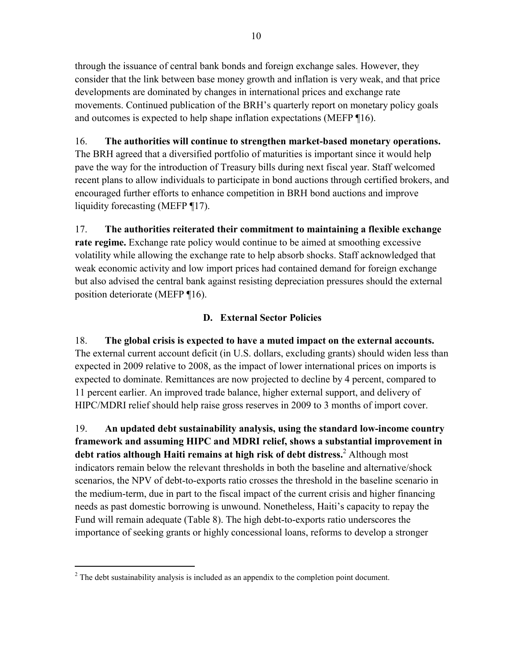through the issuance of central bank bonds and foreign exchange sales. However, they consider that the link between base money growth and inflation is very weak, and that price developments are dominated by changes in international prices and exchange rate movements. Continued publication of the BRH's quarterly report on monetary policy goals and outcomes is expected to help shape inflation expectations (MEFP ¶16).

# 16. **The authorities will continue to strengthen market-based monetary operations.**

The BRH agreed that a diversified portfolio of maturities is important since it would help pave the way for the introduction of Treasury bills during next fiscal year. Staff welcomed recent plans to allow individuals to participate in bond auctions through certified brokers, and encouraged further efforts to enhance competition in BRH bond auctions and improve liquidity forecasting (MEFP ¶17).

17. **The authorities reiterated their commitment to maintaining a flexible exchange rate regime.** Exchange rate policy would continue to be aimed at smoothing excessive volatility while allowing the exchange rate to help absorb shocks. Staff acknowledged that weak economic activity and low import prices had contained demand for foreign exchange but also advised the central bank against resisting depreciation pressures should the external position deteriorate (MEFP ¶16).

# **D. External Sector Policies**

18. **The global crisis is expected to have a muted impact on the external accounts.**  The external current account deficit (in U.S. dollars, excluding grants) should widen less than expected in 2009 relative to 2008, as the impact of lower international prices on imports is expected to dominate. Remittances are now projected to decline by 4 percent, compared to 11 percent earlier. An improved trade balance, higher external support, and delivery of HIPC/MDRI relief should help raise gross reserves in 2009 to 3 months of import cover.

19. **An updated debt sustainability analysis, using the standard low-income country framework and assuming HIPC and MDRI relief, shows a substantial improvement in debt ratios although Haiti remains at high risk of debt distress.**<sup>2</sup> Although most indicators remain below the relevant thresholds in both the baseline and alternative/shock scenarios, the NPV of debt-to-exports ratio crosses the threshold in the baseline scenario in the medium-term, due in part to the fiscal impact of the current crisis and higher financing needs as past domestic borrowing is unwound. Nonetheless, Haiti's capacity to repay the Fund will remain adequate (Table 8). The high debt-to-exports ratio underscores the importance of seeking grants or highly concessional loans, reforms to develop a stronger

 $\overline{a}$ 

 $2^2$  The debt sustainability analysis is included as an appendix to the completion point document.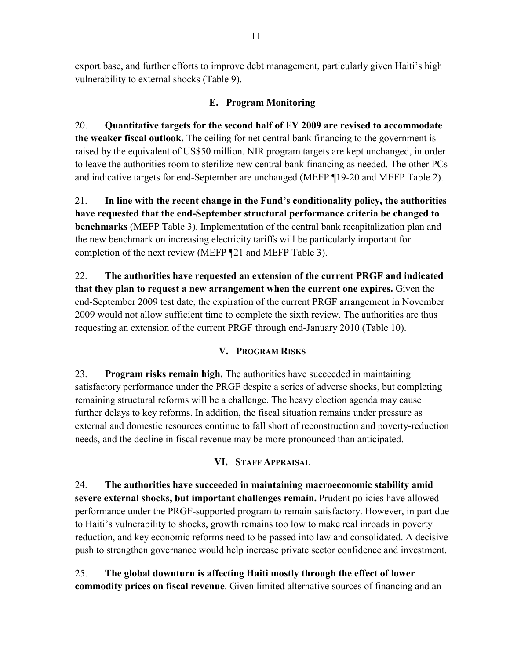export base, and further efforts to improve debt management, particularly given Haiti's high vulnerability to external shocks (Table 9).

# **E. Program Monitoring**

20. **Quantitative targets for the second half of FY 2009 are revised to accommodate the weaker fiscal outlook.** The ceiling for net central bank financing to the government is raised by the equivalent of US\$50 million. NIR program targets are kept unchanged, in order to leave the authorities room to sterilize new central bank financing as needed. The other PCs and indicative targets for end-September are unchanged (MEFP ¶19-20 and MEFP Table 2).

21. **In line with the recent change in the Fund's conditionality policy, the authorities have requested that the end-September structural performance criteria be changed to benchmarks** (MEFP Table 3). Implementation of the central bank recapitalization plan and the new benchmark on increasing electricity tariffs will be particularly important for completion of the next review (MEFP ¶21 and MEFP Table 3).

22. **The authorities have requested an extension of the current PRGF and indicated that they plan to request a new arrangement when the current one expires.** Given the end-September 2009 test date, the expiration of the current PRGF arrangement in November 2009 would not allow sufficient time to complete the sixth review. The authorities are thus requesting an extension of the current PRGF through end-January 2010 (Table 10).

# **V. PROGRAM RISKS**

23. **Program risks remain high.** The authorities have succeeded in maintaining satisfactory performance under the PRGF despite a series of adverse shocks, but completing remaining structural reforms will be a challenge. The heavy election agenda may cause further delays to key reforms. In addition, the fiscal situation remains under pressure as external and domestic resources continue to fall short of reconstruction and poverty-reduction needs, and the decline in fiscal revenue may be more pronounced than anticipated.

## **VI. STAFF APPRAISAL**

24. **The authorities have succeeded in maintaining macroeconomic stability amid severe external shocks, but important challenges remain.** Prudent policies have allowed performance under the PRGF-supported program to remain satisfactory. However, in part due to Haiti's vulnerability to shocks, growth remains too low to make real inroads in poverty reduction, and key economic reforms need to be passed into law and consolidated. A decisive push to strengthen governance would help increase private sector confidence and investment.

25. **The global downturn is affecting Haiti mostly through the effect of lower commodity prices on fiscal revenue**. Given limited alternative sources of financing and an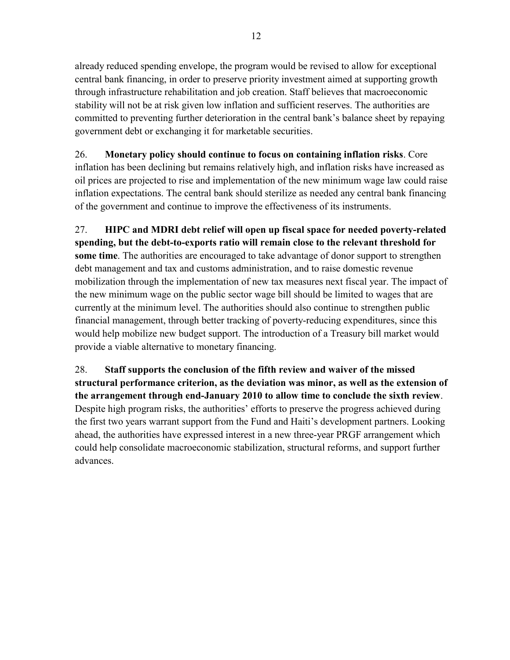already reduced spending envelope, the program would be revised to allow for exceptional central bank financing, in order to preserve priority investment aimed at supporting growth through infrastructure rehabilitation and job creation. Staff believes that macroeconomic stability will not be at risk given low inflation and sufficient reserves. The authorities are committed to preventing further deterioration in the central bank's balance sheet by repaying government debt or exchanging it for marketable securities.

26. **Monetary policy should continue to focus on containing inflation risks**. Core inflation has been declining but remains relatively high, and inflation risks have increased as oil prices are projected to rise and implementation of the new minimum wage law could raise inflation expectations. The central bank should sterilize as needed any central bank financing of the government and continue to improve the effectiveness of its instruments.

27. **HIPC and MDRI debt relief will open up fiscal space for needed poverty-related spending, but the debt-to-exports ratio will remain close to the relevant threshold for some time**. The authorities are encouraged to take advantage of donor support to strengthen debt management and tax and customs administration, and to raise domestic revenue mobilization through the implementation of new tax measures next fiscal year. The impact of the new minimum wage on the public sector wage bill should be limited to wages that are currently at the minimum level. The authorities should also continue to strengthen public financial management, through better tracking of poverty-reducing expenditures, since this would help mobilize new budget support. The introduction of a Treasury bill market would provide a viable alternative to monetary financing.

28. **Staff supports the conclusion of the fifth review and waiver of the missed structural performance criterion, as the deviation was minor, as well as the extension of the arrangement through end-January 2010 to allow time to conclude the sixth review**. Despite high program risks, the authorities' efforts to preserve the progress achieved during the first two years warrant support from the Fund and Haiti's development partners. Looking ahead, the authorities have expressed interest in a new three-year PRGF arrangement which could help consolidate macroeconomic stabilization, structural reforms, and support further advances.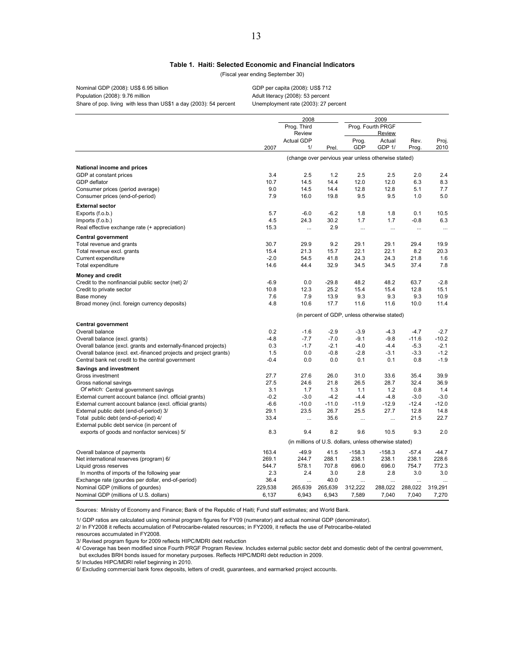#### **Table 1. Haiti: Selected Economic and Financial Indicators**

(Fiscal year ending September 30)

Nominal GDP (2008): US\$ 6.95 billion GDP per capita (2008): US\$ 712 Population (2008): 9.76 million Adult literacy (2008): 53 percent Share of pop. living with less than US\$1 a day (2003): 54 percent Unemployment rate (2003): 27 percent

2000

2009

|                                                                   |         | <u>zuu8</u>       |         |                                                        | <b>SOOA</b>       |          |          |
|-------------------------------------------------------------------|---------|-------------------|---------|--------------------------------------------------------|-------------------|----------|----------|
|                                                                   |         | Prog. Third       |         |                                                        | Prog. Fourth PRGF |          |          |
|                                                                   |         | Review            |         |                                                        | Review            |          |          |
|                                                                   |         | <b>Actual GDP</b> |         | Prog.                                                  | Actual            | Rev.     | Proj.    |
|                                                                   | 2007    | 1/                | Prel.   | GDP                                                    | GDP 1/            | Prog.    | 2010     |
|                                                                   |         |                   |         | (change over pervious year unless otherwise stated)    |                   |          |          |
| National income and prices                                        |         |                   |         |                                                        |                   |          |          |
| GDP at constant prices                                            | 3.4     | 2.5               | 1.2     | 2.5                                                    | 2.5               | 2.0      | 2.4      |
| <b>GDP</b> deflator                                               | 10.7    | 14.5              | 14.4    | 12.0                                                   | 12.0              | 6.3      | 8.3      |
| Consumer prices (period average)                                  | 9.0     | 14.5              | 14.4    | 12.8                                                   | 12.8              | 5.1      | 7.7      |
| Consumer prices (end-of-period)                                   | 7.9     | 16.0              | 19.8    | 9.5                                                    | 9.5               | 1.0      | 5.0      |
| <b>External sector</b>                                            |         |                   |         |                                                        |                   |          |          |
| Exports (f.o.b.)                                                  | 5.7     | $-6.0$            | $-6.2$  | 1.8                                                    | 1.8               | 0.1      | 10.5     |
| Imports (f.o.b.)                                                  | 4.5     | 24.3              | 30.2    | 1.7                                                    | 1.7               | $-0.8$   | 6.3      |
| Real effective exchange rate (+ appreciation)                     | 15.3    | $\ddots$          | 2.9     | $\cdots$                                               | $\cdots$          | $\cdots$ | $\cdots$ |
| <b>Central government</b>                                         |         |                   |         |                                                        |                   |          |          |
| Total revenue and grants                                          | 30.7    | 29.9              | 9.2     | 29.1                                                   | 29.1              | 29.4     | 19.9     |
| Total revenue excl. grants                                        | 15.4    | 21.3              | 15.7    | 22.1                                                   | 22.1              | 8.2      | 20.3     |
| Current expenditure                                               | $-2.0$  | 54.5              | 41.8    | 24.3                                                   | 24.3              | 21.8     | 1.6      |
| Total expenditure                                                 | 14.6    | 44.4              | 32.9    | 34.5                                                   | 34.5              | 37.4     | 7.8      |
| <b>Money and credit</b>                                           |         |                   |         |                                                        |                   |          |          |
| Credit to the nonfinancial public sector (net) 2/                 | $-6.9$  | 0.0               | $-29.8$ | 48.2                                                   | 48.2              | 63.7     | $-2.8$   |
| Credit to private sector                                          | 10.8    | 12.3              | 25.2    | 15.4                                                   | 15.4              | 12.8     | 15.1     |
| Base money                                                        | 7.6     | 7.9               | 13.9    | 9.3                                                    | 9.3               | 9.3      | 10.9     |
| Broad money (incl. foreign currency deposits)                     | 4.8     | 10.6              | 17.7    | 11.6                                                   | 11.6              | 10.0     | 11.4     |
|                                                                   |         |                   |         | (in percent of GDP, unless otherwise stated)           |                   |          |          |
| <b>Central government</b>                                         |         |                   |         |                                                        |                   |          |          |
| Overall balance                                                   | 0.2     | $-1.6$            | $-2.9$  | $-3.9$                                                 | $-4.3$            | $-4.7$   | $-2.7$   |
| Overall balance (excl. grants)                                    | $-4.8$  | $-7.7$            | $-7.0$  | $-9.1$                                                 | $-9.8$            | $-11.6$  | $-10.2$  |
| Overall balance (excl. grants and externally-financed projects)   | 0.3     | $-1.7$            | $-2.1$  | $-4.0$                                                 | $-4.4$            | $-5.3$   | $-2.1$   |
| Overall balance (excl. ext.-financed projects and project grants) | 1.5     | 0.0               | $-0.8$  | $-2.8$                                                 | $-3.1$            | $-3.3$   | $-1.2$   |
| Central bank net credit to the central government                 | $-0.4$  | 0.0               | 0.0     | 0.1                                                    | 0.1               | 0.8      | $-1.9$   |
| <b>Savings and investment</b>                                     |         |                   |         |                                                        |                   |          |          |
| Gross investment                                                  | 27.7    | 27.6              | 26.0    | 31.0                                                   | 33.6              | 35.4     | 39.9     |
| Gross national savings                                            | 27.5    | 24.6              | 21.8    | 26.5                                                   | 28.7              | 32.4     | 36.9     |
| Of which: Central government savings                              | 3.1     | 1.7               | 1.3     | 1.1                                                    | 1.2               | 0.8      | 1.4      |
| External current account balance (incl. official grants)          | $-0.2$  | $-3.0$            | $-4.2$  | $-4.4$                                                 | $-4.8$            | $-3.0$   | $-3.0$   |
| External current account balance (excl. official grants)          | $-6.6$  | $-10.0$           | $-11.0$ | $-11.9$                                                | $-12.9$           | $-12.4$  | $-12.0$  |
| External public debt (end-of-period) 3/                           | 29.1    | 23.5              | 26.7    | 25.5                                                   | 27.7              | 12.8     | 14.8     |
| Total public debt (end-of-period) 4/                              | 33.4    | $\ddots$          | 35.6    | $\cdots$                                               | $\cdots$          | 21.5     | 22.7     |
| External public debt service (in percent of                       |         |                   |         |                                                        |                   |          |          |
| exports of goods and nonfactor services) 5/                       | 8.3     | 9.4               | 8.2     | 9.6                                                    | 10.5              | 9.3      | 2.0      |
|                                                                   |         |                   |         | (in millions of U.S. dollars, unless otherwise stated) |                   |          |          |
| Overall balance of payments                                       | 163.4   | $-49.9$           | 41.5    | $-158.3$                                               | $-158.3$          | $-57.4$  | $-44.7$  |
| Net international reserves (program) 6/                           | 269.1   | 244.7             | 288.1   | 238.1                                                  | 238.1             | 238.1    | 228.6    |
| Liquid gross reserves                                             | 544.7   | 578.1             | 707.8   | 696.0                                                  | 696.0             | 754.7    | 772.3    |
| In months of imports of the following year                        | 2.3     | 2.4               | 3.0     | 2.8                                                    | 2.8               | 3.0      | 3.0      |
| Exchange rate (gourdes per dollar, end-of-period)                 | 36.4    |                   | 40.0    |                                                        |                   |          |          |
| Nominal GDP (millions of gourdes)                                 | 229,538 | 265,639           | 265,639 | 312,222                                                | 288,022           | 288,022  | 319,291  |
| Nominal GDP (millions of U.S. dollars)                            | 6.137   | 6.943             | 6.943   | 7.589                                                  | 7.040             | 7.040    | 7,270    |

Sources: Ministry of Economy and Finance; Bank of the Republic of Haiti; Fund staff estimates; and World Bank.

1/ GDP ratios are calculated using nominal program figures for FY09 (numerator) and actual nominal GDP (denominator). 2/ In FY2008 it reflects accumulation of Petrocaribe-related resources; in FY2009, it reflects the use of Petrocaribe-related

resources accumulated in FY2008.

3/ Revised program figure for 2009 reflects HIPC/MDRI debt reduction

4/ Coverage has been modified since Fourth PRGF Program Review. Includes external public sector debt and domestic debt of the central government,

but excludes BRH bonds issued for monetary purposes. Reflects HIPC/MDRI debt reduction in 2009.

5/ Includes HIPC/MDRI relief beginning in 2010.

6/ Excluding commercial bank forex deposits, letters of credit, guarantees, and earmarked project accounts.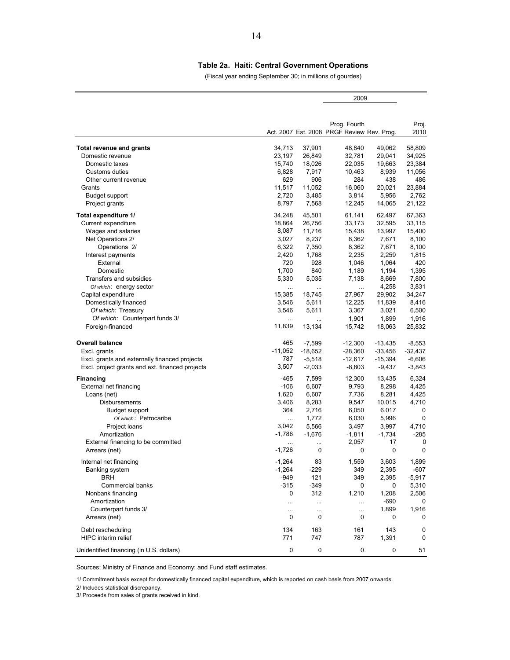#### **Table 2a. Haiti: Central Government Operations**

(Fiscal year ending September 30; in millions of gourdes)

2009

|                                                 |           |           | Prog. Fourth                               |             | Proj.       |
|-------------------------------------------------|-----------|-----------|--------------------------------------------|-------------|-------------|
|                                                 |           |           | Act. 2007 Est. 2008 PRGF Review Rev. Prog. |             | 2010        |
| Total revenue and grants                        | 34,713    | 37,901    | 48,840                                     | 49,062      | 58,809      |
| Domestic revenue                                | 23,197    | 26,849    | 32,781                                     | 29,041      | 34.925      |
| Domestic taxes                                  | 15,740    | 18,026    | 22,035                                     | 19,663      | 23,384      |
| Customs duties                                  | 6,828     | 7,917     | 10,463                                     | 8,939       | 11,056      |
| Other current revenue                           | 629       | 906       | 284                                        | 438         | 486         |
| Grants                                          | 11,517    | 11,052    | 16,060                                     | 20,021      | 23,884      |
| Budget support                                  | 2,720     | 3,485     | 3,814                                      | 5,956       | 2,762       |
| Project grants                                  | 8,797     | 7,568     | 12,245                                     | 14,065      | 21,122      |
| Total expenditure 1/                            | 34,248    | 45,501    | 61,141                                     | 62,497      | 67,363      |
| Current expenditure                             | 18,864    | 26,756    | 33,173                                     | 32,595      | 33,115      |
| Wages and salaries                              | 8,087     | 11,716    | 15,438                                     | 13,997      | 15,400      |
| Net Operations 2/                               | 3,027     | 8,237     | 8,362                                      | 7,671       | 8,100       |
| Operations 2/                                   | 6,322     | 7,350     | 8,362                                      | 7,671       | 8,100       |
| Interest payments                               | 2,420     | 1,768     | 2,235                                      | 2,259       | 1,815       |
| External                                        | 720       | 928       |                                            |             | 420         |
| Domestic                                        | 1,700     |           | 1,046                                      | 1,064       |             |
|                                                 |           | 840       | 1,189                                      | 1,194       | 1,395       |
| Transfers and subsidies                         | 5,330     | 5,035     | 7,138                                      | 8,669       | 7,800       |
| Of which: energy sector                         | $\ddotsc$ | $\cdots$  | $\cdots$                                   | 4,258       | 3,831       |
| Capital expenditure                             | 15,385    | 18,745    | 27,967                                     | 29,902      | 34,247      |
| Domestically financed                           | 3,546     | 5,611     | 12,225                                     | 11,839      | 8,416       |
| Of which: Treasury                              | 3,546     | 5,611     | 3,367                                      | 3,021       | 6,500       |
| Of which: Counterpart funds 3/                  | $\ldots$  | $\cdots$  | 1,901                                      | 1,899       | 1,916       |
| Foreign-financed                                | 11,839    | 13.134    | 15,742                                     | 18,063      | 25,832      |
| <b>Overall balance</b>                          | 465       | $-7,599$  | $-12,300$                                  | $-13,435$   | $-8,553$    |
| Excl. grants                                    | $-11,052$ | $-18,652$ | $-28,360$                                  | $-33,456$   | $-32,437$   |
| Excl. grants and externally financed projects   | 787       | $-5,518$  | $-12,617$                                  | $-15,394$   | $-6,606$    |
| Excl. project grants and ext. financed projects | 3,507     | $-2,033$  | $-8,803$                                   | $-9,437$    | $-3,843$    |
|                                                 |           |           |                                            |             |             |
| <b>Financing</b>                                | -465      | 7,599     | 12,300                                     | 13,435      | 6,324       |
| External net financing                          | $-106$    | 6,607     | 9,793                                      | 8,298       | 4,425       |
| Loans (net)                                     | 1,620     | 6,607     | 7,736                                      | 8,281       | 4,425       |
| Disbursements                                   | 3,406     | 8,283     | 9,547                                      | 10,015      | 4,710       |
| Budget support                                  | 364       | 2,716     | 6,050                                      | 6,017       | 0           |
| Of which: Petrocaribe                           | $\cdots$  | 1,772     | 6,030                                      | 5,996       | $\mathbf 0$ |
| Project loans                                   | 3,042     | 5,566     | 3,497                                      | 3,997       | 4,710       |
| Amortization                                    | $-1,786$  | $-1,676$  | $-1,811$                                   | $-1,734$    | $-285$      |
| External financing to be committed              |           | $\cdots$  | 2,057                                      | 17          | 0           |
| Arrears (net)                                   | $-1,726$  | 0         | 0                                          | $\mathbf 0$ | 0           |
| Internal net financing                          | $-1,264$  | 83        | 1,559                                      | 3,603       | 1,899       |
| Banking system                                  | $-1,264$  | -229      | 349                                        | 2,395       | $-607$      |
| <b>BRH</b>                                      | -949      | 121       | 349                                        | 2,395       | $-5,917$    |
| Commercial banks                                | $-315$    | $-349$    | $\pmb{0}$                                  | $\pmb{0}$   | 5,310       |
| Nonbank financing                               | 0         | 312       | 1,210                                      | 1,208       | 2,506       |
| Amortization                                    | $\ddotsc$ | $\ddotsc$ | $\cdots$                                   | $-690$      | 0           |
| Counterpart funds 3/                            |           | $\cdots$  |                                            | 1,899       | 1,916       |
| Arrears (net)                                   | 0         | 0         | 0                                          | 0           | 0           |
|                                                 |           |           |                                            |             |             |
| Debt rescheduling                               | 134       | 163       | 161                                        | 143         | 0           |
| HIPC interim relief                             | 771       | 747       | 787                                        | 1,391       | 0           |
| Unidentified financing (in U.S. dollars)        | 0         | 0         | 0                                          | 0           | 51          |

Sources: Ministry of Finance and Economy; and Fund staff estimates.

1/ Commitment basis except for domestically financed capital expenditure, which is reported on cash basis from 2007 onwards.

2/ Includes statistical discrepancy.

3/ Proceeds from sales of grants received in kind.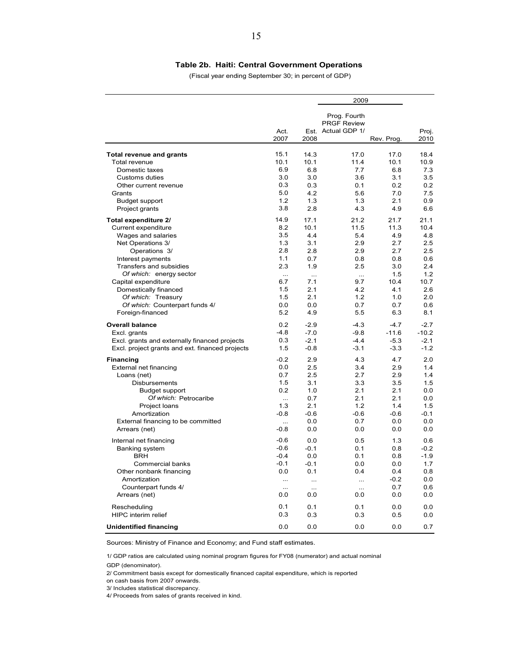#### **Table 2b. Haiti: Central Government Operations**

(Fiscal year ending September 30; in percent of GDP)

|                                                    |              |            | 2009                                                     |            |               |  |
|----------------------------------------------------|--------------|------------|----------------------------------------------------------|------------|---------------|--|
|                                                    | Act.<br>2007 | 2008       | Prog. Fourth<br><b>PRGF Review</b><br>Est. Actual GDP 1/ | Rev. Prog. | Proj.<br>2010 |  |
| <b>Total revenue and grants</b>                    | 15.1         | 14.3       | 17.0                                                     | 17.0       | 18.4          |  |
| Total revenue                                      | 10.1         | 10.1       | 11.4                                                     | 10.1       | 10.9          |  |
| Domestic taxes                                     | 6.9          | 6.8        | 7.7                                                      | 6.8        | 7.3           |  |
| Customs duties                                     | 3.0          | 3.0        | 3.6                                                      | 3.1        | 3.5           |  |
| Other current revenue                              | 0.3          | 0.3        | 0.1                                                      | 0.2        | 0.2           |  |
| Grants                                             | 5.0          | 4.2        | 5.6                                                      | 7.0        | 7.5           |  |
| <b>Budget support</b>                              | 1.2          | 1.3        | 1.3                                                      | 2.1        | 0.9           |  |
| Project grants                                     | 3.8          | 2.8        | 4.3                                                      | 4.9        | 6.6           |  |
| Total expenditure 2/                               | 14.9         | 17.1       | 21.2                                                     | 21.7       | 21.1          |  |
| Current expenditure                                | 8.2          | 10.1       | 11.5                                                     | 11.3       | 10.4          |  |
| Wages and salaries                                 | 3.5          | 4.4        | 5.4                                                      | 4.9        | 4.8           |  |
| Net Operations 3/                                  | 1.3          | 3.1        | 2.9                                                      | 2.7        | 2.5           |  |
| Operations 3/                                      | 2.8          | 2.8        | 2.9                                                      | 2.7        | 2.5           |  |
| Interest payments                                  | 1.1          | 0.7        | 0.8                                                      | 0.8        | 0.6           |  |
| Transfers and subsidies                            | 2.3          | 1.9        | 2.5                                                      | 3.0        | 2.4           |  |
| Of which: energy sector                            | $\ddotsc$    | $\ddotsc$  | $\ldots$                                                 | 1.5        | 1.2           |  |
| Capital expenditure                                | 6.7          | 7.1        | 9.7                                                      | 10.4       | 10.7          |  |
| Domestically financed                              | 1.5          | 2.1        | 4.2                                                      | 4.1        | 2.6           |  |
| Of which: Treasury                                 | 1.5          | 2.1        | 1.2                                                      | 1.0        | 2.0           |  |
| Of which: Counterpart funds 4/<br>Foreign-financed | 0.0<br>5.2   | 0.0<br>4.9 | 0.7<br>5.5                                               | 0.7<br>6.3 | 0.6<br>8.1    |  |
| <b>Overall balance</b>                             | 0.2          | $-2.9$     | $-4.3$                                                   | $-4.7$     | $-2.7$        |  |
| Excl. grants                                       | $-4.8$       | $-7.0$     | $-9.8$                                                   | $-11.6$    | $-10.2$       |  |
| Excl. grants and externally financed projects      | 0.3          | $-2.1$     | $-4.4$                                                   | $-5.3$     | $-2.1$        |  |
| Excl. project grants and ext. financed projects    | 1.5          | $-0.8$     | $-3.1$                                                   | $-3.3$     | $-1.2$        |  |
| <b>Financing</b>                                   | $-0.2$       | 2.9        | 4.3                                                      | 4.7        | 2.0           |  |
| External net financing                             | 0.0          | 2.5        | 3.4                                                      | 2.9        | 1.4           |  |
| Loans (net)                                        | 0.7          | 2.5        | 2.7                                                      | 2.9        | 1.4           |  |
| Disbursements                                      | 1.5          | 3.1        | 3.3                                                      | 3.5        | 1.5           |  |
| <b>Budget support</b>                              | 0.2          | 1.0        | 2.1                                                      | 2.1        | 0.0           |  |
| Of which: Petrocaribe                              | $\cdots$     | 0.7        | 2.1                                                      | 2.1        | 0.0           |  |
| Project loans                                      | 1.3          | 2.1        | 1.2                                                      | 1.4        | 1.5           |  |
| Amortization                                       | $-0.8$       | $-0.6$     | $-0.6$                                                   | $-0.6$     | $-0.1$        |  |
| External financing to be committed                 | $\cdots$     | 0.0        | 0.7                                                      | 0.0        | 0.0           |  |
| Arrears (net)                                      | $-0.8$       | 0.0        | 0.0                                                      | 0.0        | 0.0           |  |
| Internal net financing                             | $-0.6$       | 0.0        | 0.5                                                      | 1.3        | 0.6           |  |
| Banking system                                     | $-0.6$       | $-0.1$     | 0.1                                                      | 0.8        | $-0.2$        |  |
| <b>BRH</b>                                         | $-0.4$       | 0.0        | 0.1                                                      | 0.8        | $-1.9$        |  |
| Commercial banks                                   | $-0.1$       | $-0.1$     | 0.0                                                      | 0.0        | 1.7           |  |
| Other nonbank financing                            | 0.0          | 0.1        | 0.4                                                      | 0.4        | 0.8           |  |
| Amortization                                       | $\ldots$     | $\ddotsc$  | $\ddotsc$                                                | $-0.2$     | 0.0           |  |
| Counterpart funds 4/                               | $\ddotsc$    | $\ddotsc$  | $\ddotsc$                                                | 0.7        | 0.6           |  |
| Arrears (net)                                      | 0.0          | 0.0        | 0.0                                                      | 0.0        | 0.0           |  |
| Rescheduling                                       | 0.1          | 0.1        | 0.1                                                      | 0.0        | 0.0           |  |
| <b>HIPC</b> interim relief                         | 0.3          | 0.3        | 0.3                                                      | 0.5        | 0.0           |  |
| <b>Unidentified financing</b>                      | 0.0          | 0.0        | 0.0                                                      | 0.0        | 0.7           |  |

Sources: Ministry of Finance and Economy; and Fund staff estimates.

1/ GDP ratios are calculated using nominal program figures for FY08 (numerator) and actual nominal GDP (denominator).

2/ Commitment basis except for domestically financed capital expenditure, which is reported

on cash basis from 2007 onwards.

3/ Includes statistical discrepancy.

4/ Proceeds from sales of grants received in kind.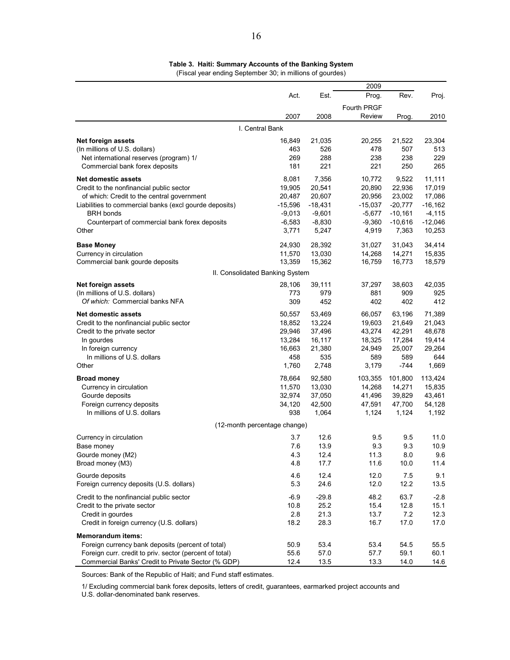**Table 3. Haiti: Summary Accounts of the Banking System** (Fiscal year ending September 30; in millions of gourdes)

|                                                         |                 |           | 2009        |           |            |
|---------------------------------------------------------|-----------------|-----------|-------------|-----------|------------|
|                                                         | Act.            | Est.      | Prog.       | Rev.      | Proj.      |
|                                                         |                 |           | Fourth PRGF |           |            |
|                                                         | 2007            | 2008      | Review      | Prog.     | 2010       |
|                                                         | I. Central Bank |           |             |           |            |
| Net foreign assets                                      | 16,849          | 21,035    | 20,255      | 21,522    | 23,304     |
| (In millions of U.S. dollars)                           | 463             | 526       | 478         | 507       | 513        |
| Net international reserves (program) 1/                 | 269             | 288       | 238         | 238       | 229        |
| Commercial bank forex deposits                          | 181             | 221       | 221         | 250       | 265        |
| <b>Net domestic assets</b>                              | 8,081           | 7,356     | 10,772      | 9,522     | 11,111     |
| Credit to the nonfinancial public sector                | 19,905          | 20,541    | 20,890      | 22,936    | 17,019     |
| of which: Credit to the central government              | 20,487          | 20,607    | 20,956      | 23,002    | 17,086     |
| Liabilities to commercial banks (excl gourde deposits)  | $-15,596$       | $-18,431$ | $-15,037$   | $-20,777$ | $-16, 162$ |
| <b>BRH</b> bonds                                        | $-9,013$        | $-9,601$  | $-5,677$    | $-10,161$ | $-4, 115$  |
| Counterpart of commercial bank forex deposits           | $-6,583$        | $-8,830$  | $-9,360$    | $-10,616$ | $-12,046$  |
| Other                                                   | 3,771           | 5,247     | 4,919       | 7,363     | 10,253     |
| <b>Base Money</b>                                       | 24,930          | 28,392    | 31,027      | 31,043    | 34,414     |
| Currency in circulation                                 | 11,570          | 13,030    | 14,268      | 14,271    | 15,835     |
| Commercial bank gourde deposits                         | 13,359          | 15,362    | 16,759      | 16,773    | 18,579     |
| II. Consolidated Banking System                         |                 |           |             |           |            |
| Net foreign assets                                      | 28,106          | 39,111    | 37,297      | 38,603    | 42,035     |
| (In millions of U.S. dollars)                           | 773             | 979       | 881         | 909       | 925        |
| Of which: Commercial banks NFA                          | 309             | 452       | 402         | 402       | 412        |
| <b>Net domestic assets</b>                              | 50,557          | 53,469    | 66,057      | 63,196    | 71,389     |
| Credit to the nonfinancial public sector                | 18,852          | 13,224    | 19,603      | 21,649    | 21,043     |
| Credit to the private sector                            | 29,946          | 37,496    | 43,274      | 42,291    | 48,678     |
| In gourdes                                              | 13,284          | 16,117    | 18,325      | 17,284    | 19,414     |
| In foreign currency                                     | 16,663          | 21,380    | 24,949      | 25,007    | 29,264     |
| In millions of U.S. dollars                             | 458             | 535       | 589         | 589       | 644        |
| Other                                                   | 1,760           | 2,748     | 3,179       | -744      | 1,669      |
| <b>Broad money</b>                                      | 78,664          | 92,580    | 103,355     | 101,800   | 113,424    |
| Currency in circulation                                 | 11,570          | 13,030    | 14,268      | 14,271    | 15,835     |
| Gourde deposits                                         | 32,974          | 37,050    | 41,496      | 39,829    | 43,461     |
| Foreign currency deposits                               | 34,120          | 42,500    | 47,591      | 47,700    | 54,128     |
| In millions of U.S. dollars                             | 938             | 1,064     | 1,124       | 1,124     | 1,192      |
| (12-month percentage change)                            |                 |           |             |           |            |
| Currency in circulation                                 | 3.7             | 12.6      | 9.5         | 9.5       | 11.0       |
| Base money                                              | 7.6             | 13.9      | 9.3         | 9.3       | 10.9       |
| Gourde money (M2)                                       | 4.3             | 12.4      | 11.3        | 8.0       | 9.6        |
| Broad money (M3)                                        | 4.8             | 17.7      | 11.6        | 10.0      | 11.4       |
| Gourde deposits                                         | 4.6             | 12.4      | 12.0        | 7.5       | 9.1        |
| Foreign currency deposits (U.S. dollars)                | 5.3             | 24.6      | 12.0        | 12.2      | 13.5       |
| Credit to the nonfinancial public sector                | $-6.9$          | -29.8     | 48.2        | 63.7      | $-2.8$     |
| Credit to the private sector                            | 10.8            | 25.2      | 15.4        | 12.8      | 15.1       |
| Credit in gourdes                                       | 2.8             | 21.3      | 13.7        | 7.2       | 12.3       |
| Credit in foreign currency (U.S. dollars)               | 18.2            | 28.3      | 16.7        | 17.0      | 17.0       |
| <b>Memorandum items:</b>                                |                 |           |             |           |            |
| Foreign currency bank deposits (percent of total)       | 50.9            | 53.4      | 53.4        | 54.5      | 55.5       |
| Foreign curr. credit to priv. sector (percent of total) | 55.6            | 57.0      | 57.7        | 59.1      | 60.1       |
| Commercial Banks' Credit to Private Sector (% GDP)      | 12.4            | 13.5      | 13.3        | 14.0      | 14.6       |

Sources: Bank of the Republic of Haiti; and Fund staff estimates.

1/ Excluding commercial bank forex deposits, letters of credit, guarantees, earmarked project accounts and

U.S. dollar-denominated bank reserves.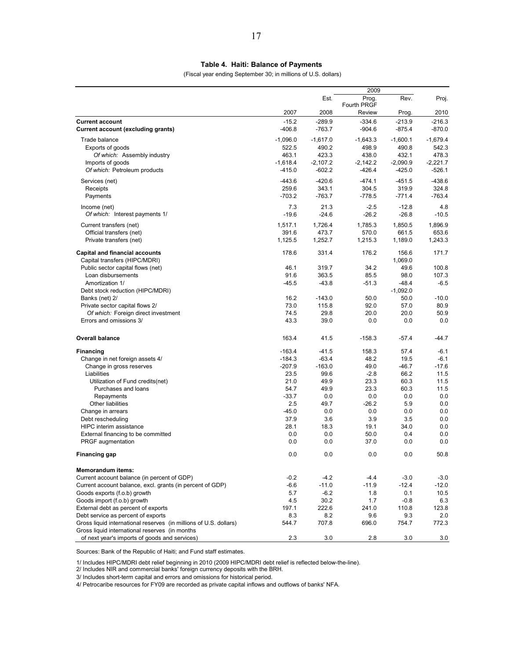(Fiscal year ending September 30; in millions of U.S. dollars)

|                                                                                                                     |             |             | 2009                 |             |            |
|---------------------------------------------------------------------------------------------------------------------|-------------|-------------|----------------------|-------------|------------|
|                                                                                                                     |             | Est.        | Prog.<br>Fourth PRGF | Rev.        | Proj.      |
|                                                                                                                     | 2007        | 2008        | Review               | Prog.       | 2010       |
| <b>Current account</b>                                                                                              | $-15.2$     | $-289.9$    | $-334.6$             | $-213.9$    | $-216.3$   |
| <b>Current account (excluding grants)</b>                                                                           | $-406.8$    | $-763.7$    | $-904.6$             | $-875.4$    | $-870.0$   |
| Trade balance                                                                                                       | $-1,096.0$  | $-1,617.0$  | $-1,643.3$           | $-1,600.1$  | $-1,679.4$ |
| Exports of goods                                                                                                    | 522.5       | 490.2       | 498.9                | 490.8       | 542.3      |
| Of which: Assembly industry                                                                                         | 463.1       | 423.3       | 438.0                | 432.1       | 478.3      |
| Imports of goods                                                                                                    | $-1,618.4$  | $-2,107.2$  | $-2,142.2$           | $-2,090.9$  | $-2,221.7$ |
| Of which: Petroleum products                                                                                        | $-415.0$    | $-602.2$    | $-426.4$             | $-425.0$    | $-526.1$   |
| Services (net)                                                                                                      | $-443.6$    | $-420.6$    | $-474.1$             | $-451.5$    | $-438.6$   |
| Receipts                                                                                                            | 259.6       | 343.1       | 304.5                | 319.9       | 324.8      |
| Payments                                                                                                            | $-703.2$    | $-763.7$    | $-778.5$             | $-771.4$    | $-763.4$   |
| Income (net)                                                                                                        | 7.3         | 21.3        | $-2.5$               | $-12.8$     | 4.8        |
| Of which: Interest payments 1/                                                                                      | $-19.6$     | $-24.6$     | $-26.2$              | $-26.8$     | $-10.5$    |
| Current transfers (net)                                                                                             | 1,517.1     | 1,726.4     | 1,785.3              | 1,850.5     | 1,896.9    |
| Official transfers (net)                                                                                            | 391.6       | 473.7       | 570.0                | 661.5       | 653.6      |
| Private transfers (net)                                                                                             | 1,125.5     | 1,252.7     | 1,215.3              | 1,189.0     | 1,243.3    |
| <b>Capital and financial accounts</b>                                                                               | 178.6       | 331.4       | 176.2                | 156.6       | 171.7      |
| Capital transfers (HIPC/MDRI)                                                                                       |             |             |                      | 1,069.0     |            |
| Public sector capital flows (net)                                                                                   | 46.1        | 319.7       | 34.2                 | 49.6        | 100.8      |
| Loan disbursements                                                                                                  | 91.6        | 363.5       | 85.5                 | 98.0        | 107.3      |
| Amortization 1/                                                                                                     | $-45.5$     | $-43.8$     | $-51.3$              | $-48.4$     | $-6.5$     |
| Debt stock reduction (HIPC/MDRI)                                                                                    |             |             |                      | $-1,092.0$  |            |
| Banks (net) 2/                                                                                                      | 16.2        | $-143.0$    | 50.0                 | 50.0        | $-10.0$    |
| Private sector capital flows 2/                                                                                     | 73.0        | 115.8       | 92.0                 | 57.0        | 80.9       |
| Of which: Foreign direct investment                                                                                 | 74.5        | 29.8        | 20.0                 | 20.0        | 50.9       |
| Errors and omissions 3/                                                                                             | 43.3        | 39.0        | 0.0                  | 0.0         | 0.0        |
| <b>Overall balance</b>                                                                                              | 163.4       | 41.5        | $-158.3$             | $-57.4$     | $-44.7$    |
| Financing                                                                                                           | $-163.4$    | $-41.5$     | 158.3                | 57.4        | $-6.1$     |
| Change in net foreign assets 4/                                                                                     | $-184.3$    | $-63.4$     | 48.2                 | 19.5        | $-6.1$     |
| Change in gross reserves                                                                                            | $-207.9$    | $-163.0$    | 49.0                 | $-46.7$     | $-17.6$    |
| Liabilities                                                                                                         | 23.5        | 99.6        | $-2.8$               | 66.2        | 11.5       |
| Utilization of Fund credits(net)                                                                                    | 21.0        | 49.9        | 23.3                 | 60.3        | 11.5       |
| Purchases and loans                                                                                                 | 54.7        | 49.9        | 23.3                 | 60.3        | 11.5       |
| Repayments                                                                                                          | $-33.7$     | 0.0         | 0.0                  | 0.0         | 0.0        |
| Other liabilities                                                                                                   | 2.5         | 49.7        | $-26.2$              | 5.9         | 0.0        |
| Change in arrears                                                                                                   | $-45.0$     | 0.0         | 0.0                  | 0.0         | 0.0        |
| Debt rescheduling                                                                                                   | 37.9        | 3.6         | 3.9                  | 3.5         | 0.0        |
| <b>HIPC</b> interim assistance                                                                                      | 28.1<br>0.0 | 18.3<br>0.0 | 19.1<br>50.0         | 34.0<br>0.4 | 0.0        |
| External financing to be committed<br>PRGF augmentation                                                             | 0.0         | 0.0         | 37.0                 | 0.0         | 0.0<br>0.0 |
|                                                                                                                     |             |             |                      |             |            |
| Financing gap                                                                                                       | 0.0         | 0.0         | 0.0                  | 0.0         | 50.8       |
| <b>Memorandum items:</b>                                                                                            |             |             |                      |             |            |
| Current account balance (in percent of GDP)                                                                         | $-0.2$      | $-4.2$      | -4.4                 | $-3.0$      | $-3.0$     |
| Current account balance, excl. grants (in percent of GDP)                                                           | $-6.6$      | $-11.0$     | $-11.9$              | $-12.4$     | $-12.0$    |
| Goods exports (f.o.b) growth                                                                                        | 5.7         | $-6.2$      | 1.8                  | 0.1         | 10.5       |
| Goods import (f.o.b) growth                                                                                         | 4.5         | 30.2        | 1.7                  | $-0.8$      | 6.3        |
| External debt as percent of exports                                                                                 | 197.1       | 222.6       | 241.0                | 110.8       | 123.8      |
| Debt service as percent of exports                                                                                  | 8.3         | 8.2         | 9.6                  | 9.3         | 2.0        |
| Gross liquid international reserves (in millions of U.S. dollars)<br>Gross liquid international reserves (in months | 544.7       | 707.8       | 696.0                | 754.7       | 772.3      |
| of next year's imports of goods and services)                                                                       | 2.3         | 3.0         | 2.8                  | 3.0         | 3.0        |

Sources: Bank of the Republic of Haiti; and Fund staff estimates.

1/ Includes HIPC/MDRI debt relief beginning in 2010 (2009 HIPC/MDRI debt relief is reflected below-the-line). 2/ Includes NIR and commercial banks' foreign currency deposits with the BRH.

3/ Includes short-term capital and errors and omissions for historical period.

4/ Petrocaribe resources for FY09 are recorded as private capital inflows and outflows of banks' NFA.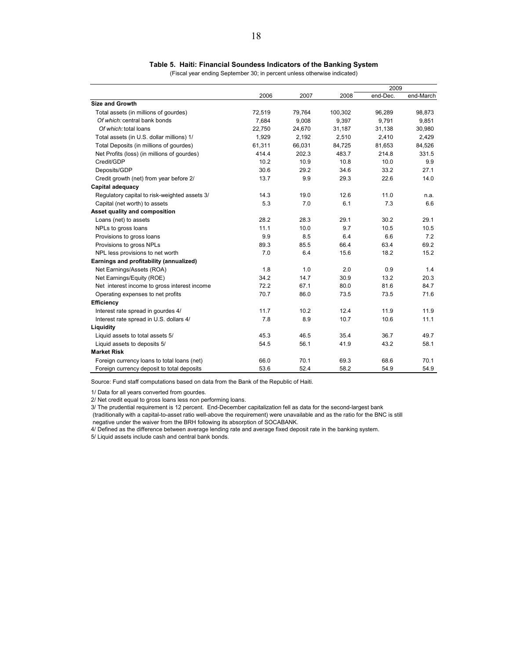#### **Table 5. Haiti: Financial Soundess Indicators of the Banking System**

(Fiscal year ending September 30; in percent unless otherwise indicated)

|                                               |        |        |         | 2009     |           |
|-----------------------------------------------|--------|--------|---------|----------|-----------|
|                                               | 2006   | 2007   | 2008    | end-Dec. | end-March |
| <b>Size and Growth</b>                        |        |        |         |          |           |
| Total assets (in millions of gourdes)         | 72,519 | 79,764 | 100,302 | 96,289   | 98.873    |
| Of which: central bank bonds                  | 7,684  | 9,008  | 9,397   | 9,791    | 9,851     |
| Of which: total loans                         | 22,750 | 24,670 | 31,187  | 31,138   | 30,980    |
| Total assets (in U.S. dollar millions) 1/     | 1,929  | 2,192  | 2,510   | 2,410    | 2,429     |
| Total Deposits (in millions of gourdes)       | 61,311 | 66,031 | 84,725  | 81,653   | 84,526    |
| Net Profits (loss) (in millions of gourdes)   | 414.4  | 202.3  | 483.7   | 214.8    | 331.5     |
| Credit/GDP                                    | 10.2   | 10.9   | 10.8    | 10.0     | 9.9       |
| Deposits/GDP                                  | 30.6   | 29.2   | 34.6    | 33.2     | 27.1      |
| Credit growth (net) from year before 2/       | 13.7   | 9.9    | 29.3    | 22.6     | 14.0      |
| Capital adequacy                              |        |        |         |          |           |
| Regulatory capital to risk-weighted assets 3/ | 14.3   | 19.0   | 12.6    | 11.0     | n.a.      |
| Capital (net worth) to assets                 | 5.3    | 7.0    | 6.1     | 7.3      | 6.6       |
| Asset quality and composition                 |        |        |         |          |           |
| Loans (net) to assets                         | 28.2   | 28.3   | 29.1    | 30.2     | 29.1      |
| NPLs to gross loans                           | 11.1   | 10.0   | 9.7     | 10.5     | 10.5      |
| Provisions to gross loans                     | 9.9    | 8.5    | 6.4     | 6.6      | 7.2       |
| Provisions to gross NPLs                      | 89.3   | 85.5   | 66.4    | 63.4     | 69.2      |
| NPL less provisions to net worth              | 7.0    | 6.4    | 15.6    | 18.2     | 15.2      |
| Earnings and profitability (annualized)       |        |        |         |          |           |
| Net Earnings/Assets (ROA)                     | 1.8    | 1.0    | 2.0     | 0.9      | 1.4       |
| Net Earnings/Equity (ROE)                     | 34.2   | 14.7   | 30.9    | 13.2     | 20.3      |
| Net interest income to gross interest income  | 72.2   | 67.1   | 80.0    | 81.6     | 84.7      |
| Operating expenses to net profits             | 70.7   | 86.0   | 73.5    | 73.5     | 71.6      |
| <b>Efficiency</b>                             |        |        |         |          |           |
| Interest rate spread in gourdes 4/            | 11.7   | 10.2   | 12.4    | 11.9     | 11.9      |
| Interest rate spread in U.S. dollars 4/       | 7.8    | 8.9    | 10.7    | 10.6     | 11.1      |
| Liquidity                                     |        |        |         |          |           |
| Liquid assets to total assets 5/              | 45.3   | 46.5   | 35.4    | 36.7     | 49.7      |
| Liquid assets to deposits 5/                  | 54.5   | 56.1   | 41.9    | 43.2     | 58.1      |
| <b>Market Risk</b>                            |        |        |         |          |           |
| Foreign currency loans to total loans (net)   | 66.0   | 70.1   | 69.3    | 68.6     | 70.1      |
| Foreign currency deposit to total deposits    | 53.6   | 52.4   | 58.2    | 54.9     | 54.9      |

Source: Fund staff computations based on data from the Bank of the Republic of Haiti.

1/ Data for all years converted from gourdes.

2/ Net credit equal to gross loans less non performing loans.

3/ The prudential requirement is 12 percent. End-December capitalization fell as data for the second-largest bank

 (traditionally with a capital-to-asset ratio well-above the requirement) were unavailable and as the ratio for the BNC is still negative under the waiver from the BRH following its absorption of SOCABANK.

4/ Defined as the difference between average lending rate and average fixed deposit rate in the banking system.

5/ Liquid assets include cash and central bank bonds.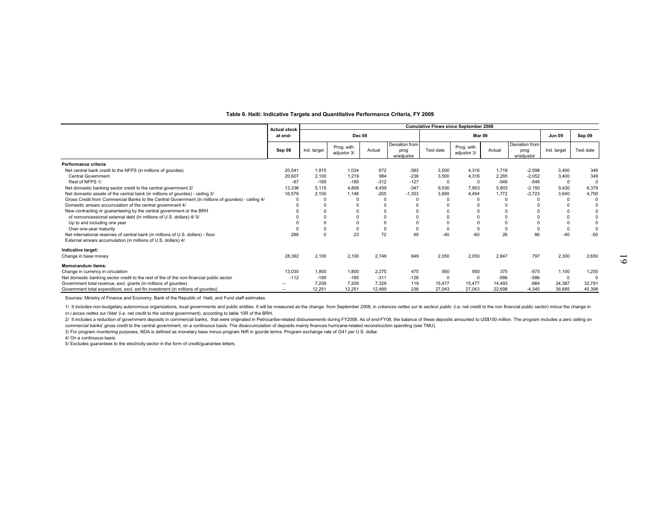|                                                                                                    | <b>Actual stock</b> |             |                           |        |                                      |           | <b>Cumulative Flows since September 2008</b> |          |                                      |               |           |
|----------------------------------------------------------------------------------------------------|---------------------|-------------|---------------------------|--------|--------------------------------------|-----------|----------------------------------------------|----------|--------------------------------------|---------------|-----------|
|                                                                                                    | at end-             |             | <b>Dec 08</b>             |        |                                      |           | Mar 09                                       |          |                                      | <b>Jun 09</b> | Sep 09    |
|                                                                                                    | Sep 08              | Ind. target | Prog. with<br>adjustor 3/ | Actual | Deviation from<br>prog<br>w/adjustor | Test date | Prog. with<br>adjustor 3/                    | Actual   | Deviation from<br>prog<br>w/adjustor | Ind. target   | Test date |
| Performance criteria                                                                               |                     |             |                           |        |                                      |           |                                              |          |                                      |               |           |
| Net central bank credit to the NFPS (in millions of gourdes)                                       | 20,541              | 1.915       | 1,034                     | 672    | $-363$                               | 3,500     | 4.316                                        | 1.718    | $-2,598$                             | 3,400         | 349       |
| <b>Central Government</b>                                                                          | 20,607              | 2,100       | 1,219                     | 984    | $-236$                               | 3,500     | 4,316                                        | 2,265    | $-2,052$                             | 3,400         | 349       |
| Rest of NFPS 1/                                                                                    | $-67$               | $-185$      | $-185$                    | $-312$ | $-127$                               | $\Omega$  | $\Omega$                                     | $-546$   | $-546$                               | $\Omega$      | O         |
| Net domestic banking sector credit to the central government 2/                                    | 13,336              | 5,115       | 4.806                     | 4.459  | $-347$                               | 9,530     | 7,953                                        | 5,803    | $-2,150$                             | 9,430         | 6,379     |
| Net domestic assets of the central bank (in millions of gourdes) - ceiling 3/                      | 16,579              | 2,100       | 1,148                     | $-205$ | $-1,353$                             | 3.690     | 4,494                                        | 1,772    | $-2,723$                             | 3,940         | 4,700     |
| Gross Credit from Commercial Banks to the Central Government (in millions of gourdes) - ceiling 4/ |                     |             |                           |        |                                      |           |                                              | $\Omega$ |                                      | $\Omega$      |           |
| Domestic arrears accumulation of the central government 4/                                         |                     |             |                           |        |                                      |           | $\Omega$                                     | $\Omega$ |                                      |               |           |
| New contracting or guaranteeing by the central government or the BRH                               |                     |             |                           |        |                                      |           |                                              | $\Omega$ |                                      |               |           |
| of nonconcessional external debt (In millions of U.S. dollars) 4/ 5/                               |                     |             |                           |        |                                      |           |                                              | 0        |                                      |               |           |
| Up to and including one year                                                                       |                     |             |                           |        |                                      |           |                                              | $\Omega$ | $\Omega$                             |               |           |
| Over one-year maturity                                                                             |                     |             |                           |        |                                      |           |                                              | 0        | $\mathbf 0$                          |               |           |
| Net international reserves of central bank (in millions of U.S. dollars) - floor                   | 288                 |             | 23                        | 72     | 49                                   | $-40$     | $-60$                                        | 26       | 86                                   | $-40$         |           |
| External arrears accumulation (in millions of U.S. dollars) 4/                                     |                     |             |                           |        |                                      |           |                                              |          |                                      |               |           |
| Indicative target:                                                                                 |                     |             |                           |        |                                      |           |                                              |          |                                      |               |           |
| Change in base money                                                                               | 28,392              | 2,100       | 2,100                     | 2,749  | 649                                  | 2,050     | 2,050                                        | 2,847    | 797                                  | 2,300         | 2,650     |
| <b>Memorandum items:</b>                                                                           |                     |             |                           |        |                                      |           |                                              |          |                                      |               |           |
| Change in currency in circulation                                                                  | 13.030              | 1,800       | 1.800                     | 2,275  | 475                                  | 950       | 950                                          | 375      | $-575$                               | 1,100         | 1,250     |
| Net domestic banking sector credit to the rest of the of the non-financial public sector           | $-112$              | $-185$      | $-185$                    | $-311$ | $-126$                               |           | $\Omega$                                     | $-586$   | $-586$                               | $\Omega$      | O         |
| Government total revenue, excl. grants (in millions of gourdes)                                    |                     | 7.209       | 7.209                     | 7.329  | 119                                  | 15.477    | 15,477                                       | 14.493   | $-984$                               | 24,387        | 32,781    |
| Government total expenditure, excl. ext-fin investment (in millions of gourdes)                    |                     | 12,251      | 12,251                    | 12,489 | 238                                  | 27,043    | 27,043                                       | 22,698   | $-4,345$                             | 36,685        | 45,398    |

#### **Table 6. Haiti: Indicative Targets and Quantitative Performance Criteria, FY 2009**

Sources: Ministry of Finance and Economy, Bank of the Republic of Haiti, and Fund staff estimates.

1/ It includes non-budgetary autonomous organizations, local governments and public entities. It will be measured as the change, from September 2008, in créances nettes sur le secteur public (i.e, net credit to the non fin *cr é ances nettes sur l'état* (i.e. net credit to the central government), according to table 10R of the BRH.

2/ It includes a reduction of government deposits in commercial banks, that were originated in Petrocaribe-related disbursements during FY2008. As of end-FY08, the balance of these deposits amounted to US\$150 million. The commercial banks' gross credit to the central government, on a continuous basis. The disaccumulation of deposits mainly finances hurricane-related reconstruction spending (see TMU).

3/ For program monitoring purposes, NDA is defined as monetary base minus program NIR in gourde terms. Program exchange rate of G41 per U.S. dollar.

4/ On a continuous basis.

5/ Excludes guarantees to the electricity sector in the form of credit/guarantee letters.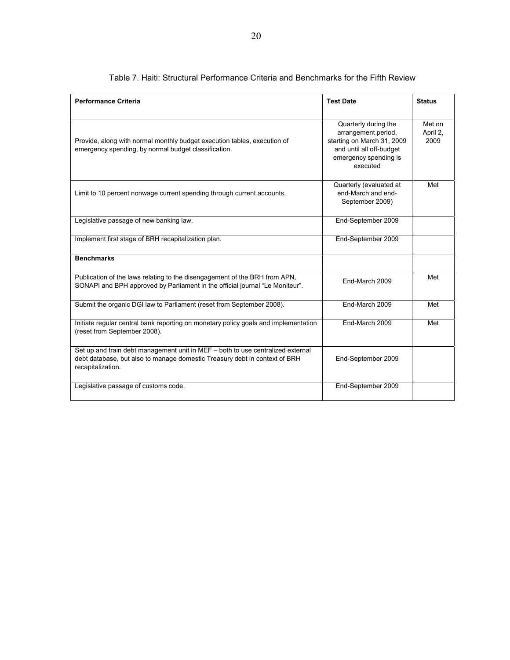| <b>Performance Criteria</b>                                                                                                                                                        | <b>Test Date</b>                                                                                                                           | <b>Status</b>              |
|------------------------------------------------------------------------------------------------------------------------------------------------------------------------------------|--------------------------------------------------------------------------------------------------------------------------------------------|----------------------------|
| Provide, along with normal monthly budget execution tables, execution of<br>emergency spending, by normal budget classification.                                                   | Quarterly during the<br>arrangement period.<br>starting on March 31, 2009<br>and until all off-budget<br>emergency spending is<br>executed | Met on<br>April 2,<br>2009 |
| Limit to 10 percent nonwage current spending through current accounts.                                                                                                             | Quarterly (evaluated at<br>end-March and end-<br>September 2009)                                                                           | Met                        |
| Legislative passage of new banking law.                                                                                                                                            | End-September 2009                                                                                                                         |                            |
| Implement first stage of BRH recapitalization plan.                                                                                                                                | End-September 2009                                                                                                                         |                            |
| <b>Benchmarks</b>                                                                                                                                                                  |                                                                                                                                            |                            |
| Publication of the laws relating to the disengagement of the BRH from APN,<br>SONAPI and BPH approved by Parliament in the official journal "Le Moniteur".                         | End-March 2009                                                                                                                             | Met                        |
| Submit the organic DGI law to Parliament (reset from September 2008).                                                                                                              | End-March 2009                                                                                                                             | Met                        |
| Initiate regular central bank reporting on monetary policy goals and implementation<br>(reset from September 2008).                                                                | End-March 2009                                                                                                                             | Met                        |
| Set up and train debt management unit in MEF - both to use centralized external<br>debt database, but also to manage domestic Treasury debt in context of BRH<br>recapitalization. | End-September 2009                                                                                                                         |                            |
| Legislative passage of customs code.                                                                                                                                               | End-September 2009                                                                                                                         |                            |

#### Table 7. Haiti: Structural Performance Criteria and Benchmarks for the Fifth Review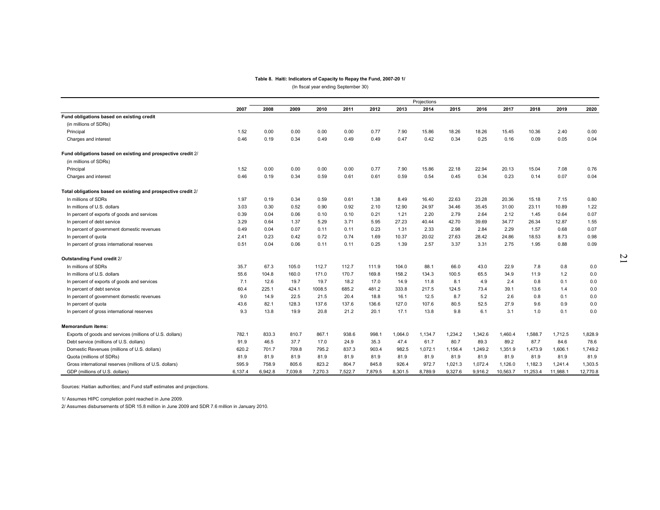#### **Table 8. Haiti: Indicators of Capacity to Repay the Fund, 2007-20 1/**

(In fiscal year ending September 30)

|                                                               |         |         |         |         |         |         |         | Projections |         |         |          |          |          |          |
|---------------------------------------------------------------|---------|---------|---------|---------|---------|---------|---------|-------------|---------|---------|----------|----------|----------|----------|
|                                                               | 2007    | 2008    | 2009    | 2010    | 2011    | 2012    | 2013    | 2014        | 2015    | 2016    | 2017     | 2018     | 2019     | 2020     |
| Fund obligations based on existing credit                     |         |         |         |         |         |         |         |             |         |         |          |          |          |          |
| (in millions of SDRs)                                         |         |         |         |         |         |         |         |             |         |         |          |          |          |          |
| Principal                                                     | 1.52    | 0.00    | 0.00    | 0.00    | 0.00    | 0.77    | 7.90    | 15.86       | 18.26   | 18.26   | 15.45    | 10.36    | 2.40     | 0.00     |
| Charges and interest                                          | 0.46    | 0.19    | 0.34    | 0.49    | 0.49    | 0.49    | 0.47    | 0.42        | 0.34    | 0.25    | 0.16     | 0.09     | 0.05     | 0.04     |
| Fund obligations based on existing and prospective credit 2/  |         |         |         |         |         |         |         |             |         |         |          |          |          |          |
| (in millions of SDRs)                                         |         |         |         |         |         |         |         |             |         |         |          |          |          |          |
| Principal                                                     | 1.52    | 0.00    | 0.00    | 0.00    | 0.00    | 0.77    | 7.90    | 15.86       | 22.18   | 22.94   | 20.13    | 15.04    | 7.08     | 0.76     |
| Charges and interest                                          | 0.46    | 0.19    | 0.34    | 0.59    | 0.61    | 0.61    | 0.59    | 0.54        | 0.45    | 0.34    | 0.23     | 0.14     | 0.07     | 0.04     |
| Total obligations based on existing and prospective credit 2/ |         |         |         |         |         |         |         |             |         |         |          |          |          |          |
| In millions of SDRs                                           | 1.97    | 0.19    | 0.34    | 0.59    | 0.61    | 1.38    | 8.49    | 16.40       | 22.63   | 23.28   | 20.36    | 15.18    | 7.15     | 0.80     |
| In millions of U.S. dollars                                   | 3.03    | 0.30    | 0.52    | 0.90    | 0.92    | 2.10    | 12.90   | 24.97       | 34.46   | 35.45   | 31.00    | 23.11    | 10.89    | 1.22     |
| In percent of exports of goods and services                   | 0.39    | 0.04    | 0.06    | 0.10    | 0.10    | 0.21    | 1.21    | 2.20        | 2.79    | 2.64    | 2.12     | 1.45     | 0.64     | 0.07     |
| In percent of debt service                                    | 3.29    | 0.64    | 1.37    | 5.29    | 3.71    | 5.95    | 27.23   | 40.44       | 42.70   | 39.69   | 34.77    | 26.34    | 12.87    | 1.55     |
| In percent of government domestic revenues                    | 0.49    | 0.04    | 0.07    | 0.11    | 0.11    | 0.23    | 1.31    | 2.33        | 2.98    | 2.84    | 2.29     | 1.57     | 0.68     | 0.07     |
| In percent of quota                                           | 2.41    | 0.23    | 0.42    | 0.72    | 0.74    | 1.69    | 10.37   | 20.02       | 27.63   | 28.42   | 24.86    | 18.53    | 8.73     | 0.98     |
| In percent of gross international reserves                    | 0.51    | 0.04    | 0.06    | 0.11    | 0.11    | 0.25    | 1.39    | 2.57        | 3.37    | 3.31    | 2.75     | 1.95     | 0.88     | 0.09     |
| Outstanding Fund credit 2/                                    |         |         |         |         |         |         |         |             |         |         |          |          |          |          |
| In millions of SDRs                                           | 35.7    | 67.3    | 105.0   | 112.7   | 112.7   | 111.9   | 104.0   | 88.1        | 66.0    | 43.0    | 22.9     | 7.8      | 0.8      | 0.0      |
| In millions of U.S. dollars                                   | 55.6    | 104.8   | 160.0   | 171.0   | 170.7   | 169.8   | 158.2   | 134.3       | 100.5   | 65.5    | 34.9     | 11.9     | 1.2      | 0.0      |
| In percent of exports of goods and services                   | 7.1     | 12.6    | 19.7    | 19.7    | 18.2    | 17.0    | 14.9    | 11.8        | 8.1     | 4.9     | 2.4      | 0.8      | 0.1      | 0.0      |
| In percent of debt service                                    | 60.4    | 225.1   | 424.1   | 1008.5  | 685.2   | 481.2   | 333.8   | 217.5       | 124.5   | 73.4    | 39.1     | 13.6     | 1.4      | 0.0      |
| In percent of government domestic revenues                    | 9.0     | 14.9    | 22.5    | 21.5    | 20.4    | 18.8    | 16.1    | 12.5        | 8.7     | 5.2     | 2.6      | 0.8      | 0.1      | 0.0      |
| In percent of quota                                           | 43.6    | 82.1    | 128.3   | 137.6   | 137.6   | 136.6   | 127.0   | 107.6       | 80.5    | 52.5    | 27.9     | 9.6      | 0.9      | 0.0      |
| In percent of gross international reserves                    | 9.3     | 13.8    | 19.9    | 20.8    | 21.2    | 20.1    | 17.1    | 13.8        | 9.8     | 6.1     | 3.1      | 1.0      | 0.1      | 0.0      |
| <b>Memorandum items:</b>                                      |         |         |         |         |         |         |         |             |         |         |          |          |          |          |
| Exports of goods and services (millions of U.S. dollars)      | 782.1   | 833.3   | 810.7   | 867.1   | 938.6   | 998.1   | 1.064.0 | 1,134.7     | 1,234.2 | 1,342.6 | 1,460.4  | 1,588.7  | 1,712.5  | 1,828.9  |
| Debt service (millions of U.S. dollars)                       | 91.9    | 46.5    | 37.7    | 17.0    | 24.9    | 35.3    | 47.4    | 61.7        | 80.7    | 89.3    | 89.2     | 87.7     | 84.6     | 78.6     |
| Domestic Revenues (millions of U.S. dollars)                  | 620.2   | 701.7   | 709.8   | 795.2   | 837.3   | 903.4   | 982.5   | 1,072.1     | 1,156.4 | 1,249.2 | 1,351.9  | 1,473.9  | 1,606.1  | 1,749.2  |
| Quota (millions of SDRs)                                      | 81.9    | 81.9    | 81.9    | 81.9    | 81.9    | 81.9    | 81.9    | 81.9        | 81.9    | 81.9    | 81.9     | 81.9     | 81.9     | 81.9     |
| Gross international reserves (millions of U.S. dollars)       | 595.9   | 758.9   | 805.6   | 823.2   | 804.7   | 845.8   | 926.4   | 972.7       | 1,021.3 | 1,072.4 | 1,126.0  | 1,182.3  | 1,241.4  | 1,303.5  |
| GDP (millions of U.S. dollars)                                | 6,137.4 | 6,942.8 | 7,039.8 | 7,270.3 | 7,522.7 | 7,879.5 | 8,301.5 | 8,789.9     | 9,327.6 | 9,916.2 | 10,563.7 | 11,253.4 | 11,988.1 | 12,770.8 |

Sources: Haitian authorities; and Fund staff estimates and projections.

1/ Assumes HIPC completion point reached in June 2009.

2/ Assumes disbursements of SDR 15.8 million in June 2009 and SDR 7.6 million in January 2010.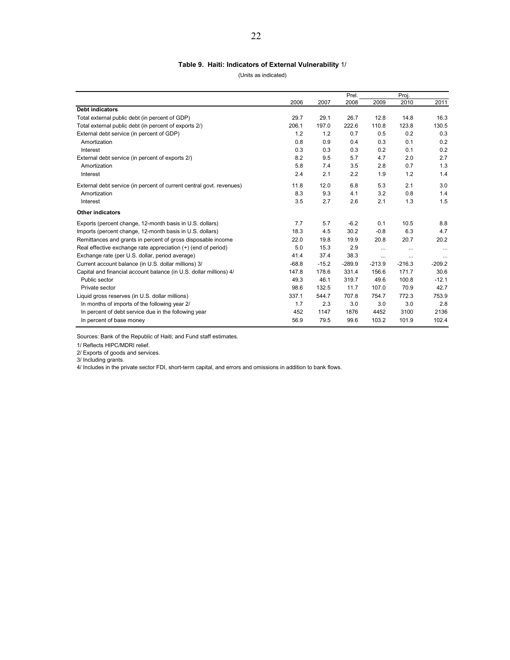#### **Table 9. Haiti: Indicators of External Vulnerability** 1/

(Units as indicated)

|                                                                      |         |         | Prel.    |          | Proj.    |          |
|----------------------------------------------------------------------|---------|---------|----------|----------|----------|----------|
|                                                                      | 2006    | 2007    | 2008     | 2009     | 2010     | 2011     |
| <b>Debt indicators</b>                                               |         |         |          |          |          |          |
| Total external public debt (in percent of GDP)                       | 29.7    | 29.1    | 26.7     | 12.8     | 14.8     | 16.3     |
| Total external public debt (in percent of exports 2/)                | 206.1   | 197.0   | 222.6    | 110.8    | 123.8    | 130.5    |
| External debt service (in percent of GDP)                            | 1.2     | 1.2     | 0.7      | 0.5      | 0.2      | 0.3      |
| Amortization                                                         | 0.8     | 0.9     | 0.4      | 0.3      | 0.1      | 0.2      |
| Interest                                                             | 0.3     | 0.3     | 0.3      | 0.2      | 0.1      | 0.2      |
| External debt service (in percent of exports 2/)                     | 8.2     | 9.5     | 5.7      | 4.7      | 2.0      | 2.7      |
| Amortization                                                         | 5.8     | 7.4     | 3.5      | 2.8      | 0.7      | 1.3      |
| Interest                                                             | 2.4     | 2.1     | 2.2      | 1.9      | 1.2      | 1.4      |
| External debt service (in percent of current central govt. revenues) | 11.8    | 12.0    | 6.8      | 5.3      | 2.1      | 3.0      |
| Amortization                                                         | 8.3     | 9.3     | 4.1      | 3.2      | 0.8      | 1.4      |
| Interest                                                             | 3.5     | 2.7     | 2.6      | 2.1      | 1.3      | 1.5      |
| <b>Other indicators</b>                                              |         |         |          |          |          |          |
| Exports (percent change, 12-month basis in U.S. dollars)             | 7.7     | 5.7     | $-6.2$   | 0.1      | 10.5     | 8.8      |
| Imports (percent change, 12-month basis in U.S. dollars)             | 18.3    | 4.5     | 30.2     | $-0.8$   | 6.3      | 4.7      |
| Remittances and grants in percent of gross disposable income         | 22.0    | 19.8    | 19.9     | 20.8     | 20.7     | 20.2     |
| Real effective exchange rate appreciation (+) (end of period)        | 5.0     | 15.3    | 2.9      |          | $\cdots$ | $\cdots$ |
| Exchange rate (per U.S. dollar, period average)                      | 41.4    | 37.4    | 38.3     | $\cdots$ |          | $\cdots$ |
| Current account balance (in U.S. dollar millions) 3/                 | $-68.8$ | $-15.2$ | $-289.9$ | $-213.9$ | $-216.3$ | $-209.2$ |
| Capital and financial account balance (in U.S. dollar millions) 4/   | 147.8   | 178.6   | 331.4    | 156.6    | 171.7    | 30.6     |
| Public sector                                                        | 49.3    | 46.1    | 319.7    | 49.6     | 100.8    | $-12.1$  |
| Private sector                                                       | 98.6    | 132.5   | 11.7     | 107.0    | 70.9     | 42.7     |
| Liquid gross reserves (in U.S. dollar millions)                      | 337.1   | 544.7   | 707.8    | 754.7    | 772.3    | 753.9    |
| In months of imports of the following year 2/                        | 1.7     | 2.3     | 3.0      | 3.0      | 3.0      | 2.8      |
| In percent of debt service due in the following year                 | 452     | 1147    | 1876     | 4452     | 3100     | 2136     |
| In percent of base money                                             | 56.9    | 79.5    | 99.6     | 103.2    | 101.9    | 102.4    |

Sources: Bank of the Republic of Haiti; and Fund staff estimates.

1/ Reflects HIPC/MDRI relief.

2/ Exports of goods and services.

3/ Including grants.

4/ Includes in the private sector FDI, short-term capital, and errors and omissions in addition to bank flows.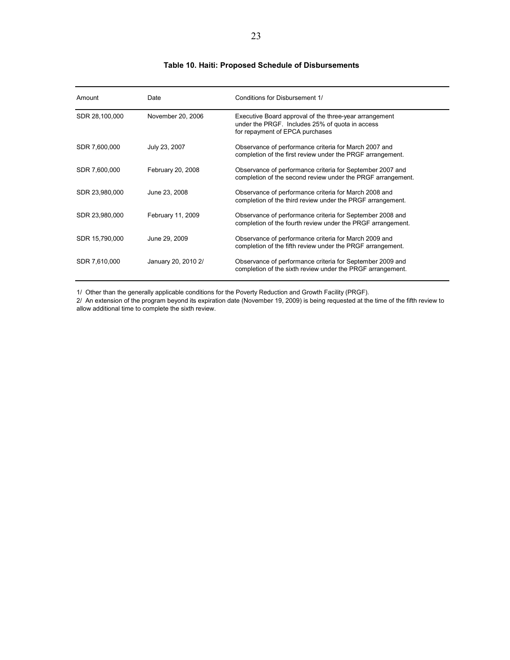#### **Table 10. Haiti: Proposed Schedule of Disbursements**

| Amount         | Date                | Conditions for Disbursement 1/                                                                                                               |
|----------------|---------------------|----------------------------------------------------------------------------------------------------------------------------------------------|
| SDR 28,100,000 | November 20, 2006   | Executive Board approval of the three-year arrangement<br>under the PRGF. Includes 25% of quota in access<br>for repayment of EPCA purchases |
| SDR 7,600,000  | July 23, 2007       | Observance of performance criteria for March 2007 and<br>completion of the first review under the PRGF arrangement.                          |
| SDR 7,600,000  | February 20, 2008   | Observance of performance criteria for September 2007 and<br>completion of the second review under the PRGF arrangement.                     |
| SDR 23,980,000 | June 23, 2008       | Observance of performance criteria for March 2008 and<br>completion of the third review under the PRGF arrangement.                          |
| SDR 23,980,000 | February 11, 2009   | Observance of performance criteria for September 2008 and<br>completion of the fourth review under the PRGF arrangement.                     |
| SDR 15,790,000 | June 29, 2009       | Observance of performance criteria for March 2009 and<br>completion of the fifth review under the PRGF arrangement.                          |
| SDR 7,610,000  | January 20, 2010 2/ | Observance of performance criteria for September 2009 and<br>completion of the sixth review under the PRGF arrangement.                      |

1/ Other than the generally applicable conditions for the Poverty Reduction and Growth Facility (PRGF).

2/ An extension of the program beyond its expiration date (November 19, 2009) is being requested at the time of the fifth review to allow additional time to complete the sixth review.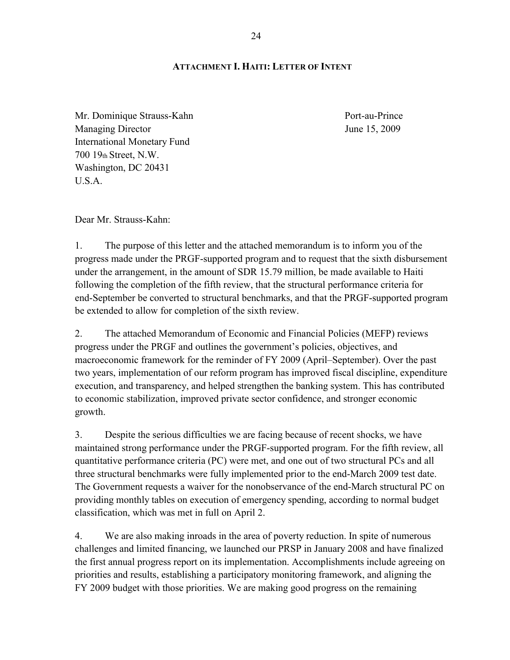#### **ATTACHMENT I. HAITI: LETTER OF INTENT**

Mr. Dominique Strauss-Kahn Port-au-Prince Managing Director June 15, 2009 International Monetary Fund 700 19th Street, N.W. Washington, DC 20431  $U.S.A$ 

Dear Mr. Strauss-Kahn:

1. The purpose of this letter and the attached memorandum is to inform you of the progress made under the PRGF-supported program and to request that the sixth disbursement under the arrangement, in the amount of SDR 15.79 million, be made available to Haiti following the completion of the fifth review, that the structural performance criteria for end-September be converted to structural benchmarks, and that the PRGF-supported program be extended to allow for completion of the sixth review.

2. The attached Memorandum of Economic and Financial Policies (MEFP) reviews progress under the PRGF and outlines the government's policies, objectives, and macroeconomic framework for the reminder of FY 2009 (April–September). Over the past two years, implementation of our reform program has improved fiscal discipline, expenditure execution, and transparency, and helped strengthen the banking system. This has contributed to economic stabilization, improved private sector confidence, and stronger economic growth.

3. Despite the serious difficulties we are facing because of recent shocks, we have maintained strong performance under the PRGF-supported program. For the fifth review, all quantitative performance criteria (PC) were met, and one out of two structural PCs and all three structural benchmarks were fully implemented prior to the end-March 2009 test date. The Government requests a waiver for the nonobservance of the end-March structural PC on providing monthly tables on execution of emergency spending, according to normal budget classification, which was met in full on April 2.

4. We are also making inroads in the area of poverty reduction. In spite of numerous challenges and limited financing, we launched our PRSP in January 2008 and have finalized the first annual progress report on its implementation. Accomplishments include agreeing on priorities and results, establishing a participatory monitoring framework, and aligning the FY 2009 budget with those priorities. We are making good progress on the remaining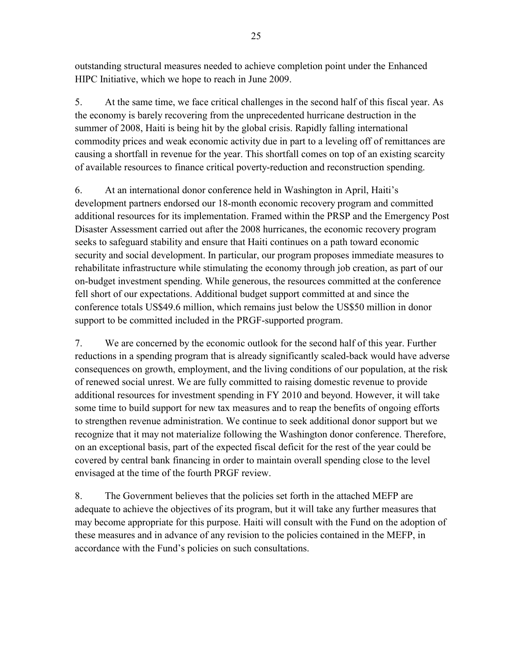outstanding structural measures needed to achieve completion point under the Enhanced HIPC Initiative, which we hope to reach in June 2009.

5. At the same time, we face critical challenges in the second half of this fiscal year. As the economy is barely recovering from the unprecedented hurricane destruction in the summer of 2008, Haiti is being hit by the global crisis. Rapidly falling international commodity prices and weak economic activity due in part to a leveling off of remittances are causing a shortfall in revenue for the year. This shortfall comes on top of an existing scarcity of available resources to finance critical poverty-reduction and reconstruction spending.

6. At an international donor conference held in Washington in April, Haiti's development partners endorsed our 18-month economic recovery program and committed additional resources for its implementation. Framed within the PRSP and the Emergency Post Disaster Assessment carried out after the 2008 hurricanes, the economic recovery program seeks to safeguard stability and ensure that Haiti continues on a path toward economic security and social development. In particular, our program proposes immediate measures to rehabilitate infrastructure while stimulating the economy through job creation, as part of our on-budget investment spending. While generous, the resources committed at the conference fell short of our expectations. Additional budget support committed at and since the conference totals US\$49.6 million, which remains just below the US\$50 million in donor support to be committed included in the PRGF-supported program.

7. We are concerned by the economic outlook for the second half of this year. Further reductions in a spending program that is already significantly scaled-back would have adverse consequences on growth, employment, and the living conditions of our population, at the risk of renewed social unrest. We are fully committed to raising domestic revenue to provide additional resources for investment spending in FY 2010 and beyond. However, it will take some time to build support for new tax measures and to reap the benefits of ongoing efforts to strengthen revenue administration. We continue to seek additional donor support but we recognize that it may not materialize following the Washington donor conference. Therefore, on an exceptional basis, part of the expected fiscal deficit for the rest of the year could be covered by central bank financing in order to maintain overall spending close to the level envisaged at the time of the fourth PRGF review.

8. The Government believes that the policies set forth in the attached MEFP are adequate to achieve the objectives of its program, but it will take any further measures that may become appropriate for this purpose. Haiti will consult with the Fund on the adoption of these measures and in advance of any revision to the policies contained in the MEFP, in accordance with the Fund's policies on such consultations.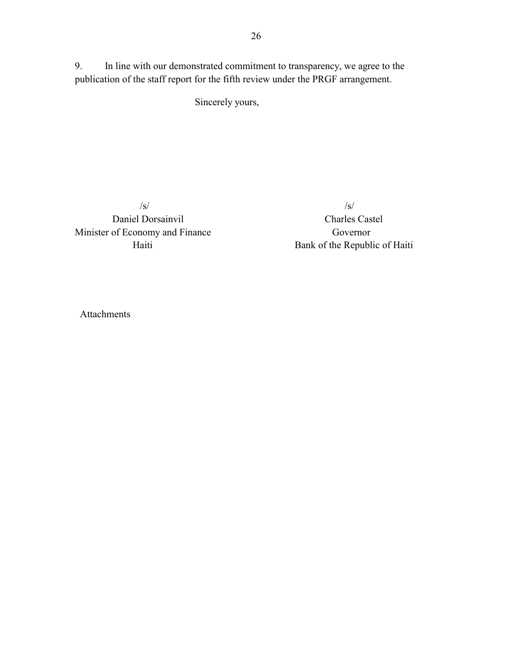Sincerely yours,

publication of the staff report for the fifth review under the PRGF arrangement.

 Daniel Dorsainvil Charles Castel Minister of Economy and Finance Governor

 $\sqrt{s}$ / $\sqrt{s}$ / $\sqrt{s}$ / $\sqrt{s}$ / $\sqrt{s}$ / $\sqrt{s}$ / $\sqrt{s}$ / $\sqrt{s}$ / $\sqrt{s}$ / $\sqrt{s}$ / $\sqrt{s}$ / $\sqrt{s}$ / $\sqrt{s}$ / $\sqrt{s}$ / $\sqrt{s}$ / $\sqrt{s}$ / $\sqrt{s}$ / $\sqrt{s}$ / $\sqrt{s}$ / $\sqrt{s}$ / $\sqrt{s}$ / $\sqrt{s}$ / $\sqrt{s}$ / $\sqrt{s}$ / $\sqrt{s}$ / $\sqrt{s}$ / $\sqrt{s}$ / $\sqrt{s}$ / $\sqrt{s}$ / $\sqrt{s}$ / $\sqrt{s}$ / $\sqrt{s$ Haiti Bank of the Republic of Haiti

Attachments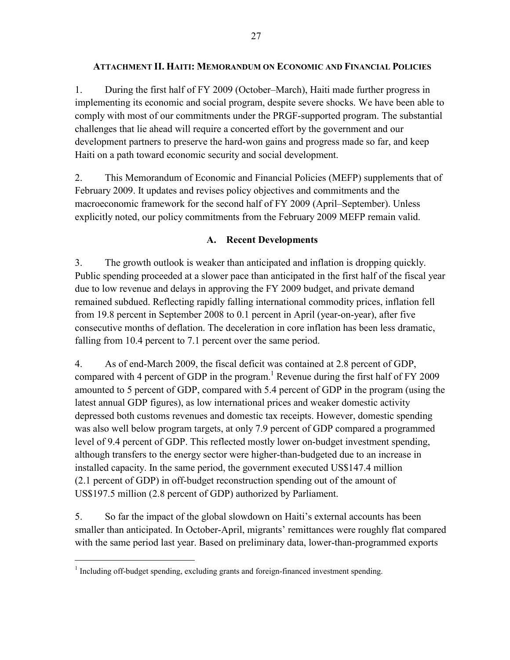#### **ATTACHMENT II. HAITI: MEMORANDUM ON ECONOMIC AND FINANCIAL POLICIES**

1. During the first half of FY 2009 (October–March), Haiti made further progress in implementing its economic and social program, despite severe shocks. We have been able to comply with most of our commitments under the PRGF-supported program. The substantial challenges that lie ahead will require a concerted effort by the government and our development partners to preserve the hard-won gains and progress made so far, and keep Haiti on a path toward economic security and social development.

2. This Memorandum of Economic and Financial Policies (MEFP) supplements that of February 2009. It updates and revises policy objectives and commitments and the macroeconomic framework for the second half of FY 2009 (April–September). Unless explicitly noted, our policy commitments from the February 2009 MEFP remain valid.

## **A. Recent Developments**

3. The growth outlook is weaker than anticipated and inflation is dropping quickly. Public spending proceeded at a slower pace than anticipated in the first half of the fiscal year due to low revenue and delays in approving the FY 2009 budget, and private demand remained subdued. Reflecting rapidly falling international commodity prices, inflation fell from 19.8 percent in September 2008 to 0.1 percent in April (year-on-year), after five consecutive months of deflation. The deceleration in core inflation has been less dramatic, falling from 10.4 percent to 7.1 percent over the same period.

4. As of end-March 2009, the fiscal deficit was contained at 2.8 percent of GDP, compared with 4 percent of GDP in the program.<sup>1</sup> Revenue during the first half of FY 2009 amounted to 5 percent of GDP, compared with 5.4 percent of GDP in the program (using the latest annual GDP figures), as low international prices and weaker domestic activity depressed both customs revenues and domestic tax receipts. However, domestic spending was also well below program targets, at only 7.9 percent of GDP compared a programmed level of 9.4 percent of GDP. This reflected mostly lower on-budget investment spending, although transfers to the energy sector were higher-than-budgeted due to an increase in installed capacity. In the same period, the government executed US\$147.4 million (2.1 percent of GDP) in off-budget reconstruction spending out of the amount of US\$197.5 million (2.8 percent of GDP) authorized by Parliament.

5. So far the impact of the global slowdown on Haiti's external accounts has been smaller than anticipated. In October-April, migrants' remittances were roughly flat compared with the same period last year. Based on preliminary data, lower-than-programmed exports

 $\overline{a}$ 

<sup>&</sup>lt;sup>1</sup> Including off-budget spending, excluding grants and foreign-financed investment spending.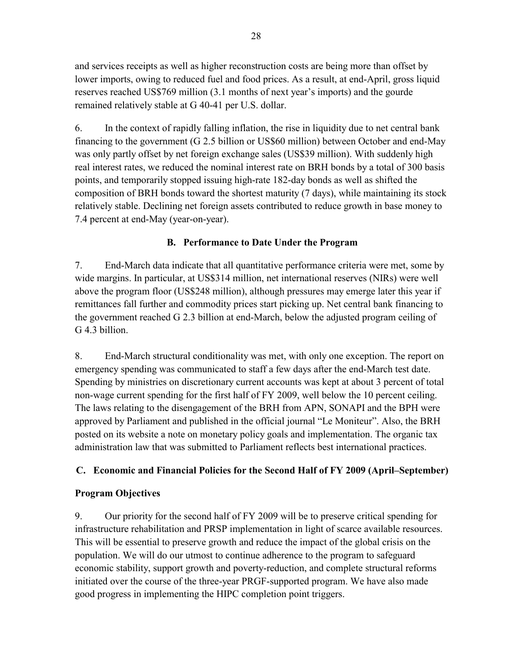and services receipts as well as higher reconstruction costs are being more than offset by lower imports, owing to reduced fuel and food prices. As a result, at end-April, gross liquid reserves reached US\$769 million (3.1 months of next year's imports) and the gourde remained relatively stable at G 40-41 per U.S. dollar.

6. In the context of rapidly falling inflation, the rise in liquidity due to net central bank financing to the government (G 2.5 billion or US\$60 million) between October and end-May was only partly offset by net foreign exchange sales (US\$39 million). With suddenly high real interest rates, we reduced the nominal interest rate on BRH bonds by a total of 300 basis points, and temporarily stopped issuing high-rate 182-day bonds as well as shifted the composition of BRH bonds toward the shortest maturity (7 days), while maintaining its stock relatively stable. Declining net foreign assets contributed to reduce growth in base money to 7.4 percent at end-May (year-on-year).

# **B. Performance to Date Under the Program**

7. End-March data indicate that all quantitative performance criteria were met, some by wide margins. In particular, at US\$314 million, net international reserves (NIRs) were well above the program floor (US\$248 million), although pressures may emerge later this year if remittances fall further and commodity prices start picking up. Net central bank financing to the government reached G 2.3 billion at end-March, below the adjusted program ceiling of G 4.3 billion.

8. End-March structural conditionality was met, with only one exception. The report on emergency spending was communicated to staff a few days after the end-March test date. Spending by ministries on discretionary current accounts was kept at about 3 percent of total non-wage current spending for the first half of FY 2009, well below the 10 percent ceiling. The laws relating to the disengagement of the BRH from APN, SONAPI and the BPH were approved by Parliament and published in the official journal "Le Moniteur". Also, the BRH posted on its website a note on monetary policy goals and implementation. The organic tax administration law that was submitted to Parliament reflects best international practices.

# **C. Economic and Financial Policies for the Second Half of FY 2009 (April–September)**

## **Program Objectives**

9. Our priority for the second half of FY 2009 will be to preserve critical spending for infrastructure rehabilitation and PRSP implementation in light of scarce available resources. This will be essential to preserve growth and reduce the impact of the global crisis on the population. We will do our utmost to continue adherence to the program to safeguard economic stability, support growth and poverty-reduction, and complete structural reforms initiated over the course of the three-year PRGF-supported program. We have also made good progress in implementing the HIPC completion point triggers.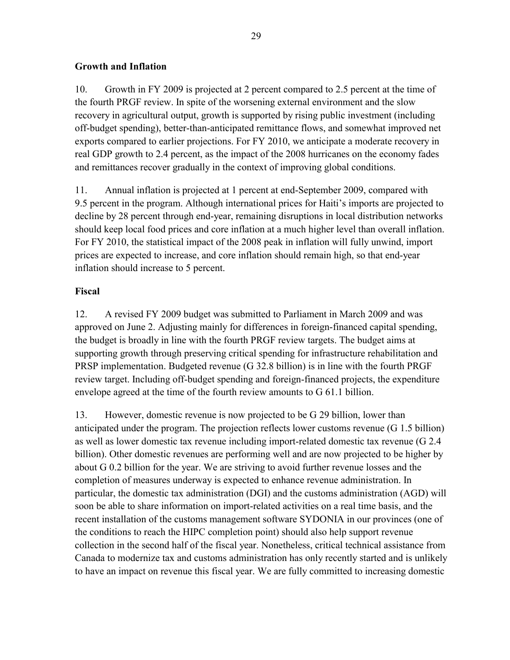## **Growth and Inflation**

10. Growth in FY 2009 is projected at 2 percent compared to 2.5 percent at the time of the fourth PRGF review. In spite of the worsening external environment and the slow recovery in agricultural output, growth is supported by rising public investment (including off-budget spending), better-than-anticipated remittance flows, and somewhat improved net exports compared to earlier projections. For FY 2010, we anticipate a moderate recovery in real GDP growth to 2.4 percent, as the impact of the 2008 hurricanes on the economy fades and remittances recover gradually in the context of improving global conditions.

11. Annual inflation is projected at 1 percent at end-September 2009, compared with 9.5 percent in the program. Although international prices for Haiti's imports are projected to decline by 28 percent through end-year, remaining disruptions in local distribution networks should keep local food prices and core inflation at a much higher level than overall inflation. For FY 2010, the statistical impact of the 2008 peak in inflation will fully unwind, import prices are expected to increase, and core inflation should remain high, so that end-year inflation should increase to 5 percent.

## **Fiscal**

12. A revised FY 2009 budget was submitted to Parliament in March 2009 and was approved on June 2. Adjusting mainly for differences in foreign-financed capital spending, the budget is broadly in line with the fourth PRGF review targets. The budget aims at supporting growth through preserving critical spending for infrastructure rehabilitation and PRSP implementation. Budgeted revenue (G 32.8 billion) is in line with the fourth PRGF review target. Including off-budget spending and foreign-financed projects, the expenditure envelope agreed at the time of the fourth review amounts to G 61.1 billion.

13. However, domestic revenue is now projected to be G 29 billion, lower than anticipated under the program. The projection reflects lower customs revenue (G 1.5 billion) as well as lower domestic tax revenue including import-related domestic tax revenue (G 2.4 billion). Other domestic revenues are performing well and are now projected to be higher by about G 0.2 billion for the year. We are striving to avoid further revenue losses and the completion of measures underway is expected to enhance revenue administration. In particular, the domestic tax administration (DGI) and the customs administration (AGD) will soon be able to share information on import-related activities on a real time basis, and the recent installation of the customs management software SYDONIA in our provinces (one of the conditions to reach the HIPC completion point) should also help support revenue collection in the second half of the fiscal year. Nonetheless, critical technical assistance from Canada to modernize tax and customs administration has only recently started and is unlikely to have an impact on revenue this fiscal year. We are fully committed to increasing domestic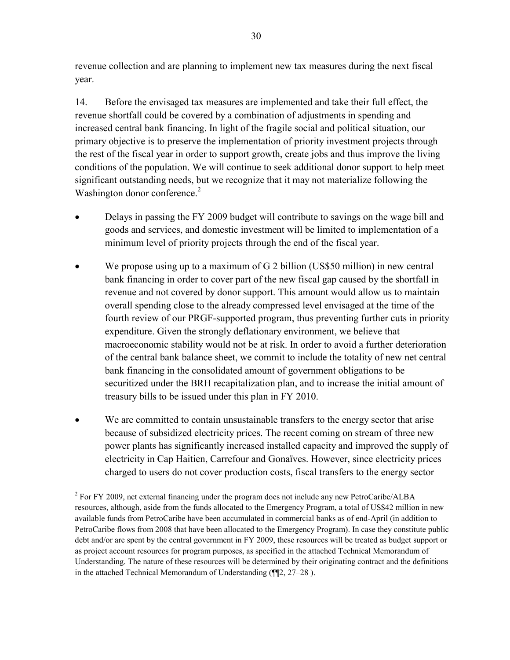revenue collection and are planning to implement new tax measures during the next fiscal year.

14. Before the envisaged tax measures are implemented and take their full effect, the revenue shortfall could be covered by a combination of adjustments in spending and increased central bank financing. In light of the fragile social and political situation, our primary objective is to preserve the implementation of priority investment projects through the rest of the fiscal year in order to support growth, create jobs and thus improve the living conditions of the population. We will continue to seek additional donor support to help meet significant outstanding needs, but we recognize that it may not materialize following the Washington donor conference.<sup>2</sup>

- Delays in passing the FY 2009 budget will contribute to savings on the wage bill and goods and services, and domestic investment will be limited to implementation of a minimum level of priority projects through the end of the fiscal year.
- We propose using up to a maximum of  $G<sub>2</sub>$  billion (US\$50 million) in new central bank financing in order to cover part of the new fiscal gap caused by the shortfall in revenue and not covered by donor support. This amount would allow us to maintain overall spending close to the already compressed level envisaged at the time of the fourth review of our PRGF-supported program, thus preventing further cuts in priority expenditure. Given the strongly deflationary environment, we believe that macroeconomic stability would not be at risk. In order to avoid a further deterioration of the central bank balance sheet, we commit to include the totality of new net central bank financing in the consolidated amount of government obligations to be securitized under the BRH recapitalization plan, and to increase the initial amount of treasury bills to be issued under this plan in FY 2010.
- We are committed to contain unsustainable transfers to the energy sector that arise because of subsidized electricity prices. The recent coming on stream of three new power plants has significantly increased installed capacity and improved the supply of electricity in Cap Haitien, Carrefour and Gonaïves. However, since electricity prices charged to users do not cover production costs, fiscal transfers to the energy sector

 $\overline{a}$ 

 $2^2$  For FY 2009, net external financing under the program does not include any new PetroCaribe/ALBA resources, although, aside from the funds allocated to the Emergency Program, a total of US\$42 million in new available funds from PetroCaribe have been accumulated in commercial banks as of end-April (in addition to PetroCaribe flows from 2008 that have been allocated to the Emergency Program). In case they constitute public debt and/or are spent by the central government in FY 2009, these resources will be treated as budget support or as project account resources for program purposes, as specified in the attached Technical Memorandum of Understanding. The nature of these resources will be determined by their originating contract and the definitions in the attached Technical Memorandum of Understanding (¶¶2, 27–28 ).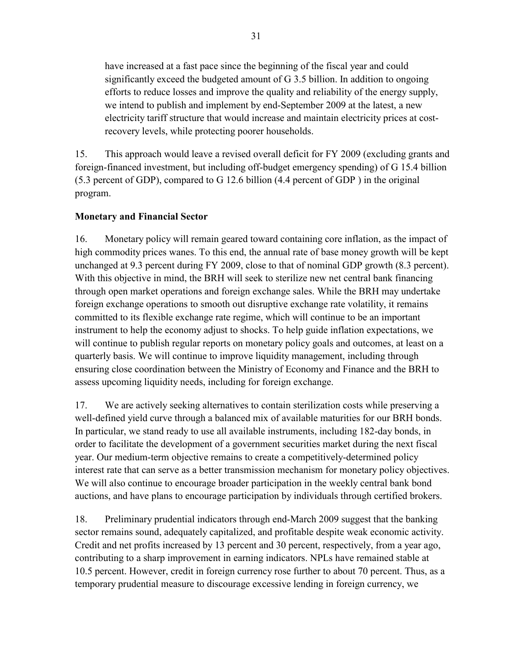have increased at a fast pace since the beginning of the fiscal year and could significantly exceed the budgeted amount of G 3.5 billion. In addition to ongoing efforts to reduce losses and improve the quality and reliability of the energy supply, we intend to publish and implement by end-September 2009 at the latest, a new electricity tariff structure that would increase and maintain electricity prices at costrecovery levels, while protecting poorer households.

15. This approach would leave a revised overall deficit for FY 2009 (excluding grants and foreign-financed investment, but including off-budget emergency spending) of G 15.4 billion (5.3 percent of GDP), compared to G 12.6 billion (4.4 percent of GDP ) in the original program.

## **Monetary and Financial Sector**

16. Monetary policy will remain geared toward containing core inflation, as the impact of high commodity prices wanes. To this end, the annual rate of base money growth will be kept unchanged at 9.3 percent during FY 2009, close to that of nominal GDP growth (8.3 percent). With this objective in mind, the BRH will seek to sterilize new net central bank financing through open market operations and foreign exchange sales. While the BRH may undertake foreign exchange operations to smooth out disruptive exchange rate volatility, it remains committed to its flexible exchange rate regime, which will continue to be an important instrument to help the economy adjust to shocks. To help guide inflation expectations, we will continue to publish regular reports on monetary policy goals and outcomes, at least on a quarterly basis. We will continue to improve liquidity management, including through ensuring close coordination between the Ministry of Economy and Finance and the BRH to assess upcoming liquidity needs, including for foreign exchange.

17. We are actively seeking alternatives to contain sterilization costs while preserving a well-defined yield curve through a balanced mix of available maturities for our BRH bonds. In particular, we stand ready to use all available instruments, including 182-day bonds, in order to facilitate the development of a government securities market during the next fiscal year. Our medium-term objective remains to create a competitively-determined policy interest rate that can serve as a better transmission mechanism for monetary policy objectives. We will also continue to encourage broader participation in the weekly central bank bond auctions, and have plans to encourage participation by individuals through certified brokers.

18. Preliminary prudential indicators through end-March 2009 suggest that the banking sector remains sound, adequately capitalized, and profitable despite weak economic activity. Credit and net profits increased by 13 percent and 30 percent, respectively, from a year ago, contributing to a sharp improvement in earning indicators. NPLs have remained stable at 10.5 percent. However, credit in foreign currency rose further to about 70 percent. Thus, as a temporary prudential measure to discourage excessive lending in foreign currency, we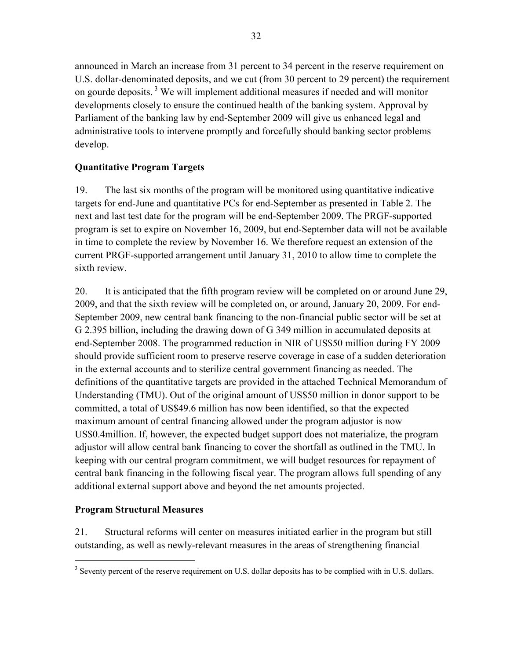announced in March an increase from 31 percent to 34 percent in the reserve requirement on U.S. dollar-denominated deposits, and we cut (from 30 percent to 29 percent) the requirement on gourde deposits.<sup>3</sup> We will implement additional measures if needed and will monitor developments closely to ensure the continued health of the banking system. Approval by Parliament of the banking law by end-September 2009 will give us enhanced legal and administrative tools to intervene promptly and forcefully should banking sector problems develop.

## **Quantitative Program Targets**

19. The last six months of the program will be monitored using quantitative indicative targets for end-June and quantitative PCs for end-September as presented in Table 2. The next and last test date for the program will be end-September 2009. The PRGF-supported program is set to expire on November 16, 2009, but end-September data will not be available in time to complete the review by November 16. We therefore request an extension of the current PRGF-supported arrangement until January 31, 2010 to allow time to complete the sixth review.

20. It is anticipated that the fifth program review will be completed on or around June 29, 2009, and that the sixth review will be completed on, or around, January 20, 2009. For end-September 2009, new central bank financing to the non-financial public sector will be set at G 2.395 billion, including the drawing down of G 349 million in accumulated deposits at end-September 2008. The programmed reduction in NIR of US\$50 million during FY 2009 should provide sufficient room to preserve reserve coverage in case of a sudden deterioration in the external accounts and to sterilize central government financing as needed. The definitions of the quantitative targets are provided in the attached Technical Memorandum of Understanding (TMU). Out of the original amount of US\$50 million in donor support to be committed, a total of US\$49.6 million has now been identified, so that the expected maximum amount of central financing allowed under the program adjustor is now US\$0.4million. If, however, the expected budget support does not materialize, the program adjustor will allow central bank financing to cover the shortfall as outlined in the TMU. In keeping with our central program commitment, we will budget resources for repayment of central bank financing in the following fiscal year. The program allows full spending of any additional external support above and beyond the net amounts projected.

## **Program Structural Measures**

1

21. Structural reforms will center on measures initiated earlier in the program but still outstanding, as well as newly-relevant measures in the areas of strengthening financial

 $3$  Seventy percent of the reserve requirement on U.S. dollar deposits has to be complied with in U.S. dollars.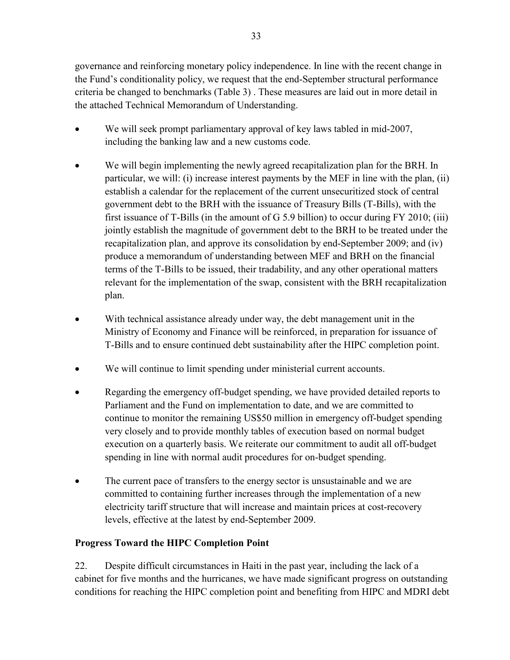governance and reinforcing monetary policy independence. In line with the recent change in the Fund's conditionality policy, we request that the end-September structural performance criteria be changed to benchmarks (Table 3) . These measures are laid out in more detail in the attached Technical Memorandum of Understanding.

- We will seek prompt parliamentary approval of key laws tabled in mid-2007, including the banking law and a new customs code.
- We will begin implementing the newly agreed recapitalization plan for the BRH. In particular, we will: (i) increase interest payments by the MEF in line with the plan, (ii) establish a calendar for the replacement of the current unsecuritized stock of central government debt to the BRH with the issuance of Treasury Bills (T-Bills), with the first issuance of T-Bills (in the amount of G 5.9 billion) to occur during FY 2010; (iii) jointly establish the magnitude of government debt to the BRH to be treated under the recapitalization plan, and approve its consolidation by end-September 2009; and (iv) produce a memorandum of understanding between MEF and BRH on the financial terms of the T-Bills to be issued, their tradability, and any other operational matters relevant for the implementation of the swap, consistent with the BRH recapitalization plan.
- With technical assistance already under way, the debt management unit in the Ministry of Economy and Finance will be reinforced, in preparation for issuance of T-Bills and to ensure continued debt sustainability after the HIPC completion point.
- We will continue to limit spending under ministerial current accounts.
- Regarding the emergency of f-budget spending, we have provided detailed reports to Parliament and the Fund on implementation to date, and we are committed to continue to monitor the remaining US\$50 million in emergency off-budget spending very closely and to provide monthly tables of execution based on normal budget execution on a quarterly basis. We reiterate our commitment to audit all off-budget spending in line with normal audit procedures for on-budget spending.
- The current pace of transfers to the energy sector is unsustainable and we are committed to containing further increases through the implementation of a new electricity tariff structure that will increase and maintain prices at cost-recovery levels, effective at the latest by end-September 2009.

## **Progress Toward the HIPC Completion Point**

22. Despite difficult circumstances in Haiti in the past year, including the lack of a cabinet for five months and the hurricanes, we have made significant progress on outstanding conditions for reaching the HIPC completion point and benefiting from HIPC and MDRI debt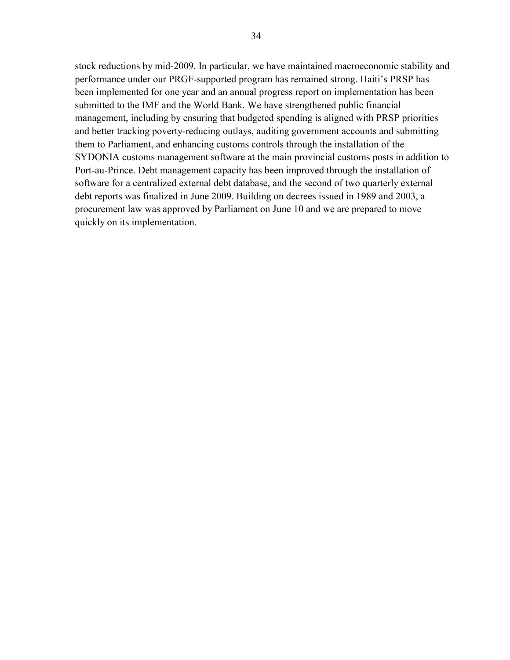stock reductions by mid-2009. In particular, we have maintained macroeconomic stability and performance under our PRGF-supported program has remained strong. Haiti's PRSP has been implemented for one year and an annual progress report on implementation has been submitted to the IMF and the World Bank. We have strengthened public financial management, including by ensuring that budgeted spending is aligned with PRSP priorities and better tracking poverty-reducing outlays, auditing government accounts and submitting them to Parliament, and enhancing customs controls through the installation of the SYDONIA customs management software at the main provincial customs posts in addition to Port-au-Prince. Debt management capacity has been improved through the installation of software for a centralized external debt database, and the second of two quarterly external debt reports was finalized in June 2009. Building on decrees issued in 1989 and 2003, a procurement law was approved by Parliament on June 10 and we are prepared to move quickly on its implementation.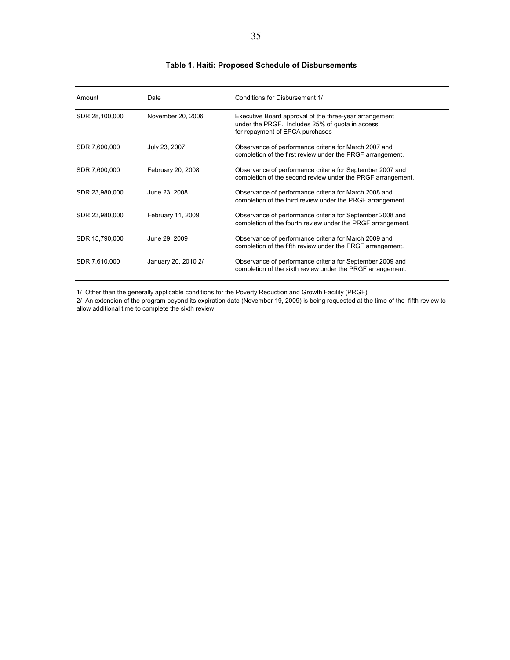#### **Table 1. Haiti: Proposed Schedule of Disbursements**

| Amount         | Date                | Conditions for Disbursement 1/                                                                                                               |
|----------------|---------------------|----------------------------------------------------------------------------------------------------------------------------------------------|
| SDR 28,100,000 | November 20, 2006   | Executive Board approval of the three-year arrangement<br>under the PRGF. Includes 25% of quota in access<br>for repayment of EPCA purchases |
| SDR 7,600,000  | July 23, 2007       | Observance of performance criteria for March 2007 and<br>completion of the first review under the PRGF arrangement.                          |
| SDR 7,600,000  | February 20, 2008   | Observance of performance criteria for September 2007 and<br>completion of the second review under the PRGF arrangement.                     |
| SDR 23,980,000 | June 23, 2008       | Observance of performance criteria for March 2008 and<br>completion of the third review under the PRGF arrangement.                          |
| SDR 23,980,000 | February 11, 2009   | Observance of performance criteria for September 2008 and<br>completion of the fourth review under the PRGF arrangement.                     |
| SDR 15,790,000 | June 29, 2009       | Observance of performance criteria for March 2009 and<br>completion of the fifth review under the PRGF arrangement.                          |
| SDR 7,610,000  | January 20, 2010 2/ | Observance of performance criteria for September 2009 and<br>completion of the sixth review under the PRGF arrangement.                      |

1/ Other than the generally applicable conditions for the Poverty Reduction and Growth Facility (PRGF).

2/ An extension of the program beyond its expiration date (November 19, 2009) is being requested at the time of the fifth review to allow additional time to complete the sixth review.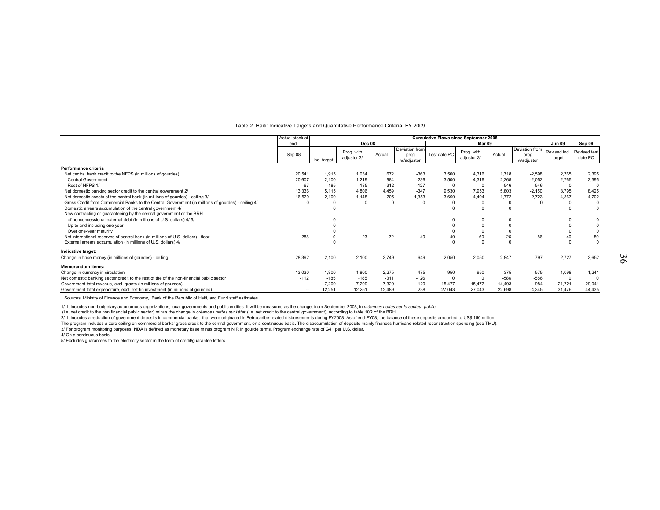#### Table 2. Haiti: Indicative Targets and Quantitative Performance Criteria, FY 2009

|                                                                                                    | Actual stock at          |             |                           |        |                                      | <b>Cumulative Flows since September 2008</b> |                           |          |                                      |                        |                                |
|----------------------------------------------------------------------------------------------------|--------------------------|-------------|---------------------------|--------|--------------------------------------|----------------------------------------------|---------------------------|----------|--------------------------------------|------------------------|--------------------------------|
|                                                                                                    | end-                     |             | <b>Dec 08</b>             |        |                                      |                                              | Mar 09                    |          |                                      | Jun 09                 | Sep 09                         |
|                                                                                                    | Sep 08                   | Ind. target | Prog. with<br>adjustor 3/ | Actual | Deviation from<br>prog<br>w/adjustor | Test date PC                                 | Prog. with<br>adjustor 3/ | Actual   | Deviation from<br>prog<br>w/adiustor | Revised ind.<br>target | <b>Revised test</b><br>date PC |
| Performance criteria                                                                               |                          |             |                           |        |                                      |                                              |                           |          |                                      |                        |                                |
| Net central bank credit to the NFPS (in millions of gourdes)                                       | 20,541                   | 1.915       | 1.034                     | 672    | $-363$                               | 3,500                                        | 4.316                     | 1.718    | $-2,598$                             | 2,765                  | 2,395                          |
| Central Government                                                                                 | 20,607                   | 2.100       | 1.219                     | 984    | $-236$                               | 3,500                                        | 4.316                     | 2.265    | $-2,052$                             | 2,765                  | 2,395                          |
| Rest of NFPS 1/                                                                                    | $-67$                    | $-185$      | $-185$                    | $-312$ | $-127$                               | $\Omega$                                     | $\Omega$                  | $-546$   | $-546$                               | $^{\circ}$             | $\Omega$                       |
| Net domestic banking sector credit to the central government 2/                                    | 13,336                   | 5.115       | 4,806                     | 4.459  | $-347$                               | 9,530                                        | 7,953                     | 5,803    | $-2,150$                             | 8,795                  | 8,425                          |
| Net domestic assets of the central bank (in millions of gourdes) - ceiling 3/                      | 16,579                   | 2.100       | 1.148                     | $-205$ | $-1.353$                             | 3,690                                        | 4,494                     | 1,772    | $-2,723$                             | 4,367                  | 4,702                          |
| Gross Credit from Commercial Banks to the Central Government (in millions of gourdes) - ceiling 4/ |                          |             | $\Omega$                  |        | $\Omega$                             |                                              | $\Omega$                  | 0        | $^{\circ}$                           | $\Omega$               | $\Omega$                       |
| Domestic arrears accumulation of the central government 4/                                         |                          |             |                           |        |                                      |                                              | $\Omega$                  | $\Omega$ |                                      |                        |                                |
| New contracting or guaranteeing by the central government or the BRH                               |                          |             |                           |        |                                      |                                              |                           |          |                                      |                        |                                |
| of nonconcessional external debt (In millions of U.S. dollars) 4/ 5/                               |                          |             |                           |        |                                      |                                              | 0                         | 0        |                                      |                        |                                |
| Up to and including one year                                                                       |                          |             |                           |        |                                      |                                              | $\Omega$                  |          |                                      |                        |                                |
| Over one-year maturity                                                                             |                          |             |                           |        |                                      |                                              | $\Omega$                  | $\Omega$ |                                      | $\Omega$               |                                |
| Net international reserves of central bank (in millions of U.S. dollars) - floor                   | 288                      |             | 23                        | 72     | 49                                   | $-40$                                        | $-60$                     | 26       | 86                                   | $-40$                  | $-50$                          |
| External arrears accumulation (in millions of U.S. dollars) 4/                                     |                          |             |                           |        |                                      | $\Omega$                                     | $\Omega$                  | $\Omega$ |                                      | $\Omega$               | $\Omega$                       |
| Indicative target:                                                                                 |                          |             |                           |        |                                      |                                              |                           |          |                                      |                        |                                |
| Change in base money (in millions of gourdes) - ceiling                                            | 28,392                   | 2,100       | 2,100                     | 2,749  | 649                                  | 2,050                                        | 2,050                     | 2,847    | 797                                  | 2,727                  | 2,652                          |
| <b>Memorandum items:</b>                                                                           |                          |             |                           |        |                                      |                                              |                           |          |                                      |                        |                                |
| Change in currency in circulation                                                                  | 13,030                   | 1.800       | 1.800                     | 2,275  | 475                                  | 950                                          | 950                       | 375      | $-575$                               | 1,098                  | 1,241                          |
| Net domestic banking sector credit to the rest of the of the non-financial public sector           | $-112$                   | $-185$      | $-185$                    | $-311$ | $-126$                               | $\Omega$                                     | $^{\circ}$                | $-586$   | $-586$                               | 0                      | $\Omega$                       |
| Government total revenue, excl. grants (in millions of gourdes)                                    | $\overline{\phantom{a}}$ | 7.209       | 7.209                     | 7.329  | 120                                  | 15,477                                       | 15,477                    | 14.493   | $-984$                               | 21,721                 | 29,041                         |
| Government total expenditure, excl. ext-fin investment (in millions of gourdes)                    | $\overline{\phantom{a}}$ | 12.251      | 12,251                    | 12,489 | 238                                  | 27,043                                       | 27,043                    | 22,698   | $-4.345$                             | 31,476                 | 44,435                         |

Sources: Ministry of Finance and Economy, Bank of the Republic of Haiti, and Fund staff estimates.

1/ It includes non-budgetary autonomous organizations, local governments and public entities. It will be measured as the change, from September 2008, in *créances nettes sur le secteur public*

(i.e, net credit to the non financial public sector) minus the change in *créances nettes sur l'état* (i.e. net credit to the central government), according to table 10R of the BRH.

2/ It includes a reduction of government deposits in commercial banks, that were originated in Petrocaribe-related disbursements during FY2008. As of end-FY08, the balance of these deposits amounted to US\$ 150 million.<br>The

3/ For program monitoring purposes, NDA is defined as monetary base minus program NIR in gourde terms. Program exchange rate of G41 per U.S. dollar.

4/ On a continuous basis.

5/ Excludes guarantees to the electricity sector in the form of credit/guarantee letters.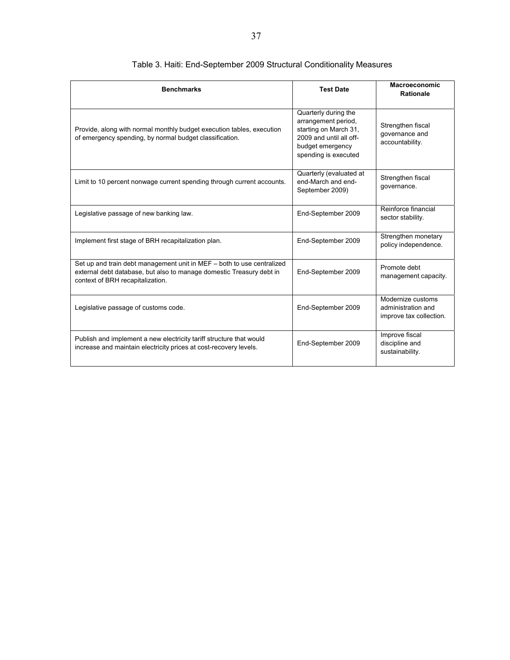| <b>Benchmarks</b>                                                                                                                                                                  | <b>Test Date</b>                                                                                                                            | <b>Macroeconomic</b><br><b>Rationale</b>                           |
|------------------------------------------------------------------------------------------------------------------------------------------------------------------------------------|---------------------------------------------------------------------------------------------------------------------------------------------|--------------------------------------------------------------------|
| Provide, along with normal monthly budget execution tables, execution<br>of emergency spending, by normal budget classification.                                                   | Quarterly during the<br>arrangement period,<br>starting on March 31,<br>2009 and until all off-<br>budget emergency<br>spending is executed | Strengthen fiscal<br>governance and<br>accountability.             |
| Limit to 10 percent nonwage current spending through current accounts.                                                                                                             | Quarterly (evaluated at<br>end-March and end-<br>September 2009)                                                                            | Strengthen fiscal<br>governance.                                   |
| Legislative passage of new banking law.                                                                                                                                            | End-September 2009                                                                                                                          | Reinforce financial<br>sector stability.                           |
| Implement first stage of BRH recapitalization plan.                                                                                                                                | End-September 2009                                                                                                                          | Strengthen monetary<br>policy independence.                        |
| Set up and train debt management unit in MEF - both to use centralized<br>external debt database, but also to manage domestic Treasury debt in<br>context of BRH recapitalization. | End-September 2009                                                                                                                          | Promote debt<br>management capacity.                               |
| Legislative passage of customs code.                                                                                                                                               | End-September 2009                                                                                                                          | Modernize customs<br>administration and<br>improve tax collection. |
| Publish and implement a new electricity tariff structure that would<br>increase and maintain electricity prices at cost-recovery levels.                                           | End-September 2009                                                                                                                          | Improve fiscal<br>discipline and<br>sustainability.                |

# Table 3. Haiti: End-September 2009 Structural Conditionality Measures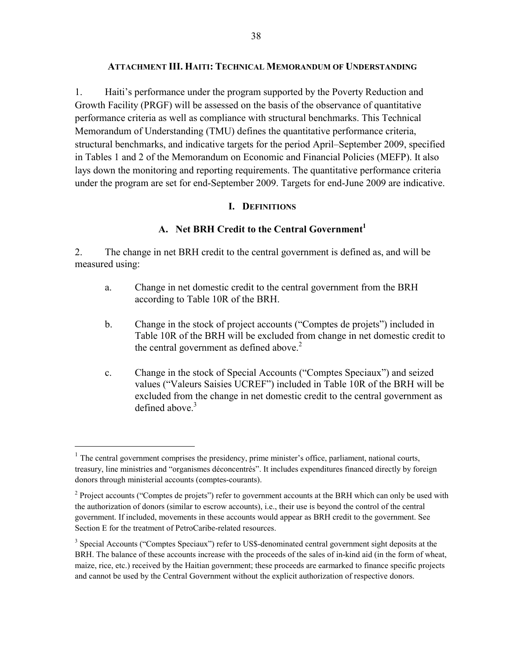#### **ATTACHMENT III. HAITI: TECHNICAL MEMORANDUM OF UNDERSTANDING**

1. Haiti's performance under the program supported by the Poverty Reduction and Growth Facility (PRGF) will be assessed on the basis of the observance of quantitative performance criteria as well as compliance with structural benchmarks. This Technical Memorandum of Understanding (TMU) defines the quantitative performance criteria, structural benchmarks, and indicative targets for the period April–September 2009, specified in Tables 1 and 2 of the Memorandum on Economic and Financial Policies (MEFP). It also lays down the monitoring and reporting requirements. The quantitative performance criteria under the program are set for end-September 2009. Targets for end-June 2009 are indicative.

#### **I. DEFINITIONS**

#### A. Net BRH Credit to the Central Government<sup>1</sup>

2. The change in net BRH credit to the central government is defined as, and will be measured using:

- a. Change in net domestic credit to the central government from the BRH according to Table 10R of the BRH.
- b. Change in the stock of project accounts ("Comptes de projets") included in Table 10R of the BRH will be excluded from change in net domestic credit to the central government as defined above.<sup>2</sup>
- c. Change in the stock of Special Accounts ("Comptes Speciaux") and seized values ("Valeurs Saisies UCREF") included in Table 10R of the BRH will be excluded from the change in net domestic credit to the central government as defined above. $3$

 $\overline{a}$ 

 $<sup>1</sup>$  The central government comprises the presidency, prime minister's office, parliament, national courts,</sup> treasury, line ministries and "organismes déconcentrés". It includes expenditures financed directly by foreign donors through ministerial accounts (comptes-courants).

 $2^{2}$  Project accounts ("Comptes de projets") refer to government accounts at the BRH which can only be used with the authorization of donors (similar to escrow accounts), i.e., their use is beyond the control of the central government. If included, movements in these accounts would appear as BRH credit to the government. See Section E for the treatment of PetroCaribe-related resources.

<sup>&</sup>lt;sup>3</sup> Special Accounts ("Comptes Speciaux") refer to US\$-denominated central government sight deposits at the BRH. The balance of these accounts increase with the proceeds of the sales of in-kind aid (in the form of wheat, maize, rice, etc.) received by the Haitian government; these proceeds are earmarked to finance specific projects and cannot be used by the Central Government without the explicit authorization of respective donors.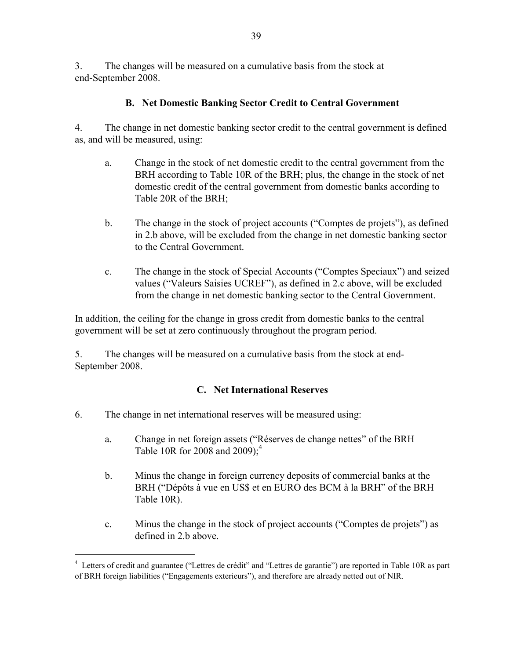3. The changes will be measured on a cumulative basis from the stock at end-September 2008.

# **B. Net Domestic Banking Sector Credit to Central Government**

4. The change in net domestic banking sector credit to the central government is defined as, and will be measured, using:

- a. Change in the stock of net domestic credit to the central government from the BRH according to Table 10R of the BRH; plus, the change in the stock of net domestic credit of the central government from domestic banks according to Table 20R of the BRH;
- b. The change in the stock of project accounts ("Comptes de projets"), as defined in 2.b above, will be excluded from the change in net domestic banking sector to the Central Government.
- c. The change in the stock of Special Accounts ("Comptes Speciaux") and seized values ("Valeurs Saisies UCREF"), as defined in 2.c above, will be excluded from the change in net domestic banking sector to the Central Government.

In addition, the ceiling for the change in gross credit from domestic banks to the central government will be set at zero continuously throughout the program period.

5. The changes will be measured on a cumulative basis from the stock at end-September 2008.

## **C. Net International Reserves**

6. The change in net international reserves will be measured using:

 $\overline{a}$ 

- a. Change in net foreign assets ("Réserves de change nettes" of the BRH Table 10R for 2008 and 2009);<sup>4</sup>
- b. Minus the change in foreign currency deposits of commercial banks at the BRH ("Dépôts à vue en US\$ et en EURO des BCM à la BRH" of the BRH Table 10R).
- c. Minus the change in the stock of project accounts ("Comptes de projets") as defined in 2.b above.

<sup>&</sup>lt;sup>4</sup> Letters of credit and guarantee ("Lettres de crédit" and "Lettres de garantie") are reported in Table 10R as part of BRH foreign liabilities ("Engagements exterieurs"), and therefore are already netted out of NIR.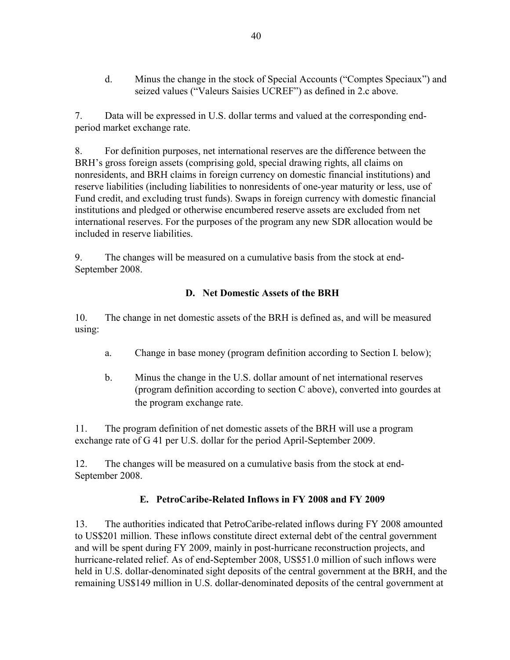d. Minus the change in the stock of Special Accounts ("Comptes Speciaux") and seized values ("Valeurs Saisies UCREF") as defined in 2.c above.

7. Data will be expressed in U.S. dollar terms and valued at the corresponding endperiod market exchange rate.

8. For definition purposes, net international reserves are the difference between the BRH's gross foreign assets (comprising gold, special drawing rights, all claims on nonresidents, and BRH claims in foreign currency on domestic financial institutions) and reserve liabilities (including liabilities to nonresidents of one-year maturity or less, use of Fund credit, and excluding trust funds). Swaps in foreign currency with domestic financial institutions and pledged or otherwise encumbered reserve assets are excluded from net international reserves. For the purposes of the program any new SDR allocation would be included in reserve liabilities.

9. The changes will be measured on a cumulative basis from the stock at end-September 2008.

## **D. Net Domestic Assets of the BRH**

10. The change in net domestic assets of the BRH is defined as, and will be measured using:

- a. Change in base money (program definition according to Section I. below);
- b. Minus the change in the U.S. dollar amount of net international reserves (program definition according to section C above), converted into gourdes at the program exchange rate.

11. The program definition of net domestic assets of the BRH will use a program exchange rate of G 41 per U.S. dollar for the period April-September 2009.

12. The changes will be measured on a cumulative basis from the stock at end-September 2008.

# **E. PetroCaribe-Related Inflows in FY 2008 and FY 2009**

13. The authorities indicated that PetroCaribe-related inflows during FY 2008 amounted to US\$201 million. These inflows constitute direct external debt of the central government and will be spent during FY 2009, mainly in post-hurricane reconstruction projects, and hurricane-related relief. As of end-September 2008, US\$51.0 million of such inflows were held in U.S. dollar-denominated sight deposits of the central government at the BRH, and the remaining US\$149 million in U.S. dollar-denominated deposits of the central government at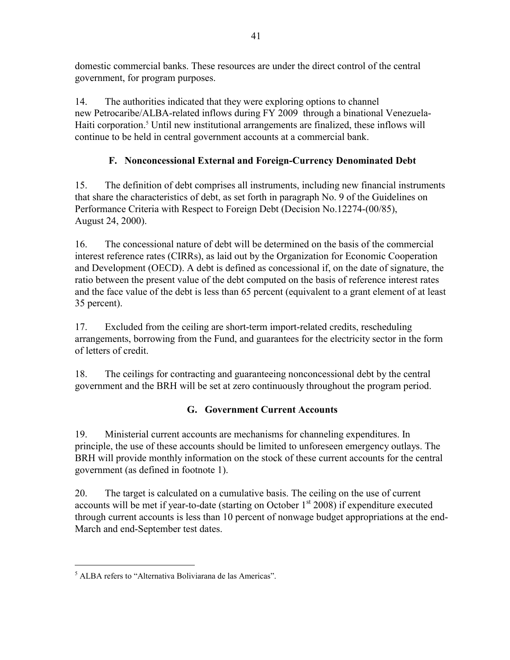domestic commercial banks. These resources are under the direct control of the central government, for program purposes.

14. The authorities indicated that they were exploring options to channel new Petrocaribe/ALBA-related inflows during FY 2009 through a binational Venezuela-Haiti corporation.<sup>5</sup> Until new institutional arrangements are finalized, these inflows will continue to be held in central government accounts at a commercial bank.

# **F. Nonconcessional External and Foreign-Currency Denominated Debt**

15. The definition of debt comprises all instruments, including new financial instruments that share the characteristics of debt, as set forth in paragraph No. 9 of the Guidelines on Performance Criteria with Respect to Foreign Debt (Decision No.12274-(00/85), August 24, 2000).

16. The concessional nature of debt will be determined on the basis of the commercial interest reference rates (CIRRs), as laid out by the Organization for Economic Cooperation and Development (OECD). A debt is defined as concessional if, on the date of signature, the ratio between the present value of the debt computed on the basis of reference interest rates and the face value of the debt is less than 65 percent (equivalent to a grant element of at least 35 percent).

17. Excluded from the ceiling are short-term import-related credits, rescheduling arrangements, borrowing from the Fund, and guarantees for the electricity sector in the form of letters of credit.

18. The ceilings for contracting and guaranteeing nonconcessional debt by the central government and the BRH will be set at zero continuously throughout the program period.

# **G. Government Current Accounts**

19. Ministerial current accounts are mechanisms for channeling expenditures. In principle, the use of these accounts should be limited to unforeseen emergency outlays. The BRH will provide monthly information on the stock of these current accounts for the central government (as defined in footnote 1).

20. The target is calculated on a cumulative basis. The ceiling on the use of current accounts will be met if year-to-date (starting on October  $1<sup>st</sup>$  2008) if expenditure executed through current accounts is less than 10 percent of nonwage budget appropriations at the end-March and end-September test dates.

 $\overline{a}$ 

<sup>&</sup>lt;sup>5</sup> ALBA refers to "Alternativa Boliviarana de las Americas".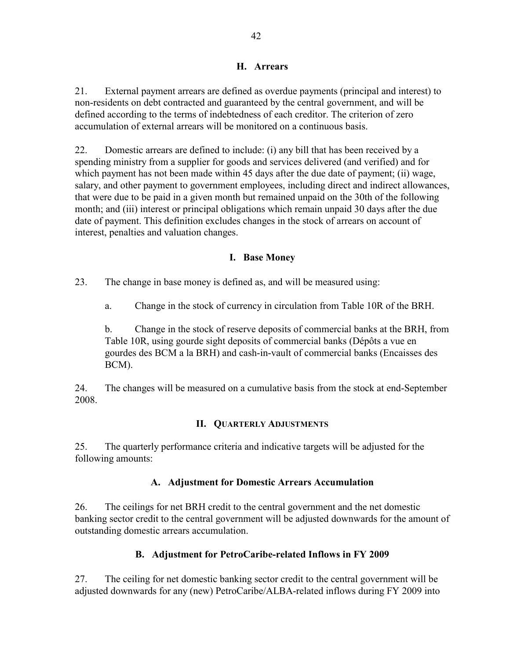## **H. Arrears**

21. External payment arrears are defined as overdue payments (principal and interest) to non-residents on debt contracted and guaranteed by the central government, and will be defined according to the terms of indebtedness of each creditor. The criterion of zero accumulation of external arrears will be monitored on a continuous basis.

22. Domestic arrears are defined to include: (i) any bill that has been received by a spending ministry from a supplier for goods and services delivered (and verified) and for which payment has not been made within 45 days after the due date of payment; (ii) wage, salary, and other payment to government employees, including direct and indirect allowances, that were due to be paid in a given month but remained unpaid on the 30th of the following month; and (iii) interest or principal obligations which remain unpaid 30 days after the due date of payment. This definition excludes changes in the stock of arrears on account of interest, penalties and valuation changes.

## **I. Base Money**

23. The change in base money is defined as, and will be measured using:

a. Change in the stock of currency in circulation from Table 10R of the BRH.

b. Change in the stock of reserve deposits of commercial banks at the BRH, from Table 10R, using gourde sight deposits of commercial banks (Dépôts a vue en gourdes des BCM a la BRH) and cash-in-vault of commercial banks (Encaisses des BCM).

24. The changes will be measured on a cumulative basis from the stock at end-September 2008.

## **II. QUARTERLY ADJUSTMENTS**

25. The quarterly performance criteria and indicative targets will be adjusted for the following amounts:

## **A. Adjustment for Domestic Arrears Accumulation**

26. The ceilings for net BRH credit to the central government and the net domestic banking sector credit to the central government will be adjusted downwards for the amount of outstanding domestic arrears accumulation.

## **B. Adjustment for PetroCaribe-related Inflows in FY 2009**

27. The ceiling for net domestic banking sector credit to the central government will be adjusted downwards for any (new) PetroCaribe/ALBA-related inflows during FY 2009 into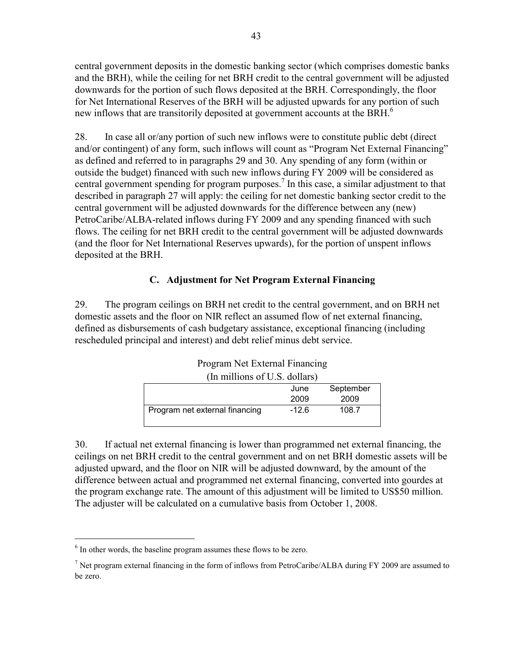central government deposits in the domestic banking sector (which comprises domestic banks and the BRH), while the ceiling for net BRH credit to the central government will be adjusted downwards for the portion of such flows deposited at the BRH. Correspondingly, the floor for Net International Reserves of the BRH will be adjusted upwards for any portion of such new inflows that are transitorily deposited at government accounts at the BRH.<sup>6</sup>

28. In case all or/any portion of such new inflows were to constitute public debt (direct and/or contingent) of any form, such inflows will count as "Program Net External Financing" as defined and referred to in paragraphs 29 and 30. Any spending of any form (within or outside the budget) financed with such new inflows during FY 2009 will be considered as central government spending for program purposes.<sup>7</sup> In this case, a similar adjustment to that described in paragraph 27 will apply: the ceiling for net domestic banking sector credit to the central government will be adjusted downwards for the difference between any (new) PetroCaribe/ALBA-related inflows during FY 2009 and any spending financed with such flows. The ceiling for net BRH credit to the central government will be adjusted downwards (and the floor for Net International Reserves upwards), for the portion of unspent inflows deposited at the BRH.

## **C. Adjustment for Net Program External Financing**

29. The program ceilings on BRH net credit to the central government, and on BRH net domestic assets and the floor on NIR reflect an assumed flow of net external financing, defined as disbursements of cash budgetary assistance, exceptional financing (including rescheduled principal and interest) and debt relief minus debt service.

| (In millions of U.S. dollars)  |         |           |
|--------------------------------|---------|-----------|
|                                | June    | September |
|                                | 2009    | 2009      |
| Program net external financing | $-12.6$ | 108.7     |

| <b>Program Net External Financing</b> |
|---------------------------------------|
|---------------------------------------|

30. If actual net external financing is lower than programmed net external financing, the ceilings on net BRH credit to the central government and on net BRH domestic assets will be adjusted upward, and the floor on NIR will be adjusted downward, by the amount of the difference between actual and programmed net external financing, converted into gourdes at the program exchange rate. The amount of this adjustment will be limited to US\$50 million. The adjuster will be calculated on a cumulative basis from October 1, 2008.

 $\overline{a}$ 

<sup>&</sup>lt;sup>6</sup> In other words, the baseline program assumes these flows to be zero.

<sup>&</sup>lt;sup>7</sup> Net program external financing in the form of inflows from PetroCaribe/ALBA during FY 2009 are assumed to be zero.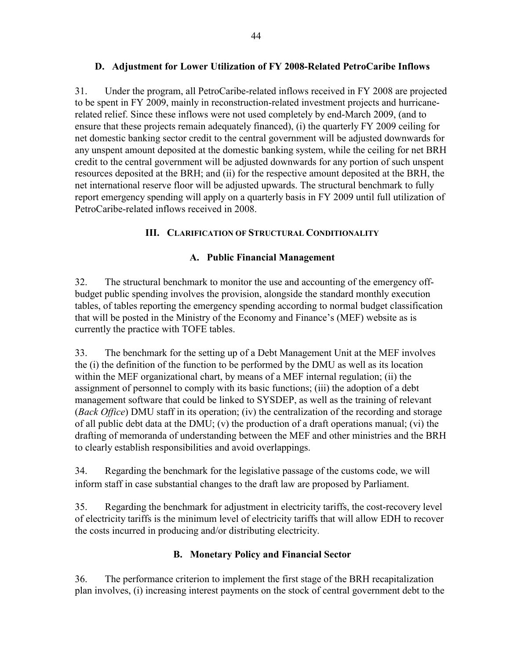## **D. Adjustment for Lower Utilization of FY 2008-Related PetroCaribe Inflows**

31. Under the program, all PetroCaribe-related inflows received in FY 2008 are projected to be spent in FY 2009, mainly in reconstruction-related investment projects and hurricanerelated relief. Since these inflows were not used completely by end-March 2009, (and to ensure that these projects remain adequately financed), (i) the quarterly FY 2009 ceiling for net domestic banking sector credit to the central government will be adjusted downwards for any unspent amount deposited at the domestic banking system, while the ceiling for net BRH credit to the central government will be adjusted downwards for any portion of such unspent resources deposited at the BRH; and (ii) for the respective amount deposited at the BRH, the net international reserve floor will be adjusted upwards. The structural benchmark to fully report emergency spending will apply on a quarterly basis in FY 2009 until full utilization of PetroCaribe-related inflows received in 2008.

## **III. CLARIFICATION OF STRUCTURAL CONDITIONALITY**

## **A. Public Financial Management**

32. The structural benchmark to monitor the use and accounting of the emergency offbudget public spending involves the provision, alongside the standard monthly execution tables, of tables reporting the emergency spending according to normal budget classification that will be posted in the Ministry of the Economy and Finance's (MEF) website as is currently the practice with TOFE tables.

33. The benchmark for the setting up of a Debt Management Unit at the MEF involves the (i) the definition of the function to be performed by the DMU as well as its location within the MEF organizational chart, by means of a MEF internal regulation; (ii) the assignment of personnel to comply with its basic functions; (iii) the adoption of a debt management software that could be linked to SYSDEP, as well as the training of relevant (*Back Office*) DMU staff in its operation; (iv) the centralization of the recording and storage of all public debt data at the DMU; (v) the production of a draft operations manual; (vi) the drafting of memoranda of understanding between the MEF and other ministries and the BRH to clearly establish responsibilities and avoid overlappings.

34. Regarding the benchmark for the legislative passage of the customs code, we will inform staff in case substantial changes to the draft law are proposed by Parliament.

35. Regarding the benchmark for adjustment in electricity tariffs, the cost-recovery level of electricity tariffs is the minimum level of electricity tariffs that will allow EDH to recover the costs incurred in producing and/or distributing electricity.

## **B. Monetary Policy and Financial Sector**

36. The performance criterion to implement the first stage of the BRH recapitalization plan involves, (i) increasing interest payments on the stock of central government debt to the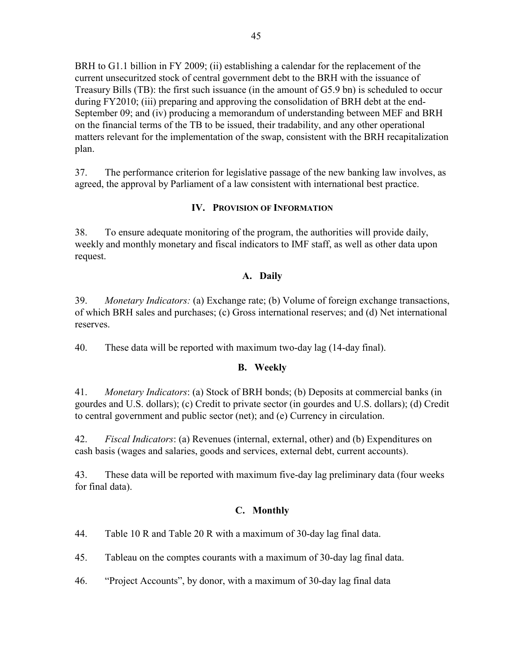BRH to G1.1 billion in FY 2009; (ii) establishing a calendar for the replacement of the current unsecuritzed stock of central government debt to the BRH with the issuance of Treasury Bills (TB): the first such issuance (in the amount of G5.9 bn) is scheduled to occur during FY2010; (iii) preparing and approving the consolidation of BRH debt at the end-September 09; and (iv) producing a memorandum of understanding between MEF and BRH on the financial terms of the TB to be issued, their tradability, and any other operational matters relevant for the implementation of the swap, consistent with the BRH recapitalization plan.

37. The performance criterion for legislative passage of the new banking law involves, as agreed, the approval by Parliament of a law consistent with international best practice.

## **IV. PROVISION OF INFORMATION**

38. To ensure adequate monitoring of the program, the authorities will provide daily, weekly and monthly monetary and fiscal indicators to IMF staff, as well as other data upon request.

## **A. Daily**

39. *Monetary Indicators:* (a) Exchange rate; (b) Volume of foreign exchange transactions, of which BRH sales and purchases; (c) Gross international reserves; and (d) Net international reserves.

40. These data will be reported with maximum two-day lag (14-day final).

## **B. Weekly**

41. *Monetary Indicators*: (a) Stock of BRH bonds; (b) Deposits at commercial banks (in gourdes and U.S. dollars); (c) Credit to private sector (in gourdes and U.S. dollars); (d) Credit to central government and public sector (net); and (e) Currency in circulation.

42. *Fiscal Indicators*: (a) Revenues (internal, external, other) and (b) Expenditures on cash basis (wages and salaries, goods and services, external debt, current accounts).

43. These data will be reported with maximum five-day lag preliminary data (four weeks for final data).

## **C. Monthly**

44. Table 10 R and Table 20 R with a maximum of 30-day lag final data.

45. Tableau on the comptes courants with a maximum of 30-day lag final data.

46. "Project Accounts", by donor, with a maximum of 30-day lag final data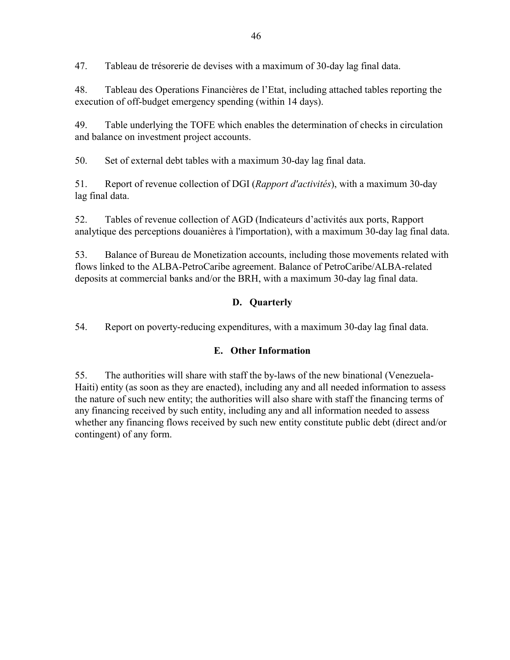47. Tableau de trésorerie de devises with a maximum of 30-day lag final data.

48. Tableau des Operations Financières de l'Etat, including attached tables reporting the execution of off-budget emergency spending (within 14 days).

49. Table underlying the TOFE which enables the determination of checks in circulation and balance on investment project accounts.

50. Set of external debt tables with a maximum 30-day lag final data.

51. Report of revenue collection of DGI (*Rapport d'activités*), with a maximum 30-day lag final data.

52. Tables of revenue collection of AGD (Indicateurs d'activités aux ports, Rapport analytique des perceptions douanières à l'importation), with a maximum 30-day lag final data.

53. Balance of Bureau de Monetization accounts, including those movements related with flows linked to the ALBA-PetroCaribe agreement. Balance of PetroCaribe/ALBA-related deposits at commercial banks and/or the BRH, with a maximum 30-day lag final data.

# **D. Quarterly**

54. Report on poverty-reducing expenditures, with a maximum 30-day lag final data.

## **E. Other Information**

55. The authorities will share with staff the by-laws of the new binational (Venezuela-Haiti) entity (as soon as they are enacted), including any and all needed information to assess the nature of such new entity; the authorities will also share with staff the financing terms of any financing received by such entity, including any and all information needed to assess whether any financing flows received by such new entity constitute public debt (direct and/or contingent) of any form.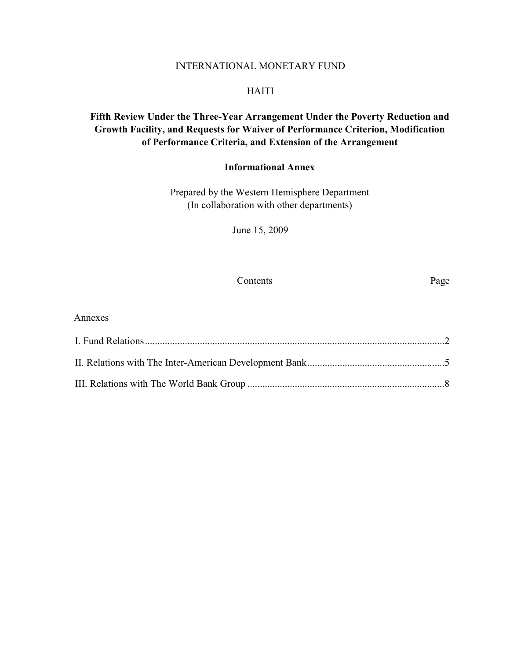#### INTERNATIONAL MONETARY FUND

#### HAITI

# **Fifth Review Under the Three-Year Arrangement Under the Poverty Reduction and Growth Facility, and Requests for Waiver of Performance Criterion, Modification of Performance Criteria, and Extension of the Arrangement**

## **Informational Annex**

Prepared by the Western Hemisphere Department (In collaboration with other departments)

June 15, 2009

#### Contents Page

| Annexes |  |
|---------|--|
|         |  |
|         |  |
|         |  |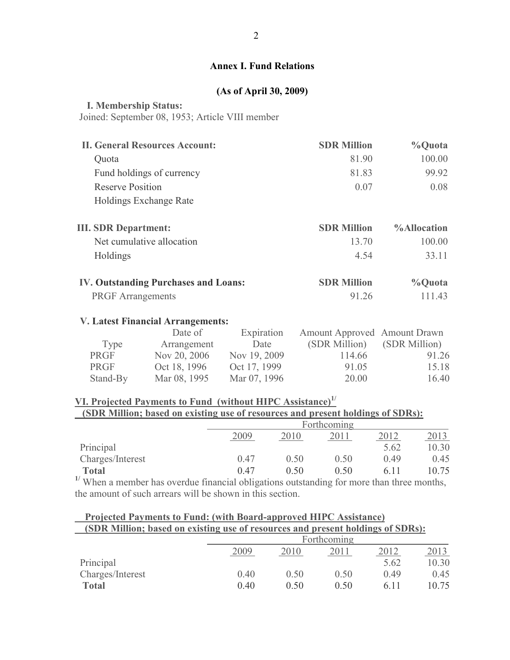## **Annex I. Fund Relations**

## **(As of April 30, 2009)**

#### <span id="page-49-0"></span> **I. Membership Status:**

Joined: September 08, 1953; Article VIII member

| <b>II. General Resources Account:</b>       | <b>SDR Million</b> | %Quota             |
|---------------------------------------------|--------------------|--------------------|
| Quota                                       | 81.90              | 100.00             |
| Fund holdings of currency                   | 81.83              | 99.92              |
| <b>Reserve Position</b>                     | 0.07               | 0.08               |
| Holdings Exchange Rate                      |                    |                    |
| <b>III. SDR Department:</b>                 | <b>SDR Million</b> | <b>%Allocation</b> |
| Net cumulative allocation                   | 13.70              | 100.00             |
| Holdings                                    | 4.54               | 33 11              |
| <b>IV. Outstanding Purchases and Loans:</b> | <b>SDR Million</b> | %Quota             |
| <b>PRGF</b> Arrangements                    | 91.26              | 111.43             |

#### **V. [Latest Financial Arrangements:](http://www.imf.org/external/np/fin/tad/extarr2.aspx?memberKey1=400&date1key=2009-04-30)**

|             | Date of      | Expiration   | Amount Approved Amount Drawn |               |
|-------------|--------------|--------------|------------------------------|---------------|
| Type        | Arrangement  | Date         | (SDR Million)                | (SDR Million) |
| <b>PRGF</b> | Nov 20, 2006 | Nov 19, 2009 | 114.66                       | 91.26         |
| <b>PRGF</b> | Oct 18, 1996 | Oct 17, 1999 | 91.05                        | 15.18         |
| Stand-By    | Mar 08, 1995 | Mar 07, 1996 | 20.00                        | 16.40         |

# **VI. Projected Payments to Fund (without HIPC Assistance)1/**

# **(SDR Million; based on existing use of resources and present holdings of SDRs):**

|                      |      | Forthcoming          |      |       |       |  |
|----------------------|------|----------------------|------|-------|-------|--|
|                      | 2009 | 2012<br>2011<br>2016 |      |       |       |  |
| Principal            |      |                      |      | 5.62  | 10.30 |  |
| Charges/Interest     | 0.47 | O 50                 | 0.50 | 0.49  | 0.45  |  |
| <b>Total</b><br>$+1$ | 0.47 | 0.50                 | 0.50 | 6 1 1 | 10.75 |  |

<sup>1/</sup> When a member has overdue financial obligations outstanding for more than three months, the amount of such arrears will be shown in this section.

| Projected Payments to Fund: (with Board-approved HIPC Assistance)               |  |
|---------------------------------------------------------------------------------|--|
| (SDR Million; based on existing use of resources and present holdings of SDRs): |  |

|                  |      | Forthcoming                  |      |       |       |  |  |
|------------------|------|------------------------------|------|-------|-------|--|--|
|                  | 2009 | 2013<br>2012<br>2011<br>2010 |      |       |       |  |  |
| Principal        |      |                              |      | 5.62  | 10.30 |  |  |
| Charges/Interest | 0.40 | 0.50                         | 0.50 | 0.49  | 0.45  |  |  |
| <b>Total</b>     | 0.40 | 0 50                         | 0.50 | 6 1 1 | 10.75 |  |  |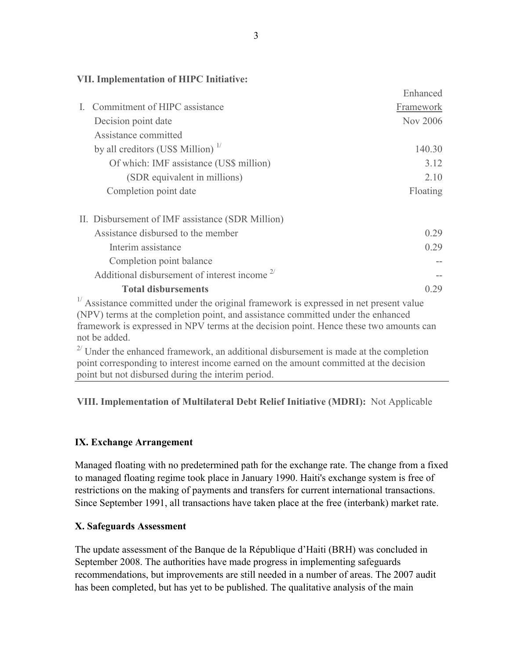#### **VII. Implementation of HIPC Initiative:**

|                                                                                               | <b>Ennanced</b> |
|-----------------------------------------------------------------------------------------------|-----------------|
| Commitment of HIPC assistance                                                                 | Framework       |
| Decision point date                                                                           | Nov 2006        |
| Assistance committed                                                                          |                 |
| by all creditors (US\$ Million) $\frac{1}{1}$                                                 | 140.30          |
| Of which: IMF assistance (US\$ million)                                                       | 3.12            |
| (SDR equivalent in millions)                                                                  | 2.10            |
| Completion point date                                                                         | Floating        |
| II. Disbursement of IMF assistance (SDR Million)                                              |                 |
| Assistance disbursed to the member                                                            | 0.29            |
| Interim assistance                                                                            | 0.29            |
| Completion point balance                                                                      |                 |
| Additional disbursement of interest income $2^{7}$                                            |                 |
| <b>Total disbursements</b>                                                                    | 0.29            |
| $^{1/2}$ A scietance committed under the original framework is expressed in net present value |                 |

Assistance committed under the original framework is expressed in net present value (NPV) terms at the completion point, and assistance committed under the enhanced framework is expressed in NPV terms at the decision point. Hence these two amounts can not be added.

 $2^{7}$  Under the enhanced framework, an additional disbursement is made at the completion point corresponding to interest income earned on the amount committed at the decision point but not disbursed during the interim period.

## **VIII. Implementation of Multilateral Debt Relief Initiative (MDRI):** Not Applicable

## **IX. Exchange Arrangement**

Managed floating with no predetermined path for the exchange rate. The change from a fixed to managed floating regime took place in January 1990. Haiti's exchange system is free of restrictions on the making of payments and transfers for current international transactions. Since September 1991, all transactions have taken place at the free (interbank) market rate.

#### **X. Safeguards Assessment**

The update assessment of the Banque de la République d'Haiti (BRH) was concluded in September 2008. The authorities have made progress in implementing safeguards recommendations, but improvements are still needed in a number of areas. The 2007 audit has been completed, but has yet to be published. The qualitative analysis of the main

Enhanced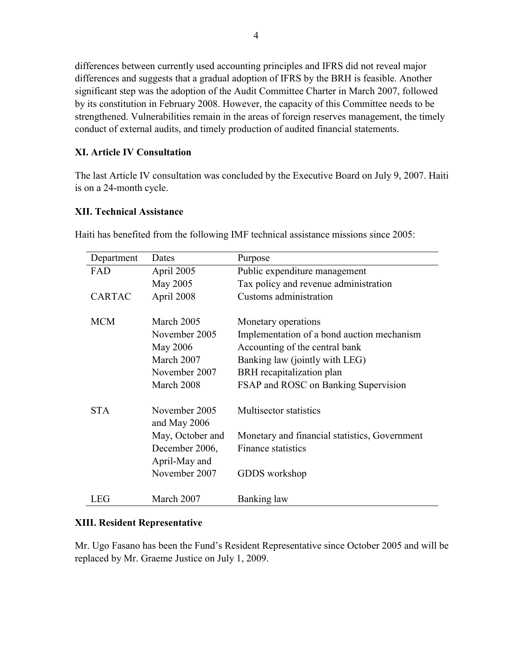differences between currently used accounting principles and IFRS did not reveal major differences and suggests that a gradual adoption of IFRS by the BRH is feasible. Another significant step was the adoption of the Audit Committee Charter in March 2007, followed by its constitution in February 2008. However, the capacity of this Committee needs to be strengthened. Vulnerabilities remain in the areas of foreign reserves management, the timely conduct of external audits, and timely production of audited financial statements.

## **XI. Article IV Consultation**

The last Article IV consultation was concluded by the Executive Board on July 9, 2007. Haiti is on a 24-month cycle.

#### **XII. Technical Assistance**

| Department    | Dates                           | Purpose                                       |
|---------------|---------------------------------|-----------------------------------------------|
| FAD           | April 2005                      | Public expenditure management                 |
|               | May 2005                        | Tax policy and revenue administration         |
| <b>CARTAC</b> | April 2008                      | Customs administration                        |
| <b>MCM</b>    | March 2005                      | Monetary operations                           |
|               | November 2005                   | Implementation of a bond auction mechanism    |
|               | May 2006                        | Accounting of the central bank                |
|               | March 2007                      | Banking law (jointly with LEG)                |
|               | November 2007                   | BRH recapitalization plan                     |
|               | March 2008                      | FSAP and ROSC on Banking Supervision          |
| <b>STA</b>    | November 2005<br>and May $2006$ | <b>Multisector statistics</b>                 |
|               | May, October and                | Monetary and financial statistics, Government |
|               | December 2006,                  | Finance statistics                            |
|               | April-May and                   |                                               |
|               | November 2007                   | GDDS workshop                                 |
| LEG           | March 2007                      | Banking law                                   |

Haiti has benefited from the following IMF technical assistance missions since 2005:

## **XIII. Resident Representative**

Mr. Ugo Fasano has been the Fund's Resident Representative since October 2005 and will be replaced by Mr. Graeme Justice on July 1, 2009.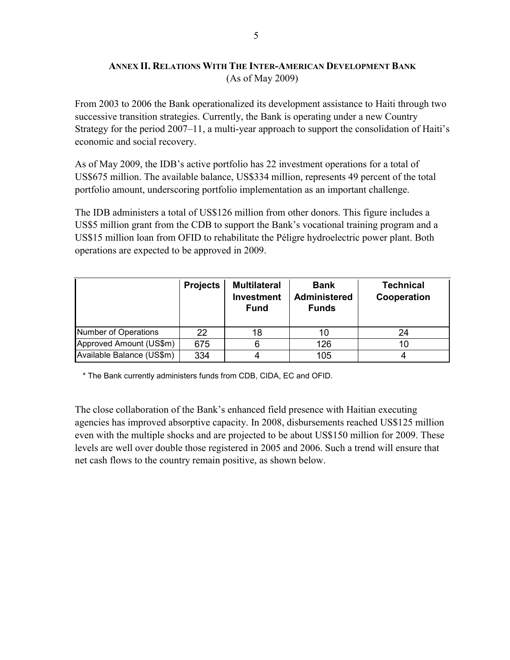## **ANNEX II. RELATIONS WITH THE INTER-AMERICAN DEVELOPMENT BANK** (As of May 2009)

<span id="page-52-0"></span>From 2003 to 2006 the Bank operationalized its development assistance to Haiti through two successive transition strategies. Currently, the Bank is operating under a new Country Strategy for the period 2007–11, a multi-year approach to support the consolidation of Haiti's economic and social recovery.

As of May 2009, the IDB's active portfolio has 22 investment operations for a total of US\$675 million. The available balance, US\$334 million, represents 49 percent of the total portfolio amount, underscoring portfolio implementation as an important challenge.

The IDB administers a total of US\$126 million from other donors. This figure includes a US\$5 million grant from the CDB to support the Bank's vocational training program and a US\$15 million loan from OFID to rehabilitate the Péligre hydroelectric power plant. Both operations are expected to be approved in 2009.

|                           | <b>Projects</b> | <b>Multilateral</b><br><b>Investment</b><br><b>Fund</b> | <b>Bank</b><br><b>Administered</b><br><b>Funds</b> | <b>Technical</b><br>Cooperation |
|---------------------------|-----------------|---------------------------------------------------------|----------------------------------------------------|---------------------------------|
| Number of Operations      | 22              | 18                                                      | 10                                                 | 24                              |
| Approved Amount (US\$m)   | 675             | 6                                                       | 126                                                | 10                              |
| Available Balance (US\$m) | 334             |                                                         | 105                                                |                                 |

\* The Bank currently administers funds from CDB, CIDA, EC and OFID.

The close collaboration of the Bank's enhanced field presence with Haitian executing agencies has improved absorptive capacity. In 2008, disbursements reached US\$125 million even with the multiple shocks and are projected to be about US\$150 million for 2009. These levels are well over double those registered in 2005 and 2006. Such a trend will ensure that net cash flows to the country remain positive, as shown below.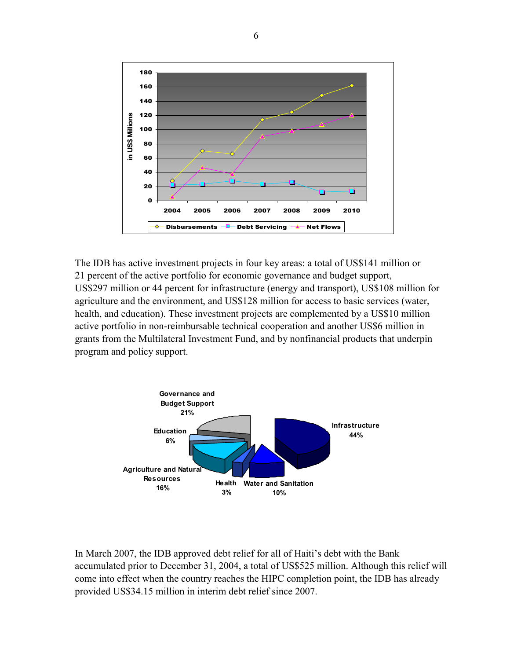

The IDB has active investment projects in four key areas: a total of US\$141 million or 21 percent of the active portfolio for economic governance and budget support, US\$297 million or 44 percent for infrastructure (energy and transport), US\$108 million for agriculture and the environment, and US\$128 million for access to basic services (water, health, and education). These investment projects are complemented by a US\$10 million active portfolio in non-reimbursable technical cooperation and another US\$6 million in grants from the Multilateral Investment Fund, and by nonfinancial products that underpin program and policy support.



In March 2007, the IDB approved debt relief for all of Haiti's debt with the Bank accumulated prior to December 31, 2004, a total of US\$525 million. Although this relief will come into effect when the country reaches the HIPC completion point, the IDB has already provided US\$34.15 million in interim debt relief since 2007.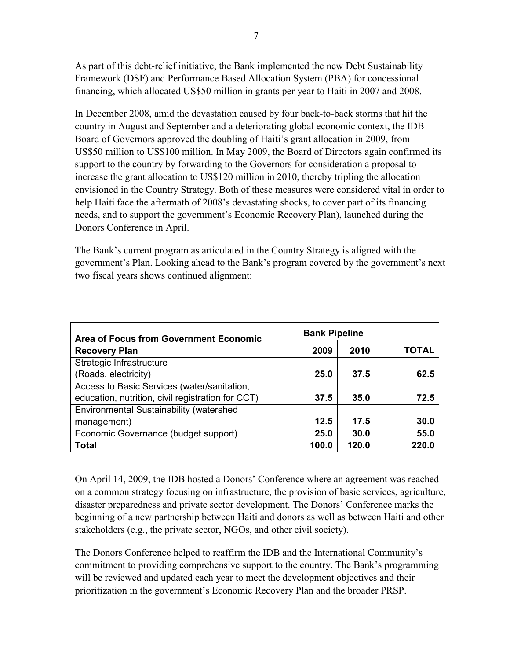As part of this debt-relief initiative, the Bank implemented the new Debt Sustainability Framework (DSF) and Performance Based Allocation System (PBA) for concessional financing, which allocated US\$50 million in grants per year to Haiti in 2007 and 2008.

In December 2008, amid the devastation caused by four back-to-back storms that hit the country in August and September and a deteriorating global economic context, the IDB Board of Governors approved the doubling of Haiti's grant allocation in 2009, from US\$50 million to US\$100 million. In May 2009, the Board of Directors again confirmed its support to the country by forwarding to the Governors for consideration a proposal to increase the grant allocation to US\$120 million in 2010, thereby tripling the allocation envisioned in the Country Strategy. Both of these measures were considered vital in order to help Haiti face the aftermath of 2008's devastating shocks, to cover part of its financing needs, and to support the government's Economic Recovery Plan), launched during the Donors Conference in April.

The Bank's current program as articulated in the Country Strategy is aligned with the government's Plan. Looking ahead to the Bank's program covered by the government's next two fiscal years shows continued alignment:

| <b>Area of Focus from Government Economic</b>     | <b>Bank Pipeline</b> |       |       |
|---------------------------------------------------|----------------------|-------|-------|
| <b>Recovery Plan</b>                              | 2009                 | 2010  | TOTAL |
| Strategic Infrastructure                          |                      |       |       |
| (Roads, electricity)                              | 25.0                 | 37.5  | 62.5  |
| Access to Basic Services (water/sanitation,       |                      |       |       |
| education, nutrition, civil registration for CCT) | 37.5                 | 35.0  | 72.5  |
| Environmental Sustainability (watershed           |                      |       |       |
| management)                                       | 12.5                 | 17.5  | 30.0  |
| Economic Governance (budget support)              | 25.0                 | 30.0  | 55.0  |
| <b>Total</b>                                      | 100.0                | 120.0 | 220.0 |

On April 14, 2009, the IDB hosted a Donors' Conference where an agreement was reached on a common strategy focusing on infrastructure, the provision of basic services, agriculture, disaster preparedness and private sector development. The Donors' Conference marks the beginning of a new partnership between Haiti and donors as well as between Haiti and other stakeholders (e.g., the private sector, NGOs, and other civil society).

The Donors Conference helped to reaffirm the IDB and the International Community's commitment to providing comprehensive support to the country. The Bank's programming will be reviewed and updated each year to meet the development objectives and their prioritization in the government's Economic Recovery Plan and the broader PRSP.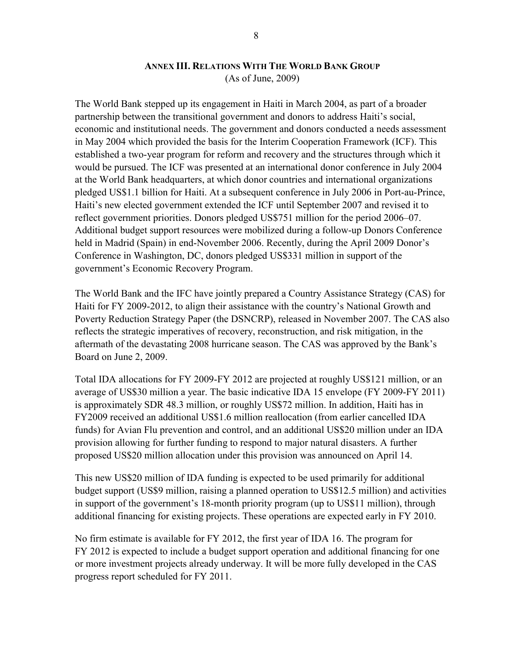#### **ANNEX III. RELATIONS WITH THE WORLD BANK GROUP** (As of June, 2009)

<span id="page-55-0"></span>The World Bank stepped up its engagement in Haiti in March 2004, as part of a broader partnership between the transitional government and donors to address Haiti's social, economic and institutional needs. The government and donors conducted a needs assessment in May 2004 which provided the basis for the Interim Cooperation Framework (ICF). This established a two-year program for reform and recovery and the structures through which it would be pursued. The ICF was presented at an international donor conference in July 2004 at the World Bank headquarters, at which donor countries and international organizations pledged US\$1.1 billion for Haiti. At a subsequent conference in July 2006 in Port-au-Prince, Haiti's new elected government extended the ICF until September 2007 and revised it to reflect government priorities. Donors pledged US\$751 million for the period 2006–07. Additional budget support resources were mobilized during a follow-up Donors Conference held in Madrid (Spain) in end-November 2006. Recently, during the April 2009 Donor's Conference in Washington, DC, donors pledged US\$331 million in support of the government's Economic Recovery Program.

The World Bank and the IFC have jointly prepared a Country Assistance Strategy (CAS) for Haiti for FY 2009-2012, to align their assistance with the country's National Growth and Poverty Reduction Strategy Paper (the DSNCRP), released in November 2007. The CAS also reflects the strategic imperatives of recovery, reconstruction, and risk mitigation, in the aftermath of the devastating 2008 hurricane season. The CAS was approved by the Bank's Board on June 2, 2009.

Total IDA allocations for FY 2009-FY 2012 are projected at roughly US\$121 million, or an average of US\$30 million a year. The basic indicative IDA 15 envelope (FY 2009-FY 2011) is approximately SDR 48.3 million, or roughly US\$72 million. In addition, Haiti has in FY2009 received an additional US\$1.6 million reallocation (from earlier cancelled IDA funds) for Avian Flu prevention and control, and an additional US\$20 million under an IDA provision allowing for further funding to respond to major natural disasters. A further proposed US\$20 million allocation under this provision was announced on April 14.

This new US\$20 million of IDA funding is expected to be used primarily for additional budget support (US\$9 million, raising a planned operation to US\$12.5 million) and activities in support of the government's 18-month priority program (up to US\$11 million), through additional financing for existing projects. These operations are expected early in FY 2010.

No firm estimate is available for FY 2012, the first year of IDA 16. The program for FY 2012 is expected to include a budget support operation and additional financing for one or more investment projects already underway. It will be more fully developed in the CAS progress report scheduled for FY 2011.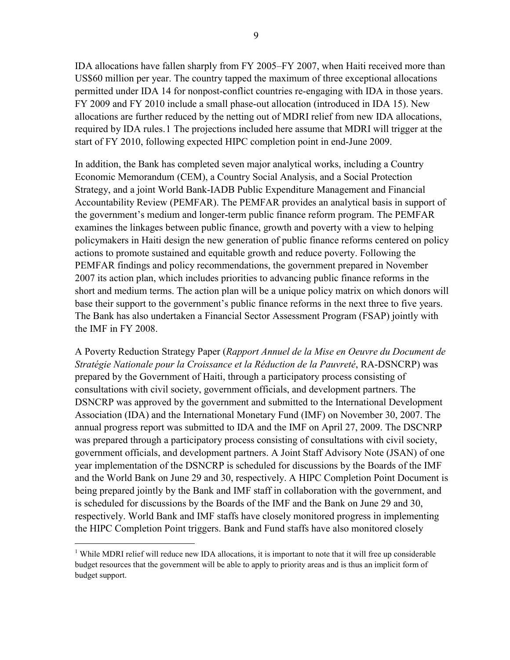IDA allocations have fallen sharply from FY 2005–FY 2007, when Haiti received more than US\$60 million per year. The country tapped the maximum of three exceptional allocations permitted under IDA 14 for nonpost-conflict countries re-engaging with IDA in those years. FY 2009 and FY 2010 include a small phase-out allocation (introduced in IDA 15). New allocations are further reduced by the netting out of MDRI relief from new IDA allocations, required by IDA rules.[1](#page-56-0) The projections included here assume that MDRI will trigger at the start of FY 2010, following expected HIPC completion point in end-June 2009.

In addition, the Bank has completed seven major analytical works, including a Country Economic Memorandum (CEM), a Country Social Analysis, and a Social Protection Strategy, and a joint World Bank-IADB Public Expenditure Management and Financial Accountability Review (PEMFAR). The PEMFAR provides an analytical basis in support of the government's medium and longer-term public finance reform program. The PEMFAR examines the linkages between public finance, growth and poverty with a view to helping policymakers in Haiti design the new generation of public finance reforms centered on policy actions to promote sustained and equitable growth and reduce poverty. Following the PEMFAR findings and policy recommendations, the government prepared in November 2007 its action plan, which includes priorities to advancing public finance reforms in the short and medium terms. The action plan will be a unique policy matrix on which donors will base their support to the government's public finance reforms in the next three to five years. The Bank has also undertaken a Financial Sector Assessment Program (FSAP) jointly with the IMF in FY 2008.

A Poverty Reduction Strategy Paper (*Rapport Annuel de la Mise en Oeuvre du Document de Stratégie Nationale pour la Croissance et la Réduction de la Pauvreté*, RA-DSNCRP) was prepared by the Government of Haiti, through a participatory process consisting of consultations with civil society, government officials, and development partners. The DSNCRP was approved by the government and submitted to the International Development Association (IDA) and the International Monetary Fund (IMF) on November 30, 2007. The annual progress report was submitted to IDA and the IMF on April 27, 2009. The DSCNRP was prepared through a participatory process consisting of consultations with civil society, government officials, and development partners. A Joint Staff Advisory Note (JSAN) of one year implementation of the DSNCRP is scheduled for discussions by the Boards of the IMF and the World Bank on June 29 and 30, respectively. A HIPC Completion Point Document is being prepared jointly by the Bank and IMF staff in collaboration with the government, and is scheduled for discussions by the Boards of the IMF and the Bank on June 29 and 30, respectively. World Bank and IMF staffs have closely monitored progress in implementing the HIPC Completion Point triggers. Bank and Fund staffs have also monitored closely

 $\overline{a}$ 

<span id="page-56-0"></span><sup>&</sup>lt;sup>1</sup> While MDRI relief will reduce new IDA allocations, it is important to note that it will free up considerable budget resources that the government will be able to apply to priority areas and is thus an implicit form of budget support.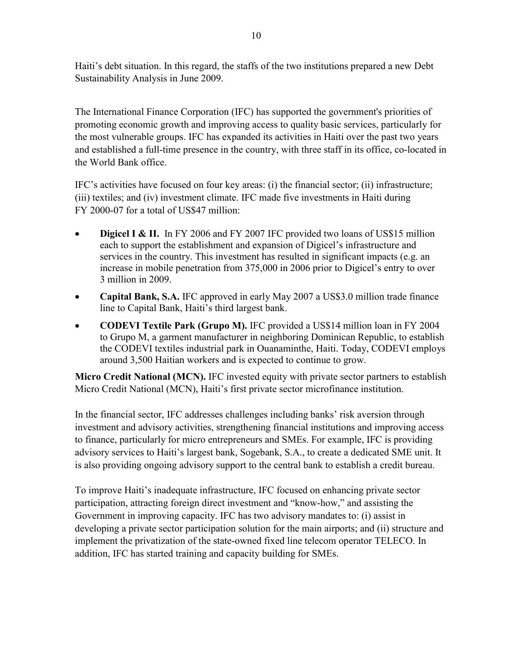Haiti's debt situation. In this regard, the staffs of the two institutions prepared a new Debt Sustainability Analysis in June 2009.

The International Finance Corporation (IFC) has supported the government's priorities of promoting economic growth and improving access to quality basic services, particularly for the most vulnerable groups. IFC has expanded its activities in Haiti over the past two years and established a full-time presence in the country, with three staff in its office, co-located in the World Bank office.

IFC's activities have focused on four key areas: (i) the financial sector; (ii) infrastructure; (iii) textiles; and (iv) investment climate. IFC made five investments in Haiti during FY 2000-07 for a total of US\$47 million:

- **Digicel I & II.** In FY 2006 and FY 2007 IFC provided two loans of US\$15 million each to support the establishment and expansion of Digicel's infrastructure and services in the country. This investment has resulted in significant impacts (e.g. an increase in mobile penetration from 375,000 in 2006 prior to Digicel's entry to over 3 million in 2009.
- **Capital Bank, S.A.** IFC approved in early May 2007 a US\$3.0 million trade finance line to Capital Bank, Haiti's third largest bank.
- **CODEVI Textile Park (Grupo M).** IFC provided a US\$14 million loan in FY 2004 to Grupo M, a garment manufacturer in neighboring Dominican Republic, to establish the CODEVI textiles industrial park in Ouanaminthe, Haiti. Today, CODEVI employs around 3,500 Haitian workers and is expected to continue to grow.

**Micro Credit National (MCN).** IFC invested equity with private sector partners to establish Micro Credit National (MCN), Haiti's first private sector microfinance institution.

In the financial sector, IFC addresses challenges including banks' risk aversion through investment and advisory activities, strengthening financial institutions and improving access to finance, particularly for micro entrepreneurs and SMEs. For example, IFC is providing advisory services to Haiti's largest bank, Sogebank, S.A., to create a dedicated SME unit. It is also providing ongoing advisory support to the central bank to establish a credit bureau.

To improve Haiti's inadequate infrastructure, IFC focused on enhancing private sector participation, attracting foreign direct investment and "know-how," and assisting the Government in improving capacity. IFC has two advisory mandates to: (i) assist in developing a private sector participation solution for the main airports; and (ii) structure and implement the privatization of the state-owned fixed line telecom operator TELECO. In addition, IFC has started training and capacity building for SMEs.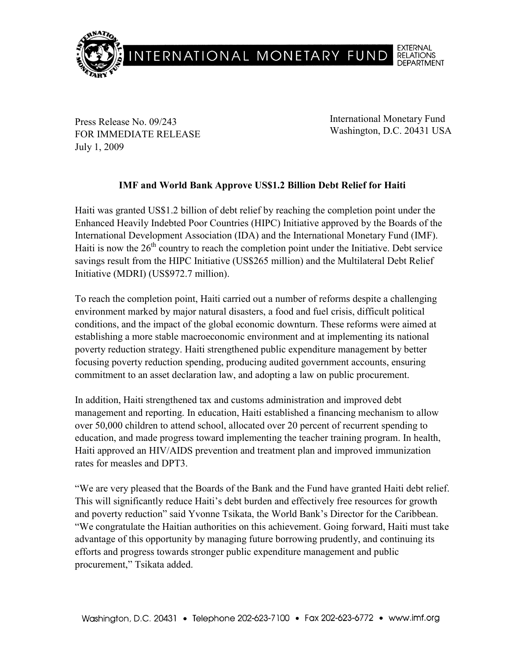

Press Release No. 09/243 FOR IMMEDIATE RELEASE July 1, 2009

International Monetary Fund Washington, D.C. 20431 USA

## **IMF and World Bank Approve US\$1.2 Billion Debt Relief for Haiti**

Haiti was granted US\$1.2 billion of debt relief by reaching the completion point under the Enhanced Heavily Indebted Poor Countries (HIPC) Initiative approved by the Boards of the International Development Association (IDA) and the International Monetary Fund (IMF). Haiti is now the  $26<sup>th</sup>$  country to reach the completion point under the Initiative. Debt service savings result from the HIPC Initiative (US\$265 million) and the Multilateral Debt Relief Initiative (MDRI) (US\$972.7 million).

To reach the completion point, Haiti carried out a number of reforms despite a challenging environment marked by major natural disasters, a food and fuel crisis, difficult political conditions, and the impact of the global economic downturn. These reforms were aimed at establishing a more stable macroeconomic environment and at implementing its national poverty reduction strategy. Haiti strengthened public expenditure management by better focusing poverty reduction spending, producing audited government accounts, ensuring commitment to an asset declaration law, and adopting a law on public procurement.

In addition, Haiti strengthened tax and customs administration and improved debt management and reporting. In education, Haiti established a financing mechanism to allow over 50,000 children to attend school, allocated over 20 percent of recurrent spending to education, and made progress toward implementing the teacher training program. In health, Haiti approved an HIV/AIDS prevention and treatment plan and improved immunization rates for measles and DPT3.

"We are very pleased that the Boards of the Bank and the Fund have granted Haiti debt relief. This will significantly reduce Haiti's debt burden and effectively free resources for growth and poverty reduction" said Yvonne Tsikata, the World Bank's Director for the Caribbean. "We congratulate the Haitian authorities on this achievement. Going forward, Haiti must take advantage of this opportunity by managing future borrowing prudently, and continuing its efforts and progress towards stronger public expenditure management and public procurement," Tsikata added.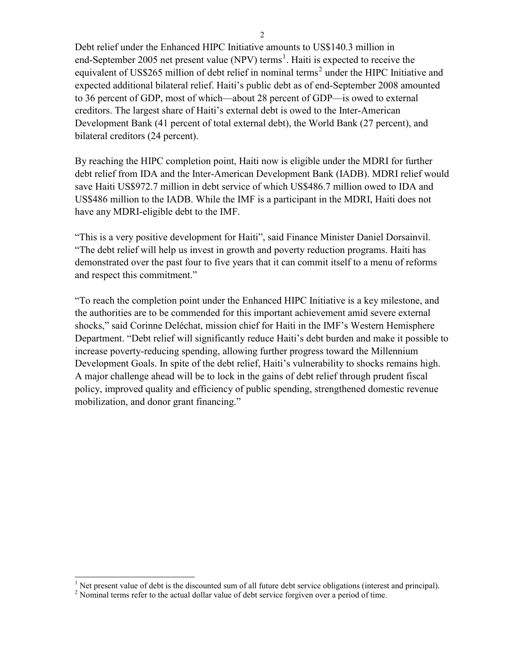Debt relief under the Enhanced HIPC Initiative amounts to US\$140.3 million in end-September 2005 net present value (NPV) terms<sup>1</sup>. Haiti is expected to receive the equivalent of US\$265 million of debt relief in nominal terms<sup>2</sup> under the HIPC Initiative and expected additional bilateral relief. Haiti's public debt as of end-September 2008 amounted to 36 percent of GDP, most of which—about 28 percent of GDP—is owed to external creditors. The largest share of Haiti's external debt is owed to the Inter-American Development Bank (41 percent of total external debt), the World Bank (27 percent), and bilateral creditors (24 percent).

By reaching the HIPC completion point, Haiti now is eligible under the MDRI for further debt relief from IDA and the Inter-American Development Bank (IADB). MDRI relief would save Haiti US\$972.7 million in debt service of which US\$486.7 million owed to IDA and US\$486 million to the IADB. While the IMF is a participant in the MDRI, Haiti does not have any MDRI-eligible debt to the IMF.

"This is a very positive development for Haiti", said Finance Minister Daniel Dorsainvil. "The debt relief will help us invest in growth and poverty reduction programs. Haiti has demonstrated over the past four to five years that it can commit itself to a menu of reforms and respect this commitment."

"To reach the completion point under the Enhanced HIPC Initiative is a key milestone, and the authorities are to be commended for this important achievement amid severe external shocks," said Corinne Deléchat, mission chief for Haiti in the IMF's Western Hemisphere Department. "Debt relief will significantly reduce Haiti's debt burden and make it possible to increase poverty-reducing spending, allowing further progress toward the Millennium Development Goals. In spite of the debt relief, Haiti's vulnerability to shocks remains high. A major challenge ahead will be to lock in the gains of debt relief through prudent fiscal policy, improved quality and efficiency of public spending, strengthened domestic revenue mobilization, and donor grant financing."

<sup>&</sup>lt;sup>1</sup> Net present value of debt is the discounted sum of all future debt service obligations (interest and principal).

 $2$  Nominal terms refer to the actual dollar value of debt service forgiven over a period of time.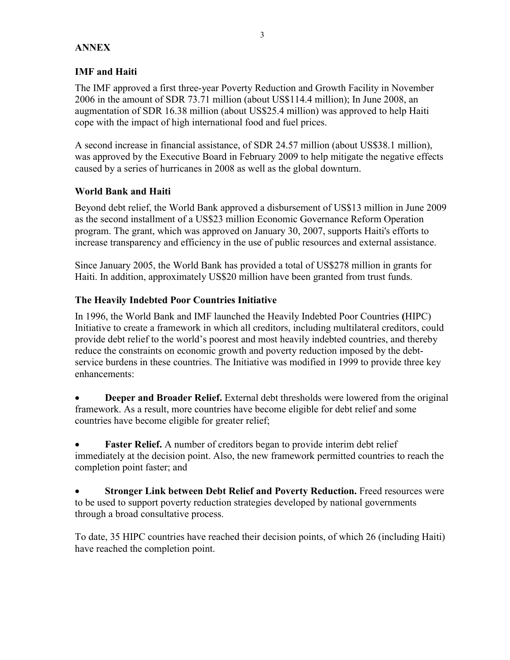## **ANNEX**

## **IMF and Haiti**

The IMF approved a first three-year Poverty Reduction and Growth Facility in November 2006 in the amount of SDR 73.71 million (about US\$114.4 million); In June 2008, an augmentation of SDR 16.38 million (about US\$25.4 million) was approved to help Haiti cope with the impact of high international food and fuel prices.

A second increase in financial assistance, of SDR 24.57 million (about US\$38.1 million), was approved by the Executive Board in February 2009 to help mitigate the negative effects caused by a series of hurricanes in 2008 as well as the global downturn.

## **World Bank and Haiti**

Beyond debt relief, the World Bank approved a disbursement of US\$13 million in June 2009 as the second installment of a US\$23 million Economic Governance Reform Operation program. The grant, which was approved on January 30, 2007, supports Haiti's efforts to increase transparency and efficiency in the use of public resources and external assistance.

Since January 2005, the World Bank has provided a total of US\$278 million in grants for Haiti. In addition, approximately US\$20 million have been granted from trust funds.

## **The Heavily Indebted Poor Countries Initiative**

In 1996, the World Bank and IMF launched the Heavily Indebted Poor Countries **(**HIPC) Initiative to create a framework in which all creditors, including multilateral creditors, could provide debt relief to the world's poorest and most heavily indebted countries, and thereby reduce the constraints on economic growth and poverty reduction imposed by the debtservice burdens in these countries. The Initiative was modified in 1999 to provide three key enhancements:

• **Deeper and Broader Relief.** External debt thresholds were lowered from the original framework. As a result, more countries have become eligible for debt relief and some countries have become eligible for greater relief;

**Faster Relief.** A number of creditors began to provide interim debt relief immediately at the decision point. Also, the new framework permitted countries to reach the completion point faster; and

• **Stronger Link between Debt Relief and Poverty Reduction.** Freed resources were to be used to support poverty reduction strategies developed by national governments through a broad consultative process.

To date, 35 HIPC countries have reached their decision points, of which 26 (including Haiti) have reached the completion point.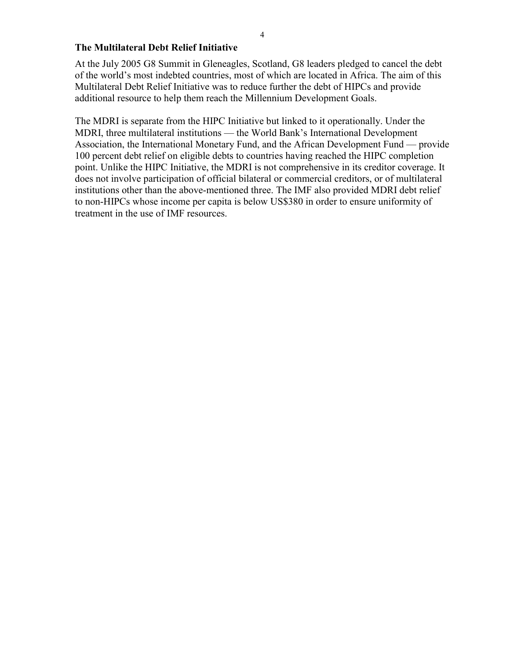#### **The Multilateral Debt Relief Initiative**

At the July 2005 G8 Summit in Gleneagles, Scotland, G8 leaders pledged to cancel the debt of the world's most indebted countries, most of which are located in Africa. The aim of this Multilateral Debt Relief Initiative was to reduce further the debt of HIPCs and provide additional resource to help them reach the Millennium Development Goals.

The MDRI is separate from the HIPC Initiative but linked to it operationally. Under the MDRI, three multilateral institutions — the World Bank's International Development Association, the International Monetary Fund, and the African Development Fund — provide 100 percent debt relief on eligible debts to countries having reached the HIPC completion point. Unlike the HIPC Initiative, the MDRI is not comprehensive in its creditor coverage. It does not involve participation of official bilateral or commercial creditors, or of multilateral institutions other than the above-mentioned three. The IMF also provided MDRI debt relief to non-HIPCs whose income per capita is below US\$380 in order to ensure uniformity of treatment in the use of IMF resources.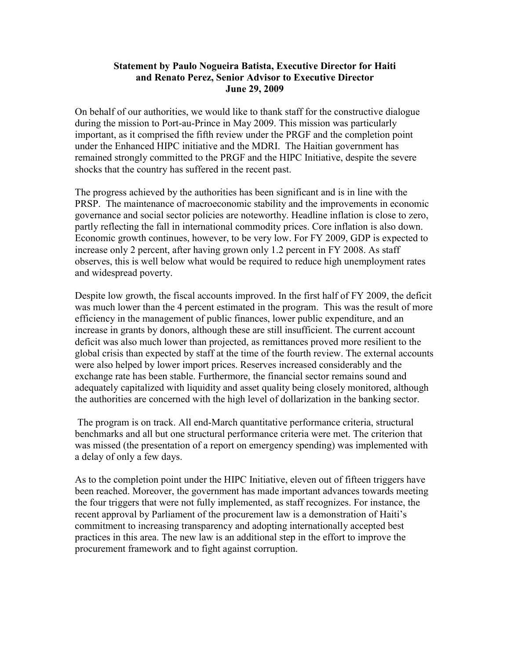#### **Statement by Paulo Nogueira Batista, Executive Director for Haiti and Renato Perez, Senior Advisor to Executive Director June 29, 2009**

On behalf of our authorities, we would like to thank staff for the constructive dialogue during the mission to Port-au-Prince in May 2009. This mission was particularly important, as it comprised the fifth review under the PRGF and the completion point under the Enhanced HIPC initiative and the MDRI. The Haitian government has remained strongly committed to the PRGF and the HIPC Initiative, despite the severe shocks that the country has suffered in the recent past.

The progress achieved by the authorities has been significant and is in line with the PRSP. The maintenance of macroeconomic stability and the improvements in economic governance and social sector policies are noteworthy. Headline inflation is close to zero, partly reflecting the fall in international commodity prices. Core inflation is also down. Economic growth continues, however, to be very low. For FY 2009, GDP is expected to increase only 2 percent, after having grown only 1.2 percent in FY 2008. As staff observes, this is well below what would be required to reduce high unemployment rates and widespread poverty.

Despite low growth, the fiscal accounts improved. In the first half of FY 2009, the deficit was much lower than the 4 percent estimated in the program. This was the result of more efficiency in the management of public finances, lower public expenditure, and an increase in grants by donors, although these are still insufficient. The current account deficit was also much lower than projected, as remittances proved more resilient to the global crisis than expected by staff at the time of the fourth review. The external accounts were also helped by lower import prices. Reserves increased considerably and the exchange rate has been stable. Furthermore, the financial sector remains sound and adequately capitalized with liquidity and asset quality being closely monitored, although the authorities are concerned with the high level of dollarization in the banking sector.

 The program is on track. All end-March quantitative performance criteria, structural benchmarks and all but one structural performance criteria were met. The criterion that was missed (the presentation of a report on emergency spending) was implemented with a delay of only a few days.

As to the completion point under the HIPC Initiative, eleven out of fifteen triggers have been reached. Moreover, the government has made important advances towards meeting the four triggers that were not fully implemented, as staff recognizes. For instance, the recent approval by Parliament of the procurement law is a demonstration of Haiti's commitment to increasing transparency and adopting internationally accepted best practices in this area. The new law is an additional step in the effort to improve the procurement framework and to fight against corruption.